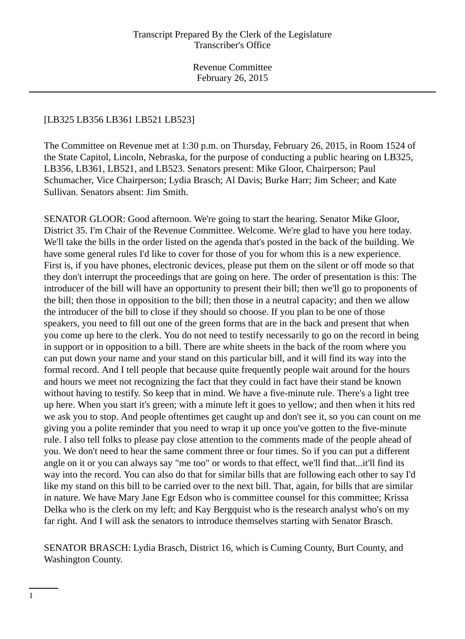# [LB325 LB356 LB361 LB521 LB523]

The Committee on Revenue met at 1:30 p.m. on Thursday, February 26, 2015, in Room 1524 of the State Capitol, Lincoln, Nebraska, for the purpose of conducting a public hearing on LB325, LB356, LB361, LB521, and LB523. Senators present: Mike Gloor, Chairperson; Paul Schumacher, Vice Chairperson; Lydia Brasch; Al Davis; Burke Harr; Jim Scheer; and Kate Sullivan. Senators absent: Jim Smith.

SENATOR GLOOR: Good afternoon. We're going to start the hearing. Senator Mike Gloor, District 35. I'm Chair of the Revenue Committee. Welcome. We're glad to have you here today. We'll take the bills in the order listed on the agenda that's posted in the back of the building. We have some general rules I'd like to cover for those of you for whom this is a new experience. First is, if you have phones, electronic devices, please put them on the silent or off mode so that they don't interrupt the proceedings that are going on here. The order of presentation is this: The introducer of the bill will have an opportunity to present their bill; then we'll go to proponents of the bill; then those in opposition to the bill; then those in a neutral capacity; and then we allow the introducer of the bill to close if they should so choose. If you plan to be one of those speakers, you need to fill out one of the green forms that are in the back and present that when you come up here to the clerk. You do not need to testify necessarily to go on the record in being in support or in opposition to a bill. There are white sheets in the back of the room where you can put down your name and your stand on this particular bill, and it will find its way into the formal record. And I tell people that because quite frequently people wait around for the hours and hours we meet not recognizing the fact that they could in fact have their stand be known without having to testify. So keep that in mind. We have a five-minute rule. There's a light tree up here. When you start it's green; with a minute left it goes to yellow; and then when it hits red we ask you to stop. And people oftentimes get caught up and don't see it, so you can count on me giving you a polite reminder that you need to wrap it up once you've gotten to the five-minute rule. I also tell folks to please pay close attention to the comments made of the people ahead of you. We don't need to hear the same comment three or four times. So if you can put a different angle on it or you can always say "me too" or words to that effect, we'll find that...it'll find its way into the record. You can also do that for similar bills that are following each other to say I'd like my stand on this bill to be carried over to the next bill. That, again, for bills that are similar in nature. We have Mary Jane Egr Edson who is committee counsel for this committee; Krissa Delka who is the clerk on my left; and Kay Bergquist who is the research analyst who's on my far right. And I will ask the senators to introduce themselves starting with Senator Brasch.

SENATOR BRASCH: Lydia Brasch, District 16, which is Cuming County, Burt County, and Washington County.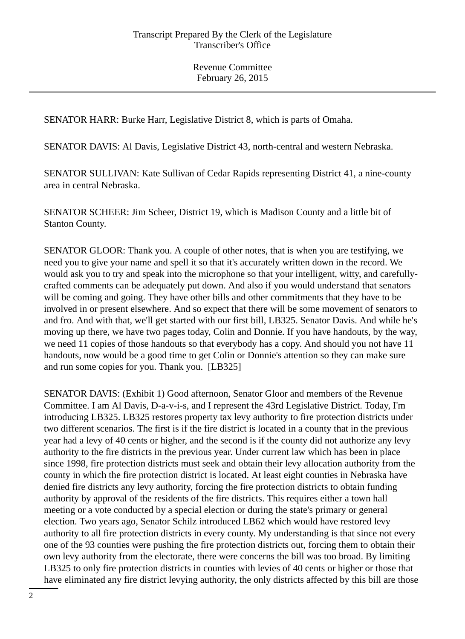SENATOR HARR: Burke Harr, Legislative District 8, which is parts of Omaha.

SENATOR DAVIS: Al Davis, Legislative District 43, north-central and western Nebraska.

SENATOR SULLIVAN: Kate Sullivan of Cedar Rapids representing District 41, a nine-county area in central Nebraska.

SENATOR SCHEER: Jim Scheer, District 19, which is Madison County and a little bit of Stanton County.

SENATOR GLOOR: Thank you. A couple of other notes, that is when you are testifying, we need you to give your name and spell it so that it's accurately written down in the record. We would ask you to try and speak into the microphone so that your intelligent, witty, and carefullycrafted comments can be adequately put down. And also if you would understand that senators will be coming and going. They have other bills and other commitments that they have to be involved in or present elsewhere. And so expect that there will be some movement of senators to and fro. And with that, we'll get started with our first bill, LB325. Senator Davis. And while he's moving up there, we have two pages today, Colin and Donnie. If you have handouts, by the way, we need 11 copies of those handouts so that everybody has a copy. And should you not have 11 handouts, now would be a good time to get Colin or Donnie's attention so they can make sure and run some copies for you. Thank you. [LB325]

SENATOR DAVIS: (Exhibit 1) Good afternoon, Senator Gloor and members of the Revenue Committee. I am Al Davis, D-a-v-i-s, and I represent the 43rd Legislative District. Today, I'm introducing LB325. LB325 restores property tax levy authority to fire protection districts under two different scenarios. The first is if the fire district is located in a county that in the previous year had a levy of 40 cents or higher, and the second is if the county did not authorize any levy authority to the fire districts in the previous year. Under current law which has been in place since 1998, fire protection districts must seek and obtain their levy allocation authority from the county in which the fire protection district is located. At least eight counties in Nebraska have denied fire districts any levy authority, forcing the fire protection districts to obtain funding authority by approval of the residents of the fire districts. This requires either a town hall meeting or a vote conducted by a special election or during the state's primary or general election. Two years ago, Senator Schilz introduced LB62 which would have restored levy authority to all fire protection districts in every county. My understanding is that since not every one of the 93 counties were pushing the fire protection districts out, forcing them to obtain their own levy authority from the electorate, there were concerns the bill was too broad. By limiting LB325 to only fire protection districts in counties with levies of 40 cents or higher or those that have eliminated any fire district levying authority, the only districts affected by this bill are those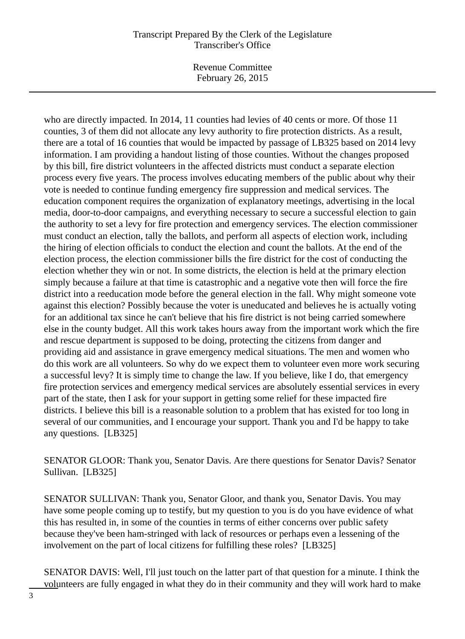Revenue Committee February 26, 2015

who are directly impacted. In 2014, 11 counties had levies of 40 cents or more. Of those 11 counties, 3 of them did not allocate any levy authority to fire protection districts. As a result, there are a total of 16 counties that would be impacted by passage of LB325 based on 2014 levy information. I am providing a handout listing of those counties. Without the changes proposed by this bill, fire district volunteers in the affected districts must conduct a separate election process every five years. The process involves educating members of the public about why their vote is needed to continue funding emergency fire suppression and medical services. The education component requires the organization of explanatory meetings, advertising in the local media, door-to-door campaigns, and everything necessary to secure a successful election to gain the authority to set a levy for fire protection and emergency services. The election commissioner must conduct an election, tally the ballots, and perform all aspects of election work, including the hiring of election officials to conduct the election and count the ballots. At the end of the election process, the election commissioner bills the fire district for the cost of conducting the election whether they win or not. In some districts, the election is held at the primary election simply because a failure at that time is catastrophic and a negative vote then will force the fire district into a reeducation mode before the general election in the fall. Why might someone vote against this election? Possibly because the voter is uneducated and believes he is actually voting for an additional tax since he can't believe that his fire district is not being carried somewhere else in the county budget. All this work takes hours away from the important work which the fire and rescue department is supposed to be doing, protecting the citizens from danger and providing aid and assistance in grave emergency medical situations. The men and women who do this work are all volunteers. So why do we expect them to volunteer even more work securing a successful levy? It is simply time to change the law. If you believe, like I do, that emergency fire protection services and emergency medical services are absolutely essential services in every part of the state, then I ask for your support in getting some relief for these impacted fire districts. I believe this bill is a reasonable solution to a problem that has existed for too long in several of our communities, and I encourage your support. Thank you and I'd be happy to take any questions. [LB325]

SENATOR GLOOR: Thank you, Senator Davis. Are there questions for Senator Davis? Senator Sullivan. [LB325]

SENATOR SULLIVAN: Thank you, Senator Gloor, and thank you, Senator Davis. You may have some people coming up to testify, but my question to you is do you have evidence of what this has resulted in, in some of the counties in terms of either concerns over public safety because they've been ham-stringed with lack of resources or perhaps even a lessening of the involvement on the part of local citizens for fulfilling these roles? [LB325]

SENATOR DAVIS: Well, I'll just touch on the latter part of that question for a minute. I think the volunteers are fully engaged in what they do in their community and they will work hard to make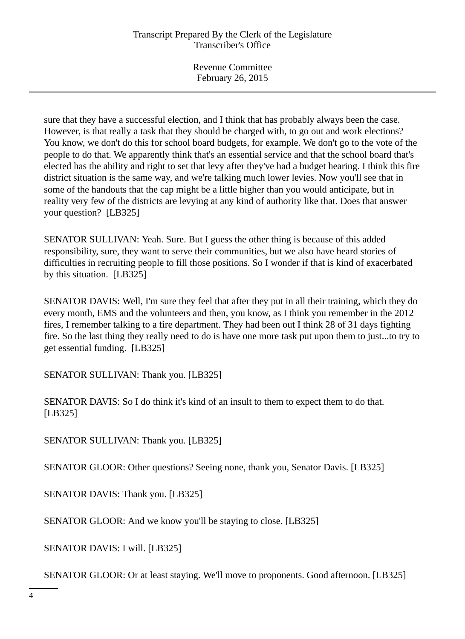Revenue Committee February 26, 2015

sure that they have a successful election, and I think that has probably always been the case. However, is that really a task that they should be charged with, to go out and work elections? You know, we don't do this for school board budgets, for example. We don't go to the vote of the people to do that. We apparently think that's an essential service and that the school board that's elected has the ability and right to set that levy after they've had a budget hearing. I think this fire district situation is the same way, and we're talking much lower levies. Now you'll see that in some of the handouts that the cap might be a little higher than you would anticipate, but in reality very few of the districts are levying at any kind of authority like that. Does that answer your question? [LB325]

SENATOR SULLIVAN: Yeah. Sure. But I guess the other thing is because of this added responsibility, sure, they want to serve their communities, but we also have heard stories of difficulties in recruiting people to fill those positions. So I wonder if that is kind of exacerbated by this situation. [LB325]

SENATOR DAVIS: Well, I'm sure they feel that after they put in all their training, which they do every month, EMS and the volunteers and then, you know, as I think you remember in the 2012 fires, I remember talking to a fire department. They had been out I think 28 of 31 days fighting fire. So the last thing they really need to do is have one more task put upon them to just...to try to get essential funding. [LB325]

SENATOR SULLIVAN: Thank you. [LB325]

SENATOR DAVIS: So I do think it's kind of an insult to them to expect them to do that. [LB325]

SENATOR SULLIVAN: Thank you. [LB325]

SENATOR GLOOR: Other questions? Seeing none, thank you, Senator Davis. [LB325]

SENATOR DAVIS: Thank you. [LB325]

SENATOR GLOOR: And we know you'll be staying to close. [LB325]

SENATOR DAVIS: I will. [LB325]

SENATOR GLOOR: Or at least staying. We'll move to proponents. Good afternoon. [LB325]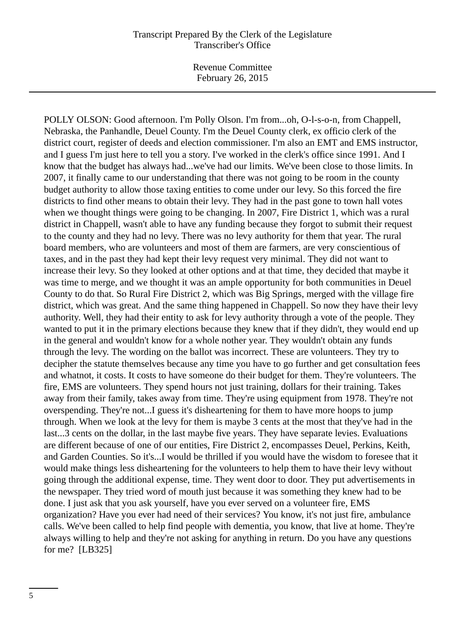Revenue Committee February 26, 2015

POLLY OLSON: Good afternoon. I'm Polly Olson. I'm from...oh, O-l-s-o-n, from Chappell, Nebraska, the Panhandle, Deuel County. I'm the Deuel County clerk, ex officio clerk of the district court, register of deeds and election commissioner. I'm also an EMT and EMS instructor, and I guess I'm just here to tell you a story. I've worked in the clerk's office since 1991. And I know that the budget has always had...we've had our limits. We've been close to those limits. In 2007, it finally came to our understanding that there was not going to be room in the county budget authority to allow those taxing entities to come under our levy. So this forced the fire districts to find other means to obtain their levy. They had in the past gone to town hall votes when we thought things were going to be changing. In 2007, Fire District 1, which was a rural district in Chappell, wasn't able to have any funding because they forgot to submit their request to the county and they had no levy. There was no levy authority for them that year. The rural board members, who are volunteers and most of them are farmers, are very conscientious of taxes, and in the past they had kept their levy request very minimal. They did not want to increase their levy. So they looked at other options and at that time, they decided that maybe it was time to merge, and we thought it was an ample opportunity for both communities in Deuel County to do that. So Rural Fire District 2, which was Big Springs, merged with the village fire district, which was great. And the same thing happened in Chappell. So now they have their levy authority. Well, they had their entity to ask for levy authority through a vote of the people. They wanted to put it in the primary elections because they knew that if they didn't, they would end up in the general and wouldn't know for a whole nother year. They wouldn't obtain any funds through the levy. The wording on the ballot was incorrect. These are volunteers. They try to decipher the statute themselves because any time you have to go further and get consultation fees and whatnot, it costs. It costs to have someone do their budget for them. They're volunteers. The fire, EMS are volunteers. They spend hours not just training, dollars for their training. Takes away from their family, takes away from time. They're using equipment from 1978. They're not overspending. They're not...I guess it's disheartening for them to have more hoops to jump through. When we look at the levy for them is maybe 3 cents at the most that they've had in the last...3 cents on the dollar, in the last maybe five years. They have separate levies. Evaluations are different because of one of our entities, Fire District 2, encompasses Deuel, Perkins, Keith, and Garden Counties. So it's...I would be thrilled if you would have the wisdom to foresee that it would make things less disheartening for the volunteers to help them to have their levy without going through the additional expense, time. They went door to door. They put advertisements in the newspaper. They tried word of mouth just because it was something they knew had to be done. I just ask that you ask yourself, have you ever served on a volunteer fire, EMS organization? Have you ever had need of their services? You know, it's not just fire, ambulance calls. We've been called to help find people with dementia, you know, that live at home. They're always willing to help and they're not asking for anything in return. Do you have any questions for me? [LB325]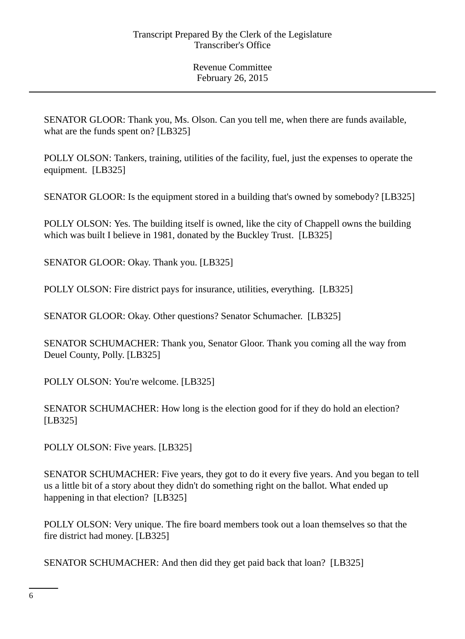SENATOR GLOOR: Thank you, Ms. Olson. Can you tell me, when there are funds available, what are the funds spent on? [LB325]

POLLY OLSON: Tankers, training, utilities of the facility, fuel, just the expenses to operate the equipment. [LB325]

SENATOR GLOOR: Is the equipment stored in a building that's owned by somebody? [LB325]

POLLY OLSON: Yes. The building itself is owned, like the city of Chappell owns the building which was built I believe in 1981, donated by the Buckley Trust. [LB325]

SENATOR GLOOR: Okay. Thank you. [LB325]

POLLY OLSON: Fire district pays for insurance, utilities, everything. [LB325]

SENATOR GLOOR: Okay. Other questions? Senator Schumacher. [LB325]

SENATOR SCHUMACHER: Thank you, Senator Gloor. Thank you coming all the way from Deuel County, Polly. [LB325]

POLLY OLSON: You're welcome. [LB325]

SENATOR SCHUMACHER: How long is the election good for if they do hold an election? [LB325]

POLLY OLSON: Five years. [LB325]

SENATOR SCHUMACHER: Five years, they got to do it every five years. And you began to tell us a little bit of a story about they didn't do something right on the ballot. What ended up happening in that election? [LB325]

POLLY OLSON: Very unique. The fire board members took out a loan themselves so that the fire district had money. [LB325]

SENATOR SCHUMACHER: And then did they get paid back that loan? [LB325]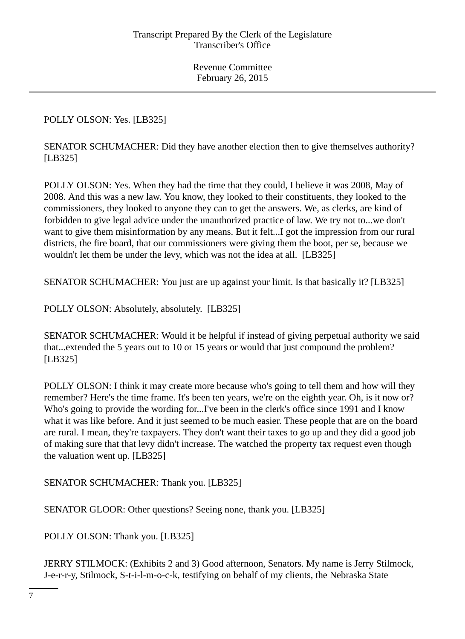POLLY OLSON: Yes. [LB325]

SENATOR SCHUMACHER: Did they have another election then to give themselves authority? [LB325]

POLLY OLSON: Yes. When they had the time that they could, I believe it was 2008, May of 2008. And this was a new law. You know, they looked to their constituents, they looked to the commissioners, they looked to anyone they can to get the answers. We, as clerks, are kind of forbidden to give legal advice under the unauthorized practice of law. We try not to...we don't want to give them misinformation by any means. But it felt...I got the impression from our rural districts, the fire board, that our commissioners were giving them the boot, per se, because we wouldn't let them be under the levy, which was not the idea at all. [LB325]

SENATOR SCHUMACHER: You just are up against your limit. Is that basically it? [LB325]

POLLY OLSON: Absolutely, absolutely. [LB325]

SENATOR SCHUMACHER: Would it be helpful if instead of giving perpetual authority we said that...extended the 5 years out to 10 or 15 years or would that just compound the problem? [LB325]

POLLY OLSON: I think it may create more because who's going to tell them and how will they remember? Here's the time frame. It's been ten years, we're on the eighth year. Oh, is it now or? Who's going to provide the wording for...I've been in the clerk's office since 1991 and I know what it was like before. And it just seemed to be much easier. These people that are on the board are rural. I mean, they're taxpayers. They don't want their taxes to go up and they did a good job of making sure that that levy didn't increase. The watched the property tax request even though the valuation went up. [LB325]

SENATOR SCHUMACHER: Thank you. [LB325]

SENATOR GLOOR: Other questions? Seeing none, thank you. [LB325]

POLLY OLSON: Thank you. [LB325]

JERRY STILMOCK: (Exhibits 2 and 3) Good afternoon, Senators. My name is Jerry Stilmock, J-e-r-r-y, Stilmock, S-t-i-l-m-o-c-k, testifying on behalf of my clients, the Nebraska State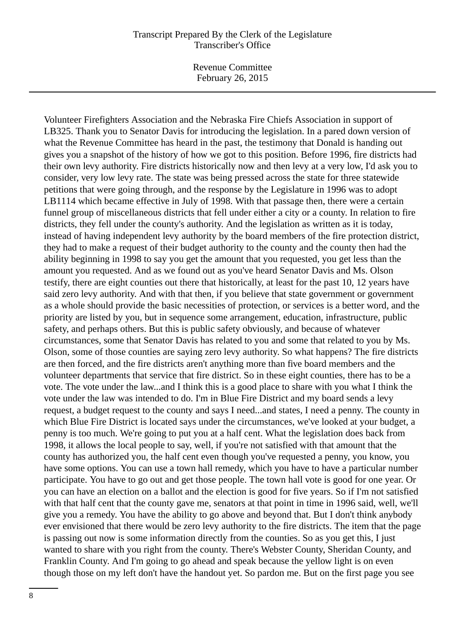Revenue Committee February 26, 2015

Volunteer Firefighters Association and the Nebraska Fire Chiefs Association in support of LB325. Thank you to Senator Davis for introducing the legislation. In a pared down version of what the Revenue Committee has heard in the past, the testimony that Donald is handing out gives you a snapshot of the history of how we got to this position. Before 1996, fire districts had their own levy authority. Fire districts historically now and then levy at a very low, I'd ask you to consider, very low levy rate. The state was being pressed across the state for three statewide petitions that were going through, and the response by the Legislature in 1996 was to adopt LB<sub>1114</sub> which became effective in July of 1998. With that passage then, there were a certain funnel group of miscellaneous districts that fell under either a city or a county. In relation to fire districts, they fell under the county's authority. And the legislation as written as it is today, instead of having independent levy authority by the board members of the fire protection district, they had to make a request of their budget authority to the county and the county then had the ability beginning in 1998 to say you get the amount that you requested, you get less than the amount you requested. And as we found out as you've heard Senator Davis and Ms. Olson testify, there are eight counties out there that historically, at least for the past 10, 12 years have said zero levy authority. And with that then, if you believe that state government or government as a whole should provide the basic necessities of protection, or services is a better word, and the priority are listed by you, but in sequence some arrangement, education, infrastructure, public safety, and perhaps others. But this is public safety obviously, and because of whatever circumstances, some that Senator Davis has related to you and some that related to you by Ms. Olson, some of those counties are saying zero levy authority. So what happens? The fire districts are then forced, and the fire districts aren't anything more than five board members and the volunteer departments that service that fire district. So in these eight counties, there has to be a vote. The vote under the law...and I think this is a good place to share with you what I think the vote under the law was intended to do. I'm in Blue Fire District and my board sends a levy request, a budget request to the county and says I need...and states, I need a penny. The county in which Blue Fire District is located says under the circumstances, we've looked at your budget, a penny is too much. We're going to put you at a half cent. What the legislation does back from 1998, it allows the local people to say, well, if you're not satisfied with that amount that the county has authorized you, the half cent even though you've requested a penny, you know, you have some options. You can use a town hall remedy, which you have to have a particular number participate. You have to go out and get those people. The town hall vote is good for one year. Or you can have an election on a ballot and the election is good for five years. So if I'm not satisfied with that half cent that the county gave me, senators at that point in time in 1996 said, well, we'll give you a remedy. You have the ability to go above and beyond that. But I don't think anybody ever envisioned that there would be zero levy authority to the fire districts. The item that the page is passing out now is some information directly from the counties. So as you get this, I just wanted to share with you right from the county. There's Webster County, Sheridan County, and Franklin County. And I'm going to go ahead and speak because the yellow light is on even though those on my left don't have the handout yet. So pardon me. But on the first page you see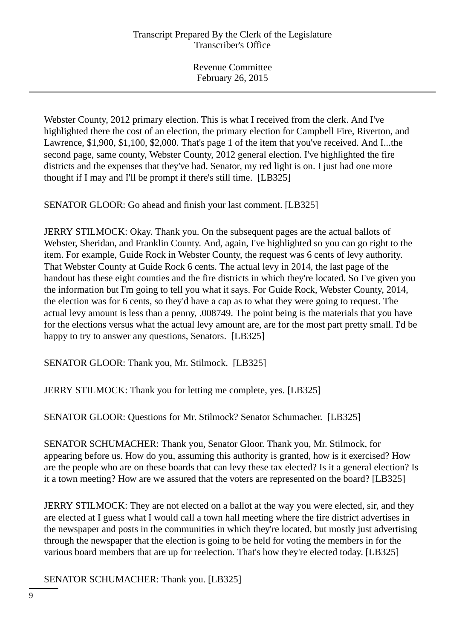Webster County, 2012 primary election. This is what I received from the clerk. And I've highlighted there the cost of an election, the primary election for Campbell Fire, Riverton, and Lawrence, \$1,900, \$1,100, \$2,000. That's page 1 of the item that you've received. And I...the second page, same county, Webster County, 2012 general election. I've highlighted the fire districts and the expenses that they've had. Senator, my red light is on. I just had one more thought if I may and I'll be prompt if there's still time. [LB325]

SENATOR GLOOR: Go ahead and finish your last comment. [LB325]

JERRY STILMOCK: Okay. Thank you. On the subsequent pages are the actual ballots of Webster, Sheridan, and Franklin County. And, again, I've highlighted so you can go right to the item. For example, Guide Rock in Webster County, the request was 6 cents of levy authority. That Webster County at Guide Rock 6 cents. The actual levy in 2014, the last page of the handout has these eight counties and the fire districts in which they're located. So I've given you the information but I'm going to tell you what it says. For Guide Rock, Webster County, 2014, the election was for 6 cents, so they'd have a cap as to what they were going to request. The actual levy amount is less than a penny, .008749. The point being is the materials that you have for the elections versus what the actual levy amount are, are for the most part pretty small. I'd be happy to try to answer any questions, Senators. [LB325]

SENATOR GLOOR: Thank you, Mr. Stilmock. [LB325]

JERRY STILMOCK: Thank you for letting me complete, yes. [LB325]

SENATOR GLOOR: Questions for Mr. Stilmock? Senator Schumacher. [LB325]

SENATOR SCHUMACHER: Thank you, Senator Gloor. Thank you, Mr. Stilmock, for appearing before us. How do you, assuming this authority is granted, how is it exercised? How are the people who are on these boards that can levy these tax elected? Is it a general election? Is it a town meeting? How are we assured that the voters are represented on the board? [LB325]

JERRY STILMOCK: They are not elected on a ballot at the way you were elected, sir, and they are elected at I guess what I would call a town hall meeting where the fire district advertises in the newspaper and posts in the communities in which they're located, but mostly just advertising through the newspaper that the election is going to be held for voting the members in for the various board members that are up for reelection. That's how they're elected today. [LB325]

SENATOR SCHUMACHER: Thank you. [LB325]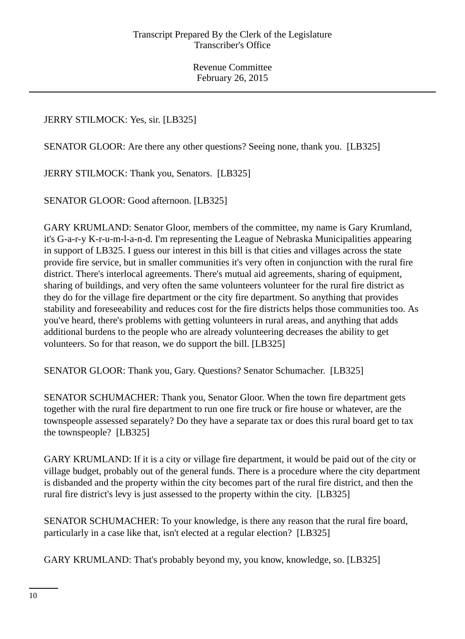# JERRY STILMOCK: Yes, sir. [LB325]

SENATOR GLOOR: Are there any other questions? Seeing none, thank you. [LB325]

JERRY STILMOCK: Thank you, Senators. [LB325]

SENATOR GLOOR: Good afternoon. [LB325]

GARY KRUMLAND: Senator Gloor, members of the committee, my name is Gary Krumland, it's G-a-r-y K-r-u-m-l-a-n-d. I'm representing the League of Nebraska Municipalities appearing in support of LB325. I guess our interest in this bill is that cities and villages across the state provide fire service, but in smaller communities it's very often in conjunction with the rural fire district. There's interlocal agreements. There's mutual aid agreements, sharing of equipment, sharing of buildings, and very often the same volunteers volunteer for the rural fire district as they do for the village fire department or the city fire department. So anything that provides stability and foreseeability and reduces cost for the fire districts helps those communities too. As you've heard, there's problems with getting volunteers in rural areas, and anything that adds additional burdens to the people who are already volunteering decreases the ability to get volunteers. So for that reason, we do support the bill. [LB325]

SENATOR GLOOR: Thank you, Gary. Questions? Senator Schumacher. [LB325]

SENATOR SCHUMACHER: Thank you, Senator Gloor. When the town fire department gets together with the rural fire department to run one fire truck or fire house or whatever, are the townspeople assessed separately? Do they have a separate tax or does this rural board get to tax the townspeople? [LB325]

GARY KRUMLAND: If it is a city or village fire department, it would be paid out of the city or village budget, probably out of the general funds. There is a procedure where the city department is disbanded and the property within the city becomes part of the rural fire district, and then the rural fire district's levy is just assessed to the property within the city. [LB325]

SENATOR SCHUMACHER: To your knowledge, is there any reason that the rural fire board, particularly in a case like that, isn't elected at a regular election? [LB325]

GARY KRUMLAND: That's probably beyond my, you know, knowledge, so. [LB325]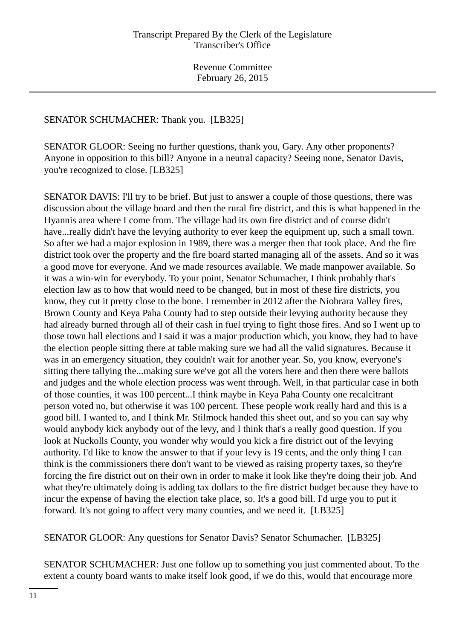#### SENATOR SCHUMACHER: Thank you. [LB325]

SENATOR GLOOR: Seeing no further questions, thank you, Gary. Any other proponents? Anyone in opposition to this bill? Anyone in a neutral capacity? Seeing none, Senator Davis, you're recognized to close. [LB325]

SENATOR DAVIS: I'll try to be brief. But just to answer a couple of those questions, there was discussion about the village board and then the rural fire district, and this is what happened in the Hyannis area where I come from. The village had its own fire district and of course didn't have...really didn't have the levying authority to ever keep the equipment up, such a small town. So after we had a major explosion in 1989, there was a merger then that took place. And the fire district took over the property and the fire board started managing all of the assets. And so it was a good move for everyone. And we made resources available. We made manpower available. So it was a win-win for everybody. To your point, Senator Schumacher, I think probably that's election law as to how that would need to be changed, but in most of these fire districts, you know, they cut it pretty close to the bone. I remember in 2012 after the Niobrara Valley fires, Brown County and Keya Paha County had to step outside their levying authority because they had already burned through all of their cash in fuel trying to fight those fires. And so I went up to those town hall elections and I said it was a major production which, you know, they had to have the election people sitting there at table making sure we had all the valid signatures. Because it was in an emergency situation, they couldn't wait for another year. So, you know, everyone's sitting there tallying the...making sure we've got all the voters here and then there were ballots and judges and the whole election process was went through. Well, in that particular case in both of those counties, it was 100 percent...I think maybe in Keya Paha County one recalcitrant person voted no, but otherwise it was 100 percent. These people work really hard and this is a good bill. I wanted to, and I think Mr. Stilmock handed this sheet out, and so you can say why would anybody kick anybody out of the levy, and I think that's a really good question. If you look at Nuckolls County, you wonder why would you kick a fire district out of the levying authority. I'd like to know the answer to that if your levy is 19 cents, and the only thing I can think is the commissioners there don't want to be viewed as raising property taxes, so they're forcing the fire district out on their own in order to make it look like they're doing their job. And what they're ultimately doing is adding tax dollars to the fire district budget because they have to incur the expense of having the election take place, so. It's a good bill. I'd urge you to put it forward. It's not going to affect very many counties, and we need it. [LB325]

SENATOR GLOOR: Any questions for Senator Davis? Senator Schumacher. [LB325]

SENATOR SCHUMACHER: Just one follow up to something you just commented about. To the extent a county board wants to make itself look good, if we do this, would that encourage more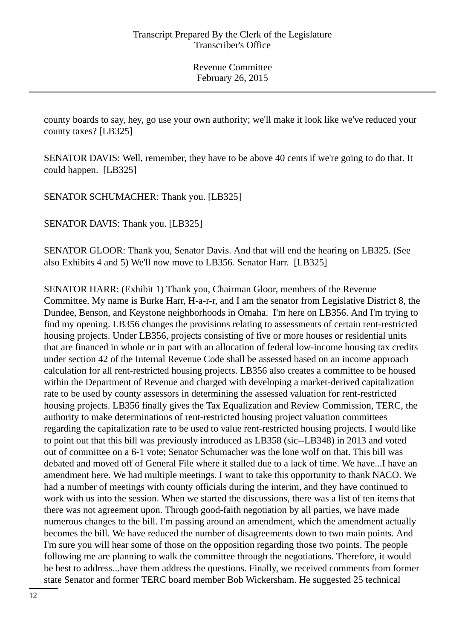county boards to say, hey, go use your own authority; we'll make it look like we've reduced your county taxes? [LB325]

SENATOR DAVIS: Well, remember, they have to be above 40 cents if we're going to do that. It could happen. [LB325]

SENATOR SCHUMACHER: Thank you. [LB325]

SENATOR DAVIS: Thank you. [LB325]

SENATOR GLOOR: Thank you, Senator Davis. And that will end the hearing on LB325. (See also Exhibits 4 and 5) We'll now move to LB356. Senator Harr. [LB325]

SENATOR HARR: (Exhibit 1) Thank you, Chairman Gloor, members of the Revenue Committee. My name is Burke Harr, H-a-r-r, and I am the senator from Legislative District 8, the Dundee, Benson, and Keystone neighborhoods in Omaha. I'm here on LB356. And I'm trying to find my opening. LB356 changes the provisions relating to assessments of certain rent-restricted housing projects. Under LB356, projects consisting of five or more houses or residential units that are financed in whole or in part with an allocation of federal low-income housing tax credits under section 42 of the Internal Revenue Code shall be assessed based on an income approach calculation for all rent-restricted housing projects. LB356 also creates a committee to be housed within the Department of Revenue and charged with developing a market-derived capitalization rate to be used by county assessors in determining the assessed valuation for rent-restricted housing projects. LB356 finally gives the Tax Equalization and Review Commission, TERC, the authority to make determinations of rent-restricted housing project valuation committees regarding the capitalization rate to be used to value rent-restricted housing projects. I would like to point out that this bill was previously introduced as LB358 (sic--LB348) in 2013 and voted out of committee on a 6-1 vote; Senator Schumacher was the lone wolf on that. This bill was debated and moved off of General File where it stalled due to a lack of time. We have...I have an amendment here. We had multiple meetings. I want to take this opportunity to thank NACO. We had a number of meetings with county officials during the interim, and they have continued to work with us into the session. When we started the discussions, there was a list of ten items that there was not agreement upon. Through good-faith negotiation by all parties, we have made numerous changes to the bill. I'm passing around an amendment, which the amendment actually becomes the bill. We have reduced the number of disagreements down to two main points. And I'm sure you will hear some of those on the opposition regarding those two points. The people following me are planning to walk the committee through the negotiations. Therefore, it would be best to address...have them address the questions. Finally, we received comments from former state Senator and former TERC board member Bob Wickersham. He suggested 25 technical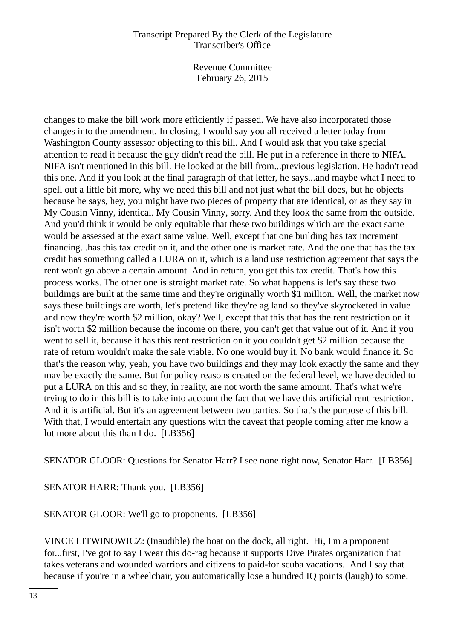Revenue Committee February 26, 2015

changes to make the bill work more efficiently if passed. We have also incorporated those changes into the amendment. In closing, I would say you all received a letter today from Washington County assessor objecting to this bill. And I would ask that you take special attention to read it because the guy didn't read the bill. He put in a reference in there to NIFA. NIFA isn't mentioned in this bill. He looked at the bill from...previous legislation. He hadn't read this one. And if you look at the final paragraph of that letter, he says...and maybe what I need to spell out a little bit more, why we need this bill and not just what the bill does, but he objects because he says, hey, you might have two pieces of property that are identical, or as they say in My Cousin Vinny, identical. My Cousin Vinny, sorry. And they look the same from the outside. And you'd think it would be only equitable that these two buildings which are the exact same would be assessed at the exact same value. Well, except that one building has tax increment financing...has this tax credit on it, and the other one is market rate. And the one that has the tax credit has something called a LURA on it, which is a land use restriction agreement that says the rent won't go above a certain amount. And in return, you get this tax credit. That's how this process works. The other one is straight market rate. So what happens is let's say these two buildings are built at the same time and they're originally worth \$1 million. Well, the market now says these buildings are worth, let's pretend like they're ag land so they've skyrocketed in value and now they're worth \$2 million, okay? Well, except that this that has the rent restriction on it isn't worth \$2 million because the income on there, you can't get that value out of it. And if you went to sell it, because it has this rent restriction on it you couldn't get \$2 million because the rate of return wouldn't make the sale viable. No one would buy it. No bank would finance it. So that's the reason why, yeah, you have two buildings and they may look exactly the same and they may be exactly the same. But for policy reasons created on the federal level, we have decided to put a LURA on this and so they, in reality, are not worth the same amount. That's what we're trying to do in this bill is to take into account the fact that we have this artificial rent restriction. And it is artificial. But it's an agreement between two parties. So that's the purpose of this bill. With that, I would entertain any questions with the caveat that people coming after me know a lot more about this than I do. [LB356]

SENATOR GLOOR: Questions for Senator Harr? I see none right now, Senator Harr. [LB356]

SENATOR HARR: Thank you. [LB356]

SENATOR GLOOR: We'll go to proponents. [LB356]

VINCE LITWINOWICZ: (Inaudible) the boat on the dock, all right. Hi, I'm a proponent for...first, I've got to say I wear this do-rag because it supports Dive Pirates organization that takes veterans and wounded warriors and citizens to paid-for scuba vacations. And I say that because if you're in a wheelchair, you automatically lose a hundred IQ points (laugh) to some.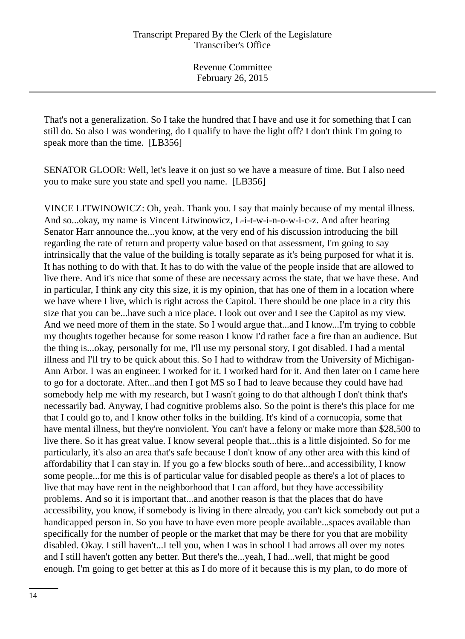That's not a generalization. So I take the hundred that I have and use it for something that I can still do. So also I was wondering, do I qualify to have the light off? I don't think I'm going to speak more than the time. [LB356]

SENATOR GLOOR: Well, let's leave it on just so we have a measure of time. But I also need you to make sure you state and spell you name. [LB356]

VINCE LITWINOWICZ: Oh, yeah. Thank you. I say that mainly because of my mental illness. And so...okay, my name is Vincent Litwinowicz, L-i-t-w-i-n-o-w-i-c-z. And after hearing Senator Harr announce the...you know, at the very end of his discussion introducing the bill regarding the rate of return and property value based on that assessment, I'm going to say intrinsically that the value of the building is totally separate as it's being purposed for what it is. It has nothing to do with that. It has to do with the value of the people inside that are allowed to live there. And it's nice that some of these are necessary across the state, that we have these. And in particular, I think any city this size, it is my opinion, that has one of them in a location where we have where I live, which is right across the Capitol. There should be one place in a city this size that you can be...have such a nice place. I look out over and I see the Capitol as my view. And we need more of them in the state. So I would argue that...and I know...I'm trying to cobble my thoughts together because for some reason I know I'd rather face a fire than an audience. But the thing is...okay, personally for me, I'll use my personal story, I got disabled. I had a mental illness and I'll try to be quick about this. So I had to withdraw from the University of Michigan-Ann Arbor. I was an engineer. I worked for it. I worked hard for it. And then later on I came here to go for a doctorate. After...and then I got MS so I had to leave because they could have had somebody help me with my research, but I wasn't going to do that although I don't think that's necessarily bad. Anyway, I had cognitive problems also. So the point is there's this place for me that I could go to, and I know other folks in the building. It's kind of a cornucopia, some that have mental illness, but they're nonviolent. You can't have a felony or make more than \$28,500 to live there. So it has great value. I know several people that...this is a little disjointed. So for me particularly, it's also an area that's safe because I don't know of any other area with this kind of affordability that I can stay in. If you go a few blocks south of here...and accessibility, I know some people...for me this is of particular value for disabled people as there's a lot of places to live that may have rent in the neighborhood that I can afford, but they have accessibility problems. And so it is important that...and another reason is that the places that do have accessibility, you know, if somebody is living in there already, you can't kick somebody out put a handicapped person in. So you have to have even more people available...spaces available than specifically for the number of people or the market that may be there for you that are mobility disabled. Okay. I still haven't...I tell you, when I was in school I had arrows all over my notes and I still haven't gotten any better. But there's the...yeah, I had...well, that might be good enough. I'm going to get better at this as I do more of it because this is my plan, to do more of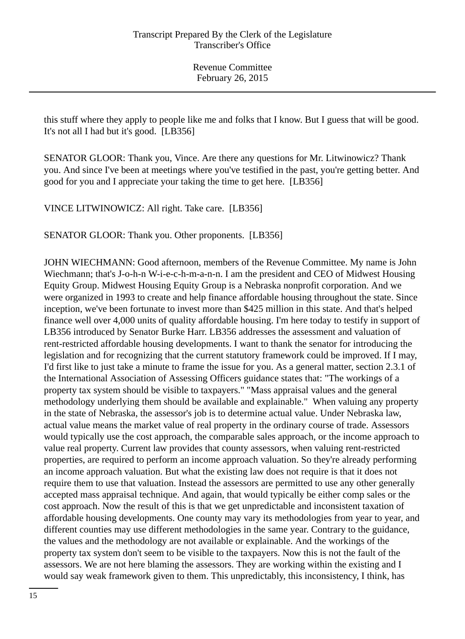this stuff where they apply to people like me and folks that I know. But I guess that will be good. It's not all I had but it's good. [LB356]

SENATOR GLOOR: Thank you, Vince. Are there any questions for Mr. Litwinowicz? Thank you. And since I've been at meetings where you've testified in the past, you're getting better. And good for you and I appreciate your taking the time to get here. [LB356]

VINCE LITWINOWICZ: All right. Take care. [LB356]

SENATOR GLOOR: Thank you. Other proponents. [LB356]

JOHN WIECHMANN: Good afternoon, members of the Revenue Committee. My name is John Wiechmann; that's J-o-h-n W-i-e-c-h-m-a-n-n. I am the president and CEO of Midwest Housing Equity Group. Midwest Housing Equity Group is a Nebraska nonprofit corporation. And we were organized in 1993 to create and help finance affordable housing throughout the state. Since inception, we've been fortunate to invest more than \$425 million in this state. And that's helped finance well over 4,000 units of quality affordable housing. I'm here today to testify in support of LB356 introduced by Senator Burke Harr. LB356 addresses the assessment and valuation of rent-restricted affordable housing developments. I want to thank the senator for introducing the legislation and for recognizing that the current statutory framework could be improved. If I may, I'd first like to just take a minute to frame the issue for you. As a general matter, section 2.3.1 of the International Association of Assessing Officers guidance states that: "The workings of a property tax system should be visible to taxpayers." "Mass appraisal values and the general methodology underlying them should be available and explainable." When valuing any property in the state of Nebraska, the assessor's job is to determine actual value. Under Nebraska law, actual value means the market value of real property in the ordinary course of trade. Assessors would typically use the cost approach, the comparable sales approach, or the income approach to value real property. Current law provides that county assessors, when valuing rent-restricted properties, are required to perform an income approach valuation. So they're already performing an income approach valuation. But what the existing law does not require is that it does not require them to use that valuation. Instead the assessors are permitted to use any other generally accepted mass appraisal technique. And again, that would typically be either comp sales or the cost approach. Now the result of this is that we get unpredictable and inconsistent taxation of affordable housing developments. One county may vary its methodologies from year to year, and different counties may use different methodologies in the same year. Contrary to the guidance, the values and the methodology are not available or explainable. And the workings of the property tax system don't seem to be visible to the taxpayers. Now this is not the fault of the assessors. We are not here blaming the assessors. They are working within the existing and I would say weak framework given to them. This unpredictably, this inconsistency, I think, has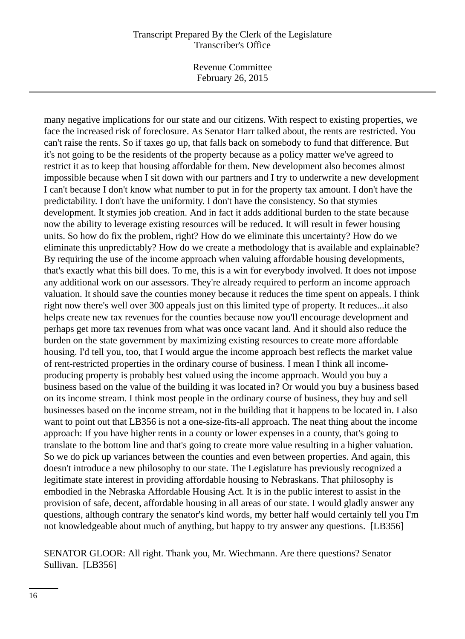Revenue Committee February 26, 2015

many negative implications for our state and our citizens. With respect to existing properties, we face the increased risk of foreclosure. As Senator Harr talked about, the rents are restricted. You can't raise the rents. So if taxes go up, that falls back on somebody to fund that difference. But it's not going to be the residents of the property because as a policy matter we've agreed to restrict it as to keep that housing affordable for them. New development also becomes almost impossible because when I sit down with our partners and I try to underwrite a new development I can't because I don't know what number to put in for the property tax amount. I don't have the predictability. I don't have the uniformity. I don't have the consistency. So that stymies development. It stymies job creation. And in fact it adds additional burden to the state because now the ability to leverage existing resources will be reduced. It will result in fewer housing units. So how do fix the problem, right? How do we eliminate this uncertainty? How do we eliminate this unpredictably? How do we create a methodology that is available and explainable? By requiring the use of the income approach when valuing affordable housing developments, that's exactly what this bill does. To me, this is a win for everybody involved. It does not impose any additional work on our assessors. They're already required to perform an income approach valuation. It should save the counties money because it reduces the time spent on appeals. I think right now there's well over 300 appeals just on this limited type of property. It reduces...it also helps create new tax revenues for the counties because now you'll encourage development and perhaps get more tax revenues from what was once vacant land. And it should also reduce the burden on the state government by maximizing existing resources to create more affordable housing. I'd tell you, too, that I would argue the income approach best reflects the market value of rent-restricted properties in the ordinary course of business. I mean I think all incomeproducing property is probably best valued using the income approach. Would you buy a business based on the value of the building it was located in? Or would you buy a business based on its income stream. I think most people in the ordinary course of business, they buy and sell businesses based on the income stream, not in the building that it happens to be located in. I also want to point out that LB356 is not a one-size-fits-all approach. The neat thing about the income approach: If you have higher rents in a county or lower expenses in a county, that's going to translate to the bottom line and that's going to create more value resulting in a higher valuation. So we do pick up variances between the counties and even between properties. And again, this doesn't introduce a new philosophy to our state. The Legislature has previously recognized a legitimate state interest in providing affordable housing to Nebraskans. That philosophy is embodied in the Nebraska Affordable Housing Act. It is in the public interest to assist in the provision of safe, decent, affordable housing in all areas of our state. I would gladly answer any questions, although contrary the senator's kind words, my better half would certainly tell you I'm not knowledgeable about much of anything, but happy to try answer any questions. [LB356]

## SENATOR GLOOR: All right. Thank you, Mr. Wiechmann. Are there questions? Senator Sullivan. [LB356]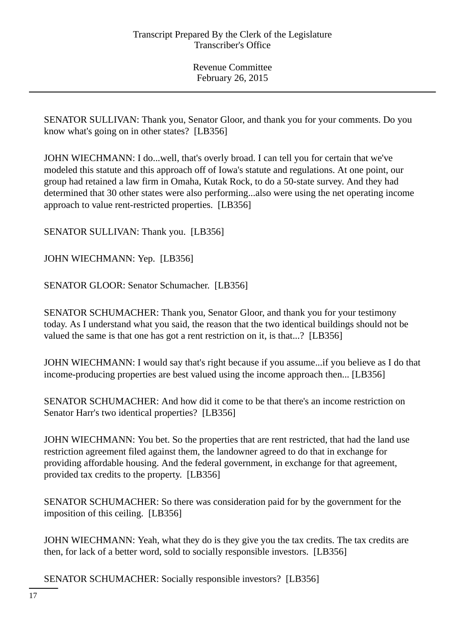SENATOR SULLIVAN: Thank you, Senator Gloor, and thank you for your comments. Do you know what's going on in other states? [LB356]

JOHN WIECHMANN: I do...well, that's overly broad. I can tell you for certain that we've modeled this statute and this approach off of Iowa's statute and regulations. At one point, our group had retained a law firm in Omaha, Kutak Rock, to do a 50-state survey. And they had determined that 30 other states were also performing...also were using the net operating income approach to value rent-restricted properties. [LB356]

SENATOR SULLIVAN: Thank you. [LB356]

JOHN WIECHMANN: Yep. [LB356]

SENATOR GLOOR: Senator Schumacher. [LB356]

SENATOR SCHUMACHER: Thank you, Senator Gloor, and thank you for your testimony today. As I understand what you said, the reason that the two identical buildings should not be valued the same is that one has got a rent restriction on it, is that...? [LB356]

JOHN WIECHMANN: I would say that's right because if you assume...if you believe as I do that income-producing properties are best valued using the income approach then... [LB356]

SENATOR SCHUMACHER: And how did it come to be that there's an income restriction on Senator Harr's two identical properties? [LB356]

JOHN WIECHMANN: You bet. So the properties that are rent restricted, that had the land use restriction agreement filed against them, the landowner agreed to do that in exchange for providing affordable housing. And the federal government, in exchange for that agreement, provided tax credits to the property. [LB356]

SENATOR SCHUMACHER: So there was consideration paid for by the government for the imposition of this ceiling. [LB356]

JOHN WIECHMANN: Yeah, what they do is they give you the tax credits. The tax credits are then, for lack of a better word, sold to socially responsible investors. [LB356]

SENATOR SCHUMACHER: Socially responsible investors? [LB356]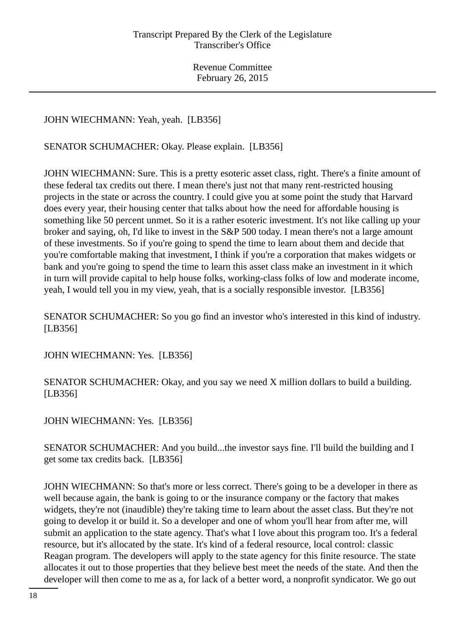JOHN WIECHMANN: Yeah, yeah. [LB356]

SENATOR SCHUMACHER: Okay. Please explain. [LB356]

JOHN WIECHMANN: Sure. This is a pretty esoteric asset class, right. There's a finite amount of these federal tax credits out there. I mean there's just not that many rent-restricted housing projects in the state or across the country. I could give you at some point the study that Harvard does every year, their housing center that talks about how the need for affordable housing is something like 50 percent unmet. So it is a rather esoteric investment. It's not like calling up your broker and saying, oh, I'd like to invest in the S&P 500 today. I mean there's not a large amount of these investments. So if you're going to spend the time to learn about them and decide that you're comfortable making that investment, I think if you're a corporation that makes widgets or bank and you're going to spend the time to learn this asset class make an investment in it which in turn will provide capital to help house folks, working-class folks of low and moderate income, yeah, I would tell you in my view, yeah, that is a socially responsible investor. [LB356]

SENATOR SCHUMACHER: So you go find an investor who's interested in this kind of industry. [LB356]

JOHN WIECHMANN: Yes. [LB356]

SENATOR SCHUMACHER: Okay, and you say we need X million dollars to build a building. [LB356]

JOHN WIECHMANN: Yes. [LB356]

SENATOR SCHUMACHER: And you build...the investor says fine. I'll build the building and I get some tax credits back. [LB356]

JOHN WIECHMANN: So that's more or less correct. There's going to be a developer in there as well because again, the bank is going to or the insurance company or the factory that makes widgets, they're not (inaudible) they're taking time to learn about the asset class. But they're not going to develop it or build it. So a developer and one of whom you'll hear from after me, will submit an application to the state agency. That's what I love about this program too. It's a federal resource, but it's allocated by the state. It's kind of a federal resource, local control: classic Reagan program. The developers will apply to the state agency for this finite resource. The state allocates it out to those properties that they believe best meet the needs of the state. And then the developer will then come to me as a, for lack of a better word, a nonprofit syndicator. We go out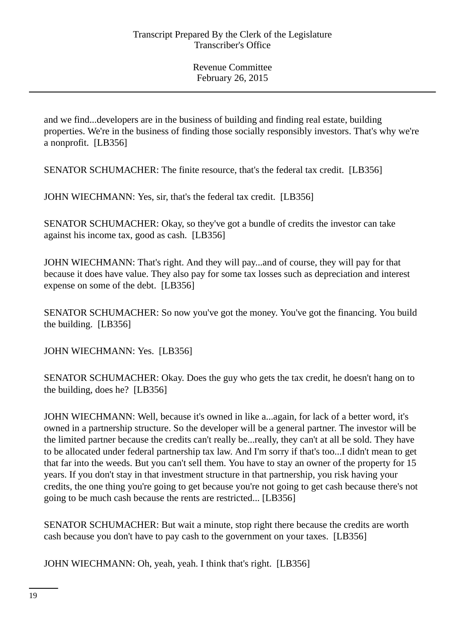and we find...developers are in the business of building and finding real estate, building properties. We're in the business of finding those socially responsibly investors. That's why we're a nonprofit. [LB356]

SENATOR SCHUMACHER: The finite resource, that's the federal tax credit. [LB356]

JOHN WIECHMANN: Yes, sir, that's the federal tax credit. [LB356]

SENATOR SCHUMACHER: Okay, so they've got a bundle of credits the investor can take against his income tax, good as cash. [LB356]

JOHN WIECHMANN: That's right. And they will pay...and of course, they will pay for that because it does have value. They also pay for some tax losses such as depreciation and interest expense on some of the debt. [LB356]

SENATOR SCHUMACHER: So now you've got the money. You've got the financing. You build the building. [LB356]

JOHN WIECHMANN: Yes. [LB356]

SENATOR SCHUMACHER: Okay. Does the guy who gets the tax credit, he doesn't hang on to the building, does he? [LB356]

JOHN WIECHMANN: Well, because it's owned in like a...again, for lack of a better word, it's owned in a partnership structure. So the developer will be a general partner. The investor will be the limited partner because the credits can't really be...really, they can't at all be sold. They have to be allocated under federal partnership tax law. And I'm sorry if that's too...I didn't mean to get that far into the weeds. But you can't sell them. You have to stay an owner of the property for 15 years. If you don't stay in that investment structure in that partnership, you risk having your credits, the one thing you're going to get because you're not going to get cash because there's not going to be much cash because the rents are restricted... [LB356]

SENATOR SCHUMACHER: But wait a minute, stop right there because the credits are worth cash because you don't have to pay cash to the government on your taxes. [LB356]

JOHN WIECHMANN: Oh, yeah, yeah. I think that's right. [LB356]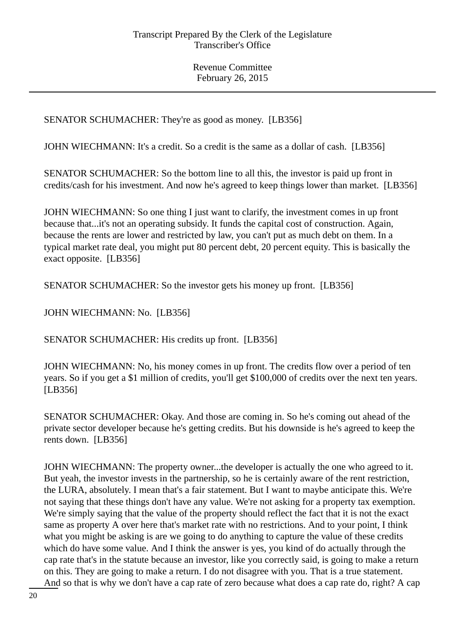SENATOR SCHUMACHER: They're as good as money. [LB356]

JOHN WIECHMANN: It's a credit. So a credit is the same as a dollar of cash. [LB356]

SENATOR SCHUMACHER: So the bottom line to all this, the investor is paid up front in credits/cash for his investment. And now he's agreed to keep things lower than market. [LB356]

JOHN WIECHMANN: So one thing I just want to clarify, the investment comes in up front because that...it's not an operating subsidy. It funds the capital cost of construction. Again, because the rents are lower and restricted by law, you can't put as much debt on them. In a typical market rate deal, you might put 80 percent debt, 20 percent equity. This is basically the exact opposite. [LB356]

SENATOR SCHUMACHER: So the investor gets his money up front. [LB356]

JOHN WIECHMANN: No. [LB356]

SENATOR SCHUMACHER: His credits up front. [LB356]

JOHN WIECHMANN: No, his money comes in up front. The credits flow over a period of ten years. So if you get a \$1 million of credits, you'll get \$100,000 of credits over the next ten years. [LB356]

SENATOR SCHUMACHER: Okay. And those are coming in. So he's coming out ahead of the private sector developer because he's getting credits. But his downside is he's agreed to keep the rents down. [LB356]

JOHN WIECHMANN: The property owner...the developer is actually the one who agreed to it. But yeah, the investor invests in the partnership, so he is certainly aware of the rent restriction, the LURA, absolutely. I mean that's a fair statement. But I want to maybe anticipate this. We're not saying that these things don't have any value. We're not asking for a property tax exemption. We're simply saying that the value of the property should reflect the fact that it is not the exact same as property A over here that's market rate with no restrictions. And to your point, I think what you might be asking is are we going to do anything to capture the value of these credits which do have some value. And I think the answer is yes, you kind of do actually through the cap rate that's in the statute because an investor, like you correctly said, is going to make a return on this. They are going to make a return. I do not disagree with you. That is a true statement. And so that is why we don't have a cap rate of zero because what does a cap rate do, right? A cap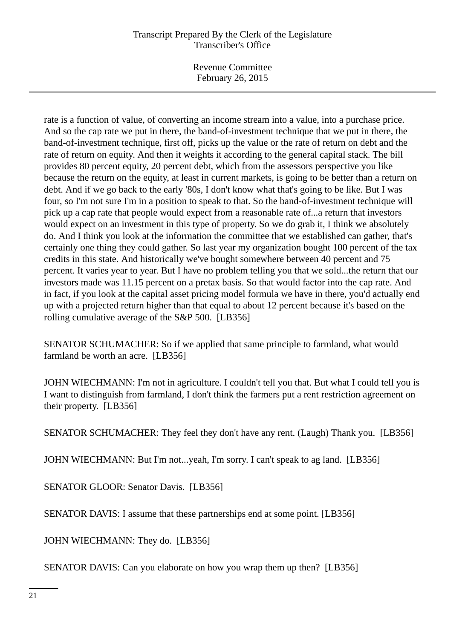Revenue Committee February 26, 2015

rate is a function of value, of converting an income stream into a value, into a purchase price. And so the cap rate we put in there, the band-of-investment technique that we put in there, the band-of-investment technique, first off, picks up the value or the rate of return on debt and the rate of return on equity. And then it weights it according to the general capital stack. The bill provides 80 percent equity, 20 percent debt, which from the assessors perspective you like because the return on the equity, at least in current markets, is going to be better than a return on debt. And if we go back to the early '80s, I don't know what that's going to be like. But I was four, so I'm not sure I'm in a position to speak to that. So the band-of-investment technique will pick up a cap rate that people would expect from a reasonable rate of...a return that investors would expect on an investment in this type of property. So we do grab it, I think we absolutely do. And I think you look at the information the committee that we established can gather, that's certainly one thing they could gather. So last year my organization bought 100 percent of the tax credits in this state. And historically we've bought somewhere between 40 percent and 75 percent. It varies year to year. But I have no problem telling you that we sold...the return that our investors made was 11.15 percent on a pretax basis. So that would factor into the cap rate. And in fact, if you look at the capital asset pricing model formula we have in there, you'd actually end up with a projected return higher than that equal to about 12 percent because it's based on the rolling cumulative average of the S&P 500. [LB356]

SENATOR SCHUMACHER: So if we applied that same principle to farmland, what would farmland be worth an acre. [LB356]

JOHN WIECHMANN: I'm not in agriculture. I couldn't tell you that. But what I could tell you is I want to distinguish from farmland, I don't think the farmers put a rent restriction agreement on their property. [LB356]

SENATOR SCHUMACHER: They feel they don't have any rent. (Laugh) Thank you. [LB356]

JOHN WIECHMANN: But I'm not...yeah, I'm sorry. I can't speak to ag land. [LB356]

SENATOR GLOOR: Senator Davis. [LB356]

SENATOR DAVIS: I assume that these partnerships end at some point. [LB356]

JOHN WIECHMANN: They do. [LB356]

SENATOR DAVIS: Can you elaborate on how you wrap them up then? [LB356]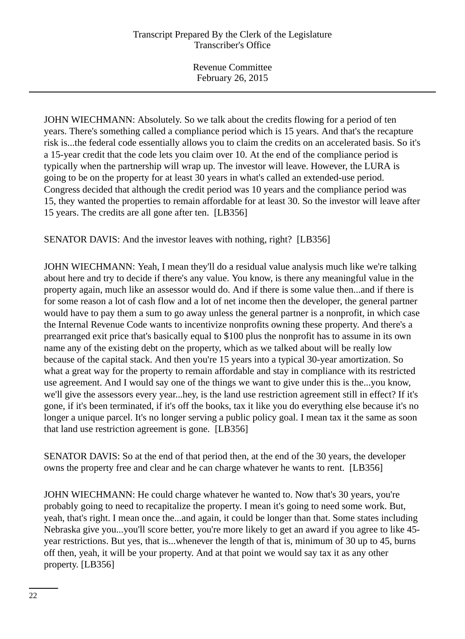JOHN WIECHMANN: Absolutely. So we talk about the credits flowing for a period of ten years. There's something called a compliance period which is 15 years. And that's the recapture risk is...the federal code essentially allows you to claim the credits on an accelerated basis. So it's a 15-year credit that the code lets you claim over 10. At the end of the compliance period is typically when the partnership will wrap up. The investor will leave. However, the LURA is going to be on the property for at least 30 years in what's called an extended-use period. Congress decided that although the credit period was 10 years and the compliance period was 15, they wanted the properties to remain affordable for at least 30. So the investor will leave after 15 years. The credits are all gone after ten. [LB356]

SENATOR DAVIS: And the investor leaves with nothing, right? [LB356]

JOHN WIECHMANN: Yeah, I mean they'll do a residual value analysis much like we're talking about here and try to decide if there's any value. You know, is there any meaningful value in the property again, much like an assessor would do. And if there is some value then...and if there is for some reason a lot of cash flow and a lot of net income then the developer, the general partner would have to pay them a sum to go away unless the general partner is a nonprofit, in which case the Internal Revenue Code wants to incentivize nonprofits owning these property. And there's a prearranged exit price that's basically equal to \$100 plus the nonprofit has to assume in its own name any of the existing debt on the property, which as we talked about will be really low because of the capital stack. And then you're 15 years into a typical 30-year amortization. So what a great way for the property to remain affordable and stay in compliance with its restricted use agreement. And I would say one of the things we want to give under this is the...you know, we'll give the assessors every year...hey, is the land use restriction agreement still in effect? If it's gone, if it's been terminated, if it's off the books, tax it like you do everything else because it's no longer a unique parcel. It's no longer serving a public policy goal. I mean tax it the same as soon that land use restriction agreement is gone. [LB356]

SENATOR DAVIS: So at the end of that period then, at the end of the 30 years, the developer owns the property free and clear and he can charge whatever he wants to rent. [LB356]

JOHN WIECHMANN: He could charge whatever he wanted to. Now that's 30 years, you're probably going to need to recapitalize the property. I mean it's going to need some work. But, yeah, that's right. I mean once the...and again, it could be longer than that. Some states including Nebraska give you...you'll score better, you're more likely to get an award if you agree to like 45 year restrictions. But yes, that is...whenever the length of that is, minimum of 30 up to 45, burns off then, yeah, it will be your property. And at that point we would say tax it as any other property. [LB356]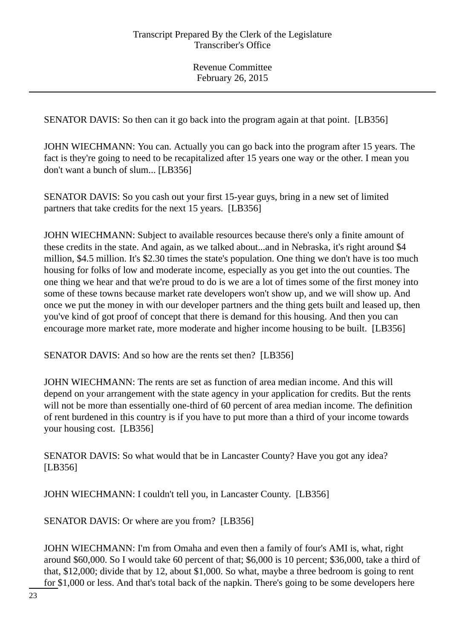SENATOR DAVIS: So then can it go back into the program again at that point. [LB356]

JOHN WIECHMANN: You can. Actually you can go back into the program after 15 years. The fact is they're going to need to be recapitalized after 15 years one way or the other. I mean you don't want a bunch of slum... [LB356]

SENATOR DAVIS: So you cash out your first 15-year guys, bring in a new set of limited partners that take credits for the next 15 years. [LB356]

JOHN WIECHMANN: Subject to available resources because there's only a finite amount of these credits in the state. And again, as we talked about...and in Nebraska, it's right around \$4 million, \$4.5 million. It's \$2.30 times the state's population. One thing we don't have is too much housing for folks of low and moderate income, especially as you get into the out counties. The one thing we hear and that we're proud to do is we are a lot of times some of the first money into some of these towns because market rate developers won't show up, and we will show up. And once we put the money in with our developer partners and the thing gets built and leased up, then you've kind of got proof of concept that there is demand for this housing. And then you can encourage more market rate, more moderate and higher income housing to be built. [LB356]

SENATOR DAVIS: And so how are the rents set then? [LB356]

JOHN WIECHMANN: The rents are set as function of area median income. And this will depend on your arrangement with the state agency in your application for credits. But the rents will not be more than essentially one-third of 60 percent of area median income. The definition of rent burdened in this country is if you have to put more than a third of your income towards your housing cost. [LB356]

SENATOR DAVIS: So what would that be in Lancaster County? Have you got any idea? [LB356]

JOHN WIECHMANN: I couldn't tell you, in Lancaster County. [LB356]

SENATOR DAVIS: Or where are you from? [LB356]

JOHN WIECHMANN: I'm from Omaha and even then a family of four's AMI is, what, right around \$60,000. So I would take 60 percent of that; \$6,000 is 10 percent; \$36,000, take a third of that, \$12,000; divide that by 12, about \$1,000. So what, maybe a three bedroom is going to rent for \$1,000 or less. And that's total back of the napkin. There's going to be some developers here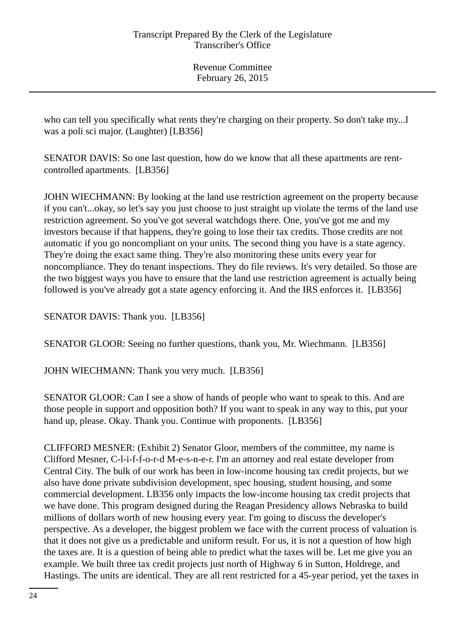who can tell you specifically what rents they're charging on their property. So don't take my...I was a poli sci major. (Laughter) [LB356]

SENATOR DAVIS: So one last question, how do we know that all these apartments are rentcontrolled apartments. [LB356]

JOHN WIECHMANN: By looking at the land use restriction agreement on the property because if you can't...okay, so let's say you just choose to just straight up violate the terms of the land use restriction agreement. So you've got several watchdogs there. One, you've got me and my investors because if that happens, they're going to lose their tax credits. Those credits are not automatic if you go noncompliant on your units. The second thing you have is a state agency. They're doing the exact same thing. They're also monitoring these units every year for noncompliance. They do tenant inspections. They do file reviews. It's very detailed. So those are the two biggest ways you have to ensure that the land use restriction agreement is actually being followed is you've already got a state agency enforcing it. And the IRS enforces it. [LB356]

SENATOR DAVIS: Thank you. [LB356]

SENATOR GLOOR: Seeing no further questions, thank you, Mr. Wiechmann. [LB356]

JOHN WIECHMANN: Thank you very much. [LB356]

SENATOR GLOOR: Can I see a show of hands of people who want to speak to this. And are those people in support and opposition both? If you want to speak in any way to this, put your hand up, please. Okay. Thank you. Continue with proponents. [LB356]

CLIFFORD MESNER: (Exhibit 2) Senator Gloor, members of the committee, my name is Clifford Mesner, C-l-i-f-f-o-r-d M-e-s-n-e-r. I'm an attorney and real estate developer from Central City. The bulk of our work has been in low-income housing tax credit projects, but we also have done private subdivision development, spec housing, student housing, and some commercial development. LB356 only impacts the low-income housing tax credit projects that we have done. This program designed during the Reagan Presidency allows Nebraska to build millions of dollars worth of new housing every year. I'm going to discuss the developer's perspective. As a developer, the biggest problem we face with the current process of valuation is that it does not give us a predictable and uniform result. For us, it is not a question of how high the taxes are. It is a question of being able to predict what the taxes will be. Let me give you an example. We built three tax credit projects just north of Highway 6 in Sutton, Holdrege, and Hastings. The units are identical. They are all rent restricted for a 45-year period, yet the taxes in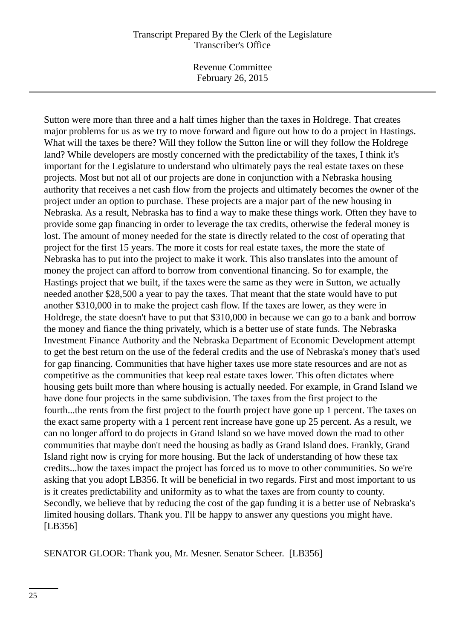Revenue Committee February 26, 2015

Sutton were more than three and a half times higher than the taxes in Holdrege. That creates major problems for us as we try to move forward and figure out how to do a project in Hastings. What will the taxes be there? Will they follow the Sutton line or will they follow the Holdrege land? While developers are mostly concerned with the predictability of the taxes, I think it's important for the Legislature to understand who ultimately pays the real estate taxes on these projects. Most but not all of our projects are done in conjunction with a Nebraska housing authority that receives a net cash flow from the projects and ultimately becomes the owner of the project under an option to purchase. These projects are a major part of the new housing in Nebraska. As a result, Nebraska has to find a way to make these things work. Often they have to provide some gap financing in order to leverage the tax credits, otherwise the federal money is lost. The amount of money needed for the state is directly related to the cost of operating that project for the first 15 years. The more it costs for real estate taxes, the more the state of Nebraska has to put into the project to make it work. This also translates into the amount of money the project can afford to borrow from conventional financing. So for example, the Hastings project that we built, if the taxes were the same as they were in Sutton, we actually needed another \$28,500 a year to pay the taxes. That meant that the state would have to put another \$310,000 in to make the project cash flow. If the taxes are lower, as they were in Holdrege, the state doesn't have to put that \$310,000 in because we can go to a bank and borrow the money and fiance the thing privately, which is a better use of state funds. The Nebraska Investment Finance Authority and the Nebraska Department of Economic Development attempt to get the best return on the use of the federal credits and the use of Nebraska's money that's used for gap financing. Communities that have higher taxes use more state resources and are not as competitive as the communities that keep real estate taxes lower. This often dictates where housing gets built more than where housing is actually needed. For example, in Grand Island we have done four projects in the same subdivision. The taxes from the first project to the fourth...the rents from the first project to the fourth project have gone up 1 percent. The taxes on the exact same property with a 1 percent rent increase have gone up 25 percent. As a result, we can no longer afford to do projects in Grand Island so we have moved down the road to other communities that maybe don't need the housing as badly as Grand Island does. Frankly, Grand Island right now is crying for more housing. But the lack of understanding of how these tax credits...how the taxes impact the project has forced us to move to other communities. So we're asking that you adopt LB356. It will be beneficial in two regards. First and most important to us is it creates predictability and uniformity as to what the taxes are from county to county. Secondly, we believe that by reducing the cost of the gap funding it is a better use of Nebraska's limited housing dollars. Thank you. I'll be happy to answer any questions you might have. [LB356]

SENATOR GLOOR: Thank you, Mr. Mesner. Senator Scheer. [LB356]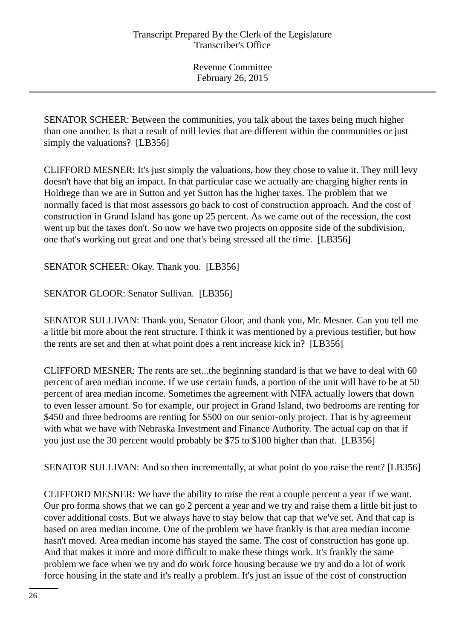SENATOR SCHEER: Between the communities, you talk about the taxes being much higher than one another. Is that a result of mill levies that are different within the communities or just simply the valuations? [LB356]

CLIFFORD MESNER: It's just simply the valuations, how they chose to value it. They mill levy doesn't have that big an impact. In that particular case we actually are charging higher rents in Holdrege than we are in Sutton and yet Sutton has the higher taxes. The problem that we normally faced is that most assessors go back to cost of construction approach. And the cost of construction in Grand Island has gone up 25 percent. As we came out of the recession, the cost went up but the taxes don't. So now we have two projects on opposite side of the subdivision, one that's working out great and one that's being stressed all the time. [LB356]

SENATOR SCHEER: Okay. Thank you. [LB356]

SENATOR GLOOR: Senator Sullivan. [LB356]

SENATOR SULLIVAN: Thank you, Senator Gloor, and thank you, Mr. Mesner. Can you tell me a little bit more about the rent structure. I think it was mentioned by a previous testifier, but how the rents are set and then at what point does a rent increase kick in? [LB356]

CLIFFORD MESNER: The rents are set...the beginning standard is that we have to deal with 60 percent of area median income. If we use certain funds, a portion of the unit will have to be at 50 percent of area median income. Sometimes the agreement with NIFA actually lowers that down to even lesser amount. So for example, our project in Grand Island, two bedrooms are renting for \$450 and three bedrooms are renting for \$500 on our senior-only project. That is by agreement with what we have with Nebraska Investment and Finance Authority. The actual cap on that if you just use the 30 percent would probably be \$75 to \$100 higher than that. [LB356]

SENATOR SULLIVAN: And so then incrementally, at what point do you raise the rent? [LB356]

CLIFFORD MESNER: We have the ability to raise the rent a couple percent a year if we want. Our pro forma shows that we can go 2 percent a year and we try and raise them a little bit just to cover additional costs. But we always have to stay below that cap that we've set. And that cap is based on area median income. One of the problem we have frankly is that area median income hasn't moved. Area median income has stayed the same. The cost of construction has gone up. And that makes it more and more difficult to make these things work. It's frankly the same problem we face when we try and do work force housing because we try and do a lot of work force housing in the state and it's really a problem. It's just an issue of the cost of construction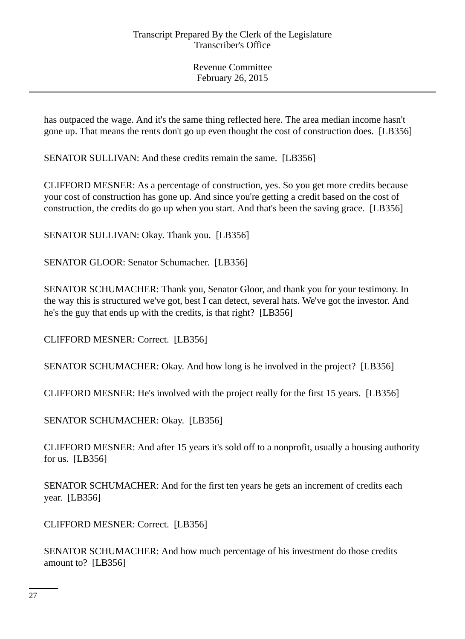has outpaced the wage. And it's the same thing reflected here. The area median income hasn't gone up. That means the rents don't go up even thought the cost of construction does. [LB356]

SENATOR SULLIVAN: And these credits remain the same. [LB356]

CLIFFORD MESNER: As a percentage of construction, yes. So you get more credits because your cost of construction has gone up. And since you're getting a credit based on the cost of construction, the credits do go up when you start. And that's been the saving grace. [LB356]

SENATOR SULLIVAN: Okay. Thank you. [LB356]

SENATOR GLOOR: Senator Schumacher. [LB356]

SENATOR SCHUMACHER: Thank you, Senator Gloor, and thank you for your testimony. In the way this is structured we've got, best I can detect, several hats. We've got the investor. And he's the guy that ends up with the credits, is that right? [LB356]

CLIFFORD MESNER: Correct. [LB356]

SENATOR SCHUMACHER: Okay. And how long is he involved in the project? [LB356]

CLIFFORD MESNER: He's involved with the project really for the first 15 years. [LB356]

SENATOR SCHUMACHER: Okay. [LB356]

CLIFFORD MESNER: And after 15 years it's sold off to a nonprofit, usually a housing authority for us. [LB356]

SENATOR SCHUMACHER: And for the first ten years he gets an increment of credits each year. [LB356]

CLIFFORD MESNER: Correct. [LB356]

SENATOR SCHUMACHER: And how much percentage of his investment do those credits amount to? [LB356]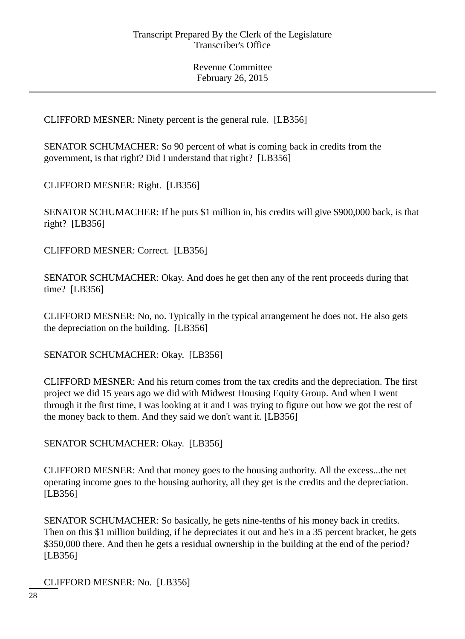CLIFFORD MESNER: Ninety percent is the general rule. [LB356]

SENATOR SCHUMACHER: So 90 percent of what is coming back in credits from the government, is that right? Did I understand that right? [LB356]

CLIFFORD MESNER: Right. [LB356]

SENATOR SCHUMACHER: If he puts \$1 million in, his credits will give \$900,000 back, is that right? [LB356]

CLIFFORD MESNER: Correct. [LB356]

SENATOR SCHUMACHER: Okay. And does he get then any of the rent proceeds during that time? [LB356]

CLIFFORD MESNER: No, no. Typically in the typical arrangement he does not. He also gets the depreciation on the building. [LB356]

SENATOR SCHUMACHER: Okay. [LB356]

CLIFFORD MESNER: And his return comes from the tax credits and the depreciation. The first project we did 15 years ago we did with Midwest Housing Equity Group. And when I went through it the first time, I was looking at it and I was trying to figure out how we got the rest of the money back to them. And they said we don't want it. [LB356]

SENATOR SCHUMACHER: Okay. [LB356]

CLIFFORD MESNER: And that money goes to the housing authority. All the excess...the net operating income goes to the housing authority, all they get is the credits and the depreciation. [LB356]

SENATOR SCHUMACHER: So basically, he gets nine-tenths of his money back in credits. Then on this \$1 million building, if he depreciates it out and he's in a 35 percent bracket, he gets \$350,000 there. And then he gets a residual ownership in the building at the end of the period? [LB356]

CLIFFORD MESNER: No. [LB356]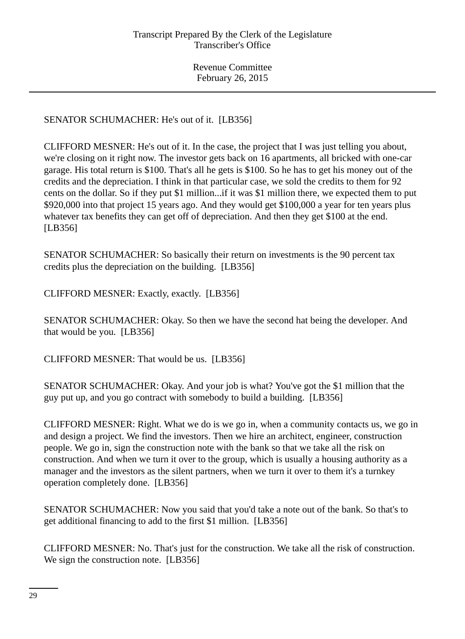# SENATOR SCHUMACHER: He's out of it. [LB356]

CLIFFORD MESNER: He's out of it. In the case, the project that I was just telling you about, we're closing on it right now. The investor gets back on 16 apartments, all bricked with one-car garage. His total return is \$100. That's all he gets is \$100. So he has to get his money out of the credits and the depreciation. I think in that particular case, we sold the credits to them for 92 cents on the dollar. So if they put \$1 million...if it was \$1 million there, we expected them to put \$920,000 into that project 15 years ago. And they would get \$100,000 a year for ten years plus whatever tax benefits they can get off of depreciation. And then they get \$100 at the end. [LB356]

SENATOR SCHUMACHER: So basically their return on investments is the 90 percent tax credits plus the depreciation on the building. [LB356]

CLIFFORD MESNER: Exactly, exactly. [LB356]

SENATOR SCHUMACHER: Okay. So then we have the second hat being the developer. And that would be you. [LB356]

CLIFFORD MESNER: That would be us. [LB356]

SENATOR SCHUMACHER: Okay. And your job is what? You've got the \$1 million that the guy put up, and you go contract with somebody to build a building. [LB356]

CLIFFORD MESNER: Right. What we do is we go in, when a community contacts us, we go in and design a project. We find the investors. Then we hire an architect, engineer, construction people. We go in, sign the construction note with the bank so that we take all the risk on construction. And when we turn it over to the group, which is usually a housing authority as a manager and the investors as the silent partners, when we turn it over to them it's a turnkey operation completely done. [LB356]

SENATOR SCHUMACHER: Now you said that you'd take a note out of the bank. So that's to get additional financing to add to the first \$1 million. [LB356]

CLIFFORD MESNER: No. That's just for the construction. We take all the risk of construction. We sign the construction note. [LB356]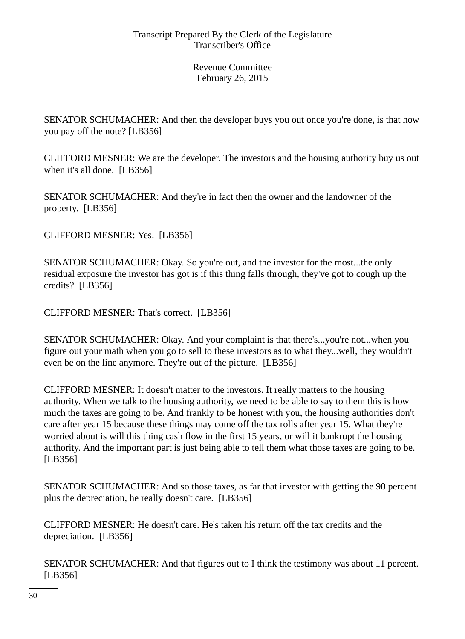SENATOR SCHUMACHER: And then the developer buys you out once you're done, is that how you pay off the note? [LB356]

CLIFFORD MESNER: We are the developer. The investors and the housing authority buy us out when it's all done. [LB356]

SENATOR SCHUMACHER: And they're in fact then the owner and the landowner of the property. [LB356]

CLIFFORD MESNER: Yes. [LB356]

SENATOR SCHUMACHER: Okay. So you're out, and the investor for the most...the only residual exposure the investor has got is if this thing falls through, they've got to cough up the credits? [LB356]

CLIFFORD MESNER: That's correct. [LB356]

SENATOR SCHUMACHER: Okay. And your complaint is that there's...you're not...when you figure out your math when you go to sell to these investors as to what they...well, they wouldn't even be on the line anymore. They're out of the picture. [LB356]

CLIFFORD MESNER: It doesn't matter to the investors. It really matters to the housing authority. When we talk to the housing authority, we need to be able to say to them this is how much the taxes are going to be. And frankly to be honest with you, the housing authorities don't care after year 15 because these things may come off the tax rolls after year 15. What they're worried about is will this thing cash flow in the first 15 years, or will it bankrupt the housing authority. And the important part is just being able to tell them what those taxes are going to be. [LB356]

SENATOR SCHUMACHER: And so those taxes, as far that investor with getting the 90 percent plus the depreciation, he really doesn't care. [LB356]

CLIFFORD MESNER: He doesn't care. He's taken his return off the tax credits and the depreciation. [LB356]

SENATOR SCHUMACHER: And that figures out to I think the testimony was about 11 percent. [LB356]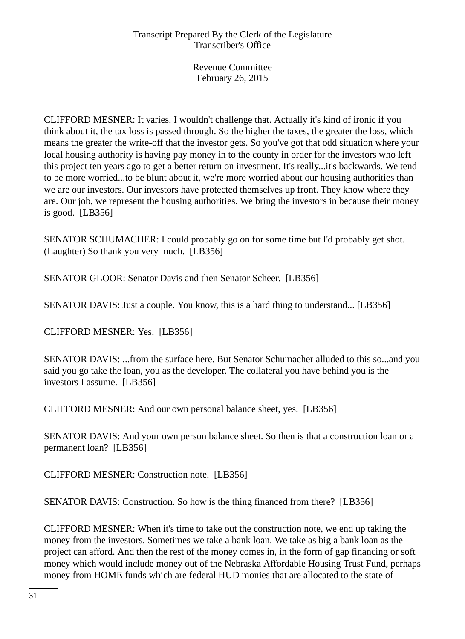CLIFFORD MESNER: It varies. I wouldn't challenge that. Actually it's kind of ironic if you think about it, the tax loss is passed through. So the higher the taxes, the greater the loss, which means the greater the write-off that the investor gets. So you've got that odd situation where your local housing authority is having pay money in to the county in order for the investors who left this project ten years ago to get a better return on investment. It's really...it's backwards. We tend to be more worried...to be blunt about it, we're more worried about our housing authorities than we are our investors. Our investors have protected themselves up front. They know where they are. Our job, we represent the housing authorities. We bring the investors in because their money is good. [LB356]

SENATOR SCHUMACHER: I could probably go on for some time but I'd probably get shot. (Laughter) So thank you very much. [LB356]

SENATOR GLOOR: Senator Davis and then Senator Scheer. [LB356]

SENATOR DAVIS: Just a couple. You know, this is a hard thing to understand... [LB356]

CLIFFORD MESNER: Yes. [LB356]

SENATOR DAVIS: ...from the surface here. But Senator Schumacher alluded to this so...and you said you go take the loan, you as the developer. The collateral you have behind you is the investors I assume. [LB356]

CLIFFORD MESNER: And our own personal balance sheet, yes. [LB356]

SENATOR DAVIS: And your own person balance sheet. So then is that a construction loan or a permanent loan? [LB356]

CLIFFORD MESNER: Construction note. [LB356]

SENATOR DAVIS: Construction. So how is the thing financed from there? [LB356]

CLIFFORD MESNER: When it's time to take out the construction note, we end up taking the money from the investors. Sometimes we take a bank loan. We take as big a bank loan as the project can afford. And then the rest of the money comes in, in the form of gap financing or soft money which would include money out of the Nebraska Affordable Housing Trust Fund, perhaps money from HOME funds which are federal HUD monies that are allocated to the state of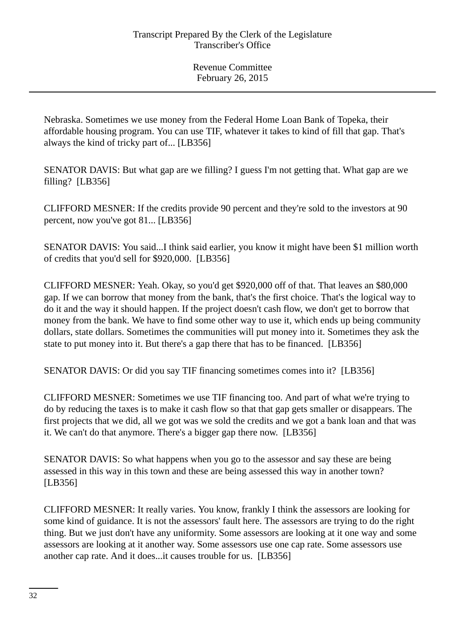Nebraska. Sometimes we use money from the Federal Home Loan Bank of Topeka, their affordable housing program. You can use TIF, whatever it takes to kind of fill that gap. That's always the kind of tricky part of... [LB356]

SENATOR DAVIS: But what gap are we filling? I guess I'm not getting that. What gap are we filling? [LB356]

CLIFFORD MESNER: If the credits provide 90 percent and they're sold to the investors at 90 percent, now you've got 81... [LB356]

SENATOR DAVIS: You said...I think said earlier, you know it might have been \$1 million worth of credits that you'd sell for \$920,000. [LB356]

CLIFFORD MESNER: Yeah. Okay, so you'd get \$920,000 off of that. That leaves an \$80,000 gap. If we can borrow that money from the bank, that's the first choice. That's the logical way to do it and the way it should happen. If the project doesn't cash flow, we don't get to borrow that money from the bank. We have to find some other way to use it, which ends up being community dollars, state dollars. Sometimes the communities will put money into it. Sometimes they ask the state to put money into it. But there's a gap there that has to be financed. [LB356]

SENATOR DAVIS: Or did you say TIF financing sometimes comes into it? [LB356]

CLIFFORD MESNER: Sometimes we use TIF financing too. And part of what we're trying to do by reducing the taxes is to make it cash flow so that that gap gets smaller or disappears. The first projects that we did, all we got was we sold the credits and we got a bank loan and that was it. We can't do that anymore. There's a bigger gap there now. [LB356]

SENATOR DAVIS: So what happens when you go to the assessor and say these are being assessed in this way in this town and these are being assessed this way in another town? [LB356]

CLIFFORD MESNER: It really varies. You know, frankly I think the assessors are looking for some kind of guidance. It is not the assessors' fault here. The assessors are trying to do the right thing. But we just don't have any uniformity. Some assessors are looking at it one way and some assessors are looking at it another way. Some assessors use one cap rate. Some assessors use another cap rate. And it does...it causes trouble for us. [LB356]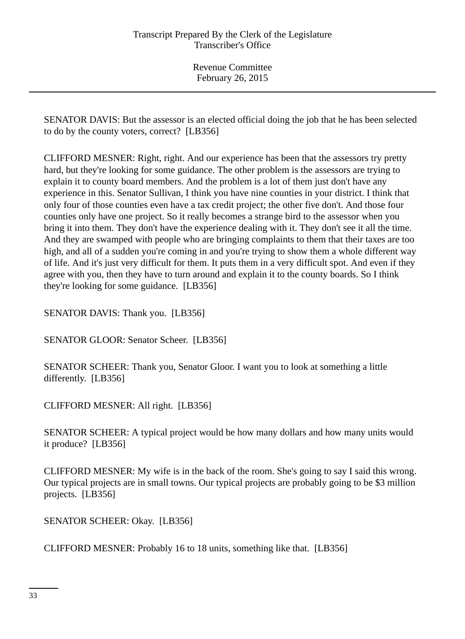SENATOR DAVIS: But the assessor is an elected official doing the job that he has been selected to do by the county voters, correct? [LB356]

CLIFFORD MESNER: Right, right. And our experience has been that the assessors try pretty hard, but they're looking for some guidance. The other problem is the assessors are trying to explain it to county board members. And the problem is a lot of them just don't have any experience in this. Senator Sullivan, I think you have nine counties in your district. I think that only four of those counties even have a tax credit project; the other five don't. And those four counties only have one project. So it really becomes a strange bird to the assessor when you bring it into them. They don't have the experience dealing with it. They don't see it all the time. And they are swamped with people who are bringing complaints to them that their taxes are too high, and all of a sudden you're coming in and you're trying to show them a whole different way of life. And it's just very difficult for them. It puts them in a very difficult spot. And even if they agree with you, then they have to turn around and explain it to the county boards. So I think they're looking for some guidance. [LB356]

SENATOR DAVIS: Thank you. [LB356]

SENATOR GLOOR: Senator Scheer. [LB356]

SENATOR SCHEER: Thank you, Senator Gloor. I want you to look at something a little differently. [LB356]

CLIFFORD MESNER: All right. [LB356]

SENATOR SCHEER: A typical project would be how many dollars and how many units would it produce? [LB356]

CLIFFORD MESNER: My wife is in the back of the room. She's going to say I said this wrong. Our typical projects are in small towns. Our typical projects are probably going to be \$3 million projects. [LB356]

SENATOR SCHEER: Okay. [LB356]

CLIFFORD MESNER: Probably 16 to 18 units, something like that. [LB356]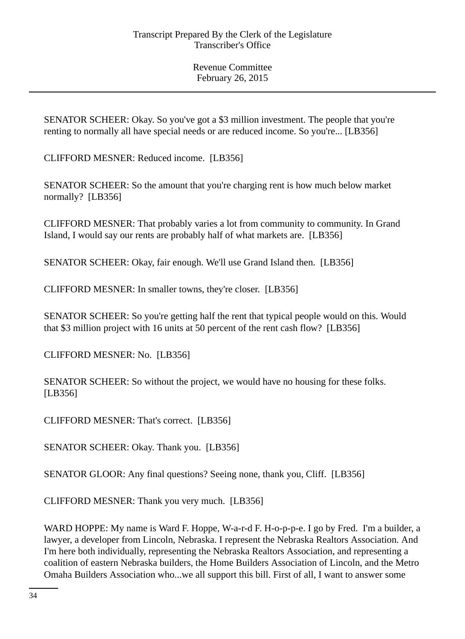SENATOR SCHEER: Okay. So you've got a \$3 million investment. The people that you're renting to normally all have special needs or are reduced income. So you're... [LB356]

CLIFFORD MESNER: Reduced income. [LB356]

SENATOR SCHEER: So the amount that you're charging rent is how much below market normally? [LB356]

CLIFFORD MESNER: That probably varies a lot from community to community. In Grand Island, I would say our rents are probably half of what markets are. [LB356]

SENATOR SCHEER: Okay, fair enough. We'll use Grand Island then. [LB356]

CLIFFORD MESNER: In smaller towns, they're closer. [LB356]

SENATOR SCHEER: So you're getting half the rent that typical people would on this. Would that \$3 million project with 16 units at 50 percent of the rent cash flow? [LB356]

CLIFFORD MESNER: No. [LB356]

SENATOR SCHEER: So without the project, we would have no housing for these folks. [LB356]

CLIFFORD MESNER: That's correct. [LB356]

SENATOR SCHEER: Okay. Thank you. [LB356]

SENATOR GLOOR: Any final questions? Seeing none, thank you, Cliff. [LB356]

CLIFFORD MESNER: Thank you very much. [LB356]

WARD HOPPE: My name is Ward F. Hoppe, W-a-r-d F. H-o-p-p-e. I go by Fred. I'm a builder, a lawyer, a developer from Lincoln, Nebraska. I represent the Nebraska Realtors Association. And I'm here both individually, representing the Nebraska Realtors Association, and representing a coalition of eastern Nebraska builders, the Home Builders Association of Lincoln, and the Metro Omaha Builders Association who...we all support this bill. First of all, I want to answer some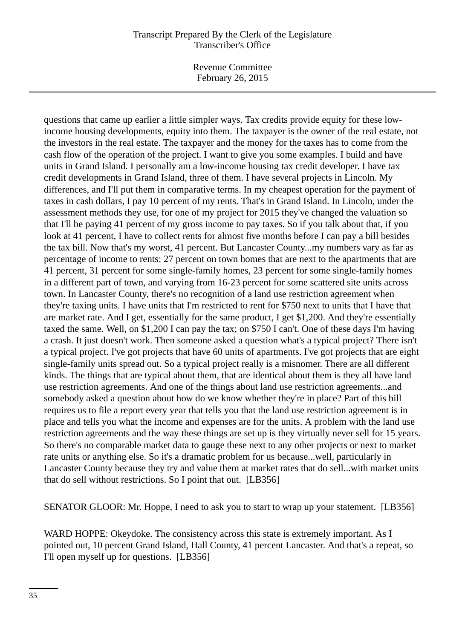Revenue Committee February 26, 2015

questions that came up earlier a little simpler ways. Tax credits provide equity for these lowincome housing developments, equity into them. The taxpayer is the owner of the real estate, not the investors in the real estate. The taxpayer and the money for the taxes has to come from the cash flow of the operation of the project. I want to give you some examples. I build and have units in Grand Island. I personally am a low-income housing tax credit developer. I have tax credit developments in Grand Island, three of them. I have several projects in Lincoln. My differences, and I'll put them in comparative terms. In my cheapest operation for the payment of taxes in cash dollars, I pay 10 percent of my rents. That's in Grand Island. In Lincoln, under the assessment methods they use, for one of my project for 2015 they've changed the valuation so that I'll be paying 41 percent of my gross income to pay taxes. So if you talk about that, if you look at 41 percent, I have to collect rents for almost five months before I can pay a bill besides the tax bill. Now that's my worst, 41 percent. But Lancaster County...my numbers vary as far as percentage of income to rents: 27 percent on town homes that are next to the apartments that are 41 percent, 31 percent for some single-family homes, 23 percent for some single-family homes in a different part of town, and varying from 16-23 percent for some scattered site units across town. In Lancaster County, there's no recognition of a land use restriction agreement when they're taxing units. I have units that I'm restricted to rent for \$750 next to units that I have that are market rate. And I get, essentially for the same product, I get \$1,200. And they're essentially taxed the same. Well, on \$1,200 I can pay the tax; on \$750 I can't. One of these days I'm having a crash. It just doesn't work. Then someone asked a question what's a typical project? There isn't a typical project. I've got projects that have 60 units of apartments. I've got projects that are eight single-family units spread out. So a typical project really is a misnomer. There are all different kinds. The things that are typical about them, that are identical about them is they all have land use restriction agreements. And one of the things about land use restriction agreements...and somebody asked a question about how do we know whether they're in place? Part of this bill requires us to file a report every year that tells you that the land use restriction agreement is in place and tells you what the income and expenses are for the units. A problem with the land use restriction agreements and the way these things are set up is they virtually never sell for 15 years. So there's no comparable market data to gauge these next to any other projects or next to market rate units or anything else. So it's a dramatic problem for us because...well, particularly in Lancaster County because they try and value them at market rates that do sell...with market units that do sell without restrictions. So I point that out. [LB356]

SENATOR GLOOR: Mr. Hoppe, I need to ask you to start to wrap up your statement. [LB356]

WARD HOPPE: Okeydoke. The consistency across this state is extremely important. As I pointed out, 10 percent Grand Island, Hall County, 41 percent Lancaster. And that's a repeat, so I'll open myself up for questions. [LB356]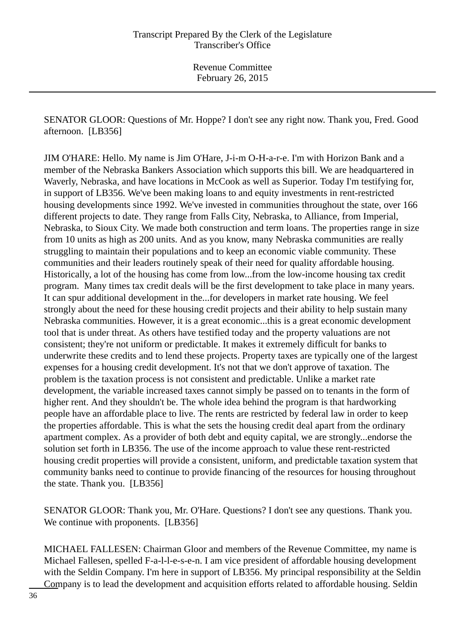SENATOR GLOOR: Questions of Mr. Hoppe? I don't see any right now. Thank you, Fred. Good afternoon. [LB356]

JIM O'HARE: Hello. My name is Jim O'Hare, J-i-m O-H-a-r-e. I'm with Horizon Bank and a member of the Nebraska Bankers Association which supports this bill. We are headquartered in Waverly, Nebraska, and have locations in McCook as well as Superior. Today I'm testifying for, in support of LB356. We've been making loans to and equity investments in rent-restricted housing developments since 1992. We've invested in communities throughout the state, over 166 different projects to date. They range from Falls City, Nebraska, to Alliance, from Imperial, Nebraska, to Sioux City. We made both construction and term loans. The properties range in size from 10 units as high as 200 units. And as you know, many Nebraska communities are really struggling to maintain their populations and to keep an economic viable community. These communities and their leaders routinely speak of their need for quality affordable housing. Historically, a lot of the housing has come from low...from the low-income housing tax credit program. Many times tax credit deals will be the first development to take place in many years. It can spur additional development in the...for developers in market rate housing. We feel strongly about the need for these housing credit projects and their ability to help sustain many Nebraska communities. However, it is a great economic...this is a great economic development tool that is under threat. As others have testified today and the property valuations are not consistent; they're not uniform or predictable. It makes it extremely difficult for banks to underwrite these credits and to lend these projects. Property taxes are typically one of the largest expenses for a housing credit development. It's not that we don't approve of taxation. The problem is the taxation process is not consistent and predictable. Unlike a market rate development, the variable increased taxes cannot simply be passed on to tenants in the form of higher rent. And they shouldn't be. The whole idea behind the program is that hardworking people have an affordable place to live. The rents are restricted by federal law in order to keep the properties affordable. This is what the sets the housing credit deal apart from the ordinary apartment complex. As a provider of both debt and equity capital, we are strongly...endorse the solution set forth in LB356. The use of the income approach to value these rent-restricted housing credit properties will provide a consistent, uniform, and predictable taxation system that community banks need to continue to provide financing of the resources for housing throughout the state. Thank you. [LB356]

SENATOR GLOOR: Thank you, Mr. O'Hare. Questions? I don't see any questions. Thank you. We continue with proponents. [LB356]

MICHAEL FALLESEN: Chairman Gloor and members of the Revenue Committee, my name is Michael Fallesen, spelled F-a-l-l-e-s-e-n. I am vice president of affordable housing development with the Seldin Company. I'm here in support of LB356. My principal responsibility at the Seldin Company is to lead the development and acquisition efforts related to affordable housing. Seldin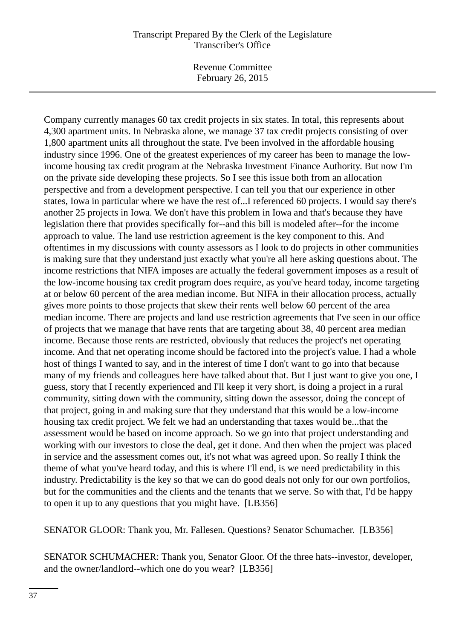Revenue Committee February 26, 2015

Company currently manages 60 tax credit projects in six states. In total, this represents about 4,300 apartment units. In Nebraska alone, we manage 37 tax credit projects consisting of over 1,800 apartment units all throughout the state. I've been involved in the affordable housing industry since 1996. One of the greatest experiences of my career has been to manage the lowincome housing tax credit program at the Nebraska Investment Finance Authority. But now I'm on the private side developing these projects. So I see this issue both from an allocation perspective and from a development perspective. I can tell you that our experience in other states, Iowa in particular where we have the rest of...I referenced 60 projects. I would say there's another 25 projects in Iowa. We don't have this problem in Iowa and that's because they have legislation there that provides specifically for--and this bill is modeled after--for the income approach to value. The land use restriction agreement is the key component to this. And oftentimes in my discussions with county assessors as I look to do projects in other communities is making sure that they understand just exactly what you're all here asking questions about. The income restrictions that NIFA imposes are actually the federal government imposes as a result of the low-income housing tax credit program does require, as you've heard today, income targeting at or below 60 percent of the area median income. But NIFA in their allocation process, actually gives more points to those projects that skew their rents well below 60 percent of the area median income. There are projects and land use restriction agreements that I've seen in our office of projects that we manage that have rents that are targeting about 38, 40 percent area median income. Because those rents are restricted, obviously that reduces the project's net operating income. And that net operating income should be factored into the project's value. I had a whole host of things I wanted to say, and in the interest of time I don't want to go into that because many of my friends and colleagues here have talked about that. But I just want to give you one, I guess, story that I recently experienced and I'll keep it very short, is doing a project in a rural community, sitting down with the community, sitting down the assessor, doing the concept of that project, going in and making sure that they understand that this would be a low-income housing tax credit project. We felt we had an understanding that taxes would be...that the assessment would be based on income approach. So we go into that project understanding and working with our investors to close the deal, get it done. And then when the project was placed in service and the assessment comes out, it's not what was agreed upon. So really I think the theme of what you've heard today, and this is where I'll end, is we need predictability in this industry. Predictability is the key so that we can do good deals not only for our own portfolios, but for the communities and the clients and the tenants that we serve. So with that, I'd be happy to open it up to any questions that you might have. [LB356]

SENATOR GLOOR: Thank you, Mr. Fallesen. Questions? Senator Schumacher. [LB356]

SENATOR SCHUMACHER: Thank you, Senator Gloor. Of the three hats--investor, developer, and the owner/landlord--which one do you wear? [LB356]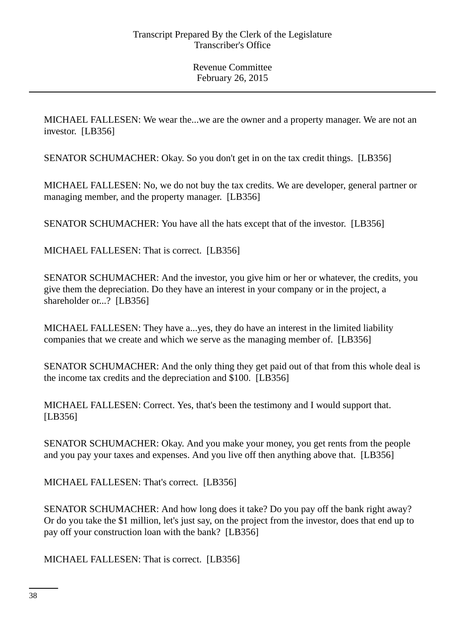MICHAEL FALLESEN: We wear the...we are the owner and a property manager. We are not an investor. [LB356]

SENATOR SCHUMACHER: Okay. So you don't get in on the tax credit things. [LB356]

MICHAEL FALLESEN: No, we do not buy the tax credits. We are developer, general partner or managing member, and the property manager. [LB356]

SENATOR SCHUMACHER: You have all the hats except that of the investor. [LB356]

MICHAEL FALLESEN: That is correct. [LB356]

SENATOR SCHUMACHER: And the investor, you give him or her or whatever, the credits, you give them the depreciation. Do they have an interest in your company or in the project, a shareholder or...? [LB356]

MICHAEL FALLESEN: They have a...yes, they do have an interest in the limited liability companies that we create and which we serve as the managing member of. [LB356]

SENATOR SCHUMACHER: And the only thing they get paid out of that from this whole deal is the income tax credits and the depreciation and \$100. [LB356]

MICHAEL FALLESEN: Correct. Yes, that's been the testimony and I would support that. [LB356]

SENATOR SCHUMACHER: Okay. And you make your money, you get rents from the people and you pay your taxes and expenses. And you live off then anything above that. [LB356]

MICHAEL FALLESEN: That's correct. [LB356]

SENATOR SCHUMACHER: And how long does it take? Do you pay off the bank right away? Or do you take the \$1 million, let's just say, on the project from the investor, does that end up to pay off your construction loan with the bank? [LB356]

MICHAEL FALLESEN: That is correct. [LB356]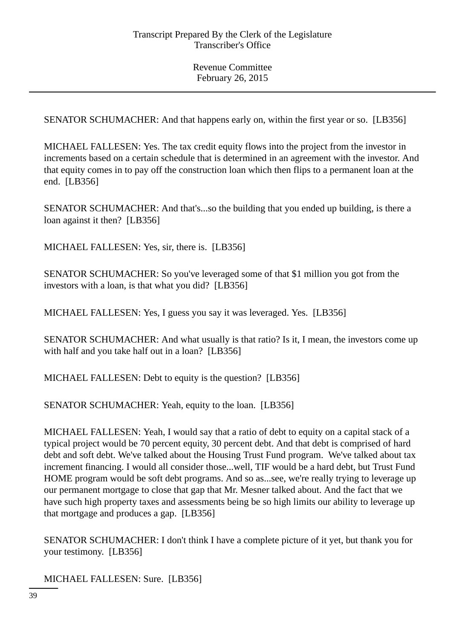SENATOR SCHUMACHER: And that happens early on, within the first year or so. [LB356]

MICHAEL FALLESEN: Yes. The tax credit equity flows into the project from the investor in increments based on a certain schedule that is determined in an agreement with the investor. And that equity comes in to pay off the construction loan which then flips to a permanent loan at the end. [LB356]

SENATOR SCHUMACHER: And that's...so the building that you ended up building, is there a loan against it then? [LB356]

MICHAEL FALLESEN: Yes, sir, there is. [LB356]

SENATOR SCHUMACHER: So you've leveraged some of that \$1 million you got from the investors with a loan, is that what you did? [LB356]

MICHAEL FALLESEN: Yes, I guess you say it was leveraged. Yes. [LB356]

SENATOR SCHUMACHER: And what usually is that ratio? Is it, I mean, the investors come up with half and you take half out in a loan? [LB356]

MICHAEL FALLESEN: Debt to equity is the question? [LB356]

SENATOR SCHUMACHER: Yeah, equity to the loan. [LB356]

MICHAEL FALLESEN: Yeah, I would say that a ratio of debt to equity on a capital stack of a typical project would be 70 percent equity, 30 percent debt. And that debt is comprised of hard debt and soft debt. We've talked about the Housing Trust Fund program. We've talked about tax increment financing. I would all consider those...well, TIF would be a hard debt, but Trust Fund HOME program would be soft debt programs. And so as...see, we're really trying to leverage up our permanent mortgage to close that gap that Mr. Mesner talked about. And the fact that we have such high property taxes and assessments being be so high limits our ability to leverage up that mortgage and produces a gap. [LB356]

SENATOR SCHUMACHER: I don't think I have a complete picture of it yet, but thank you for your testimony. [LB356]

MICHAEL FALLESEN: Sure. [LB356]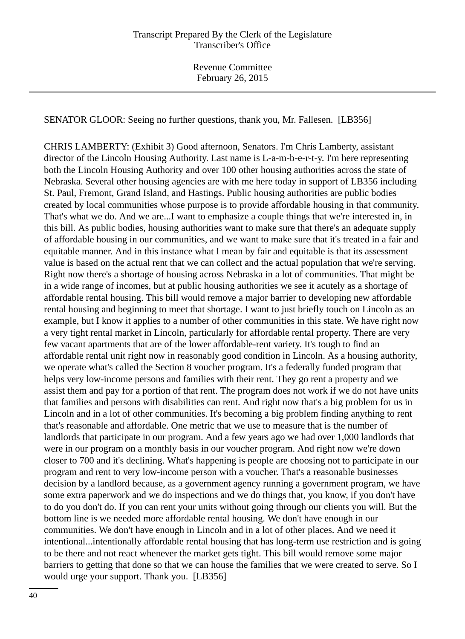SENATOR GLOOR: Seeing no further questions, thank you, Mr. Fallesen. [LB356]

CHRIS LAMBERTY: (Exhibit 3) Good afternoon, Senators. I'm Chris Lamberty, assistant director of the Lincoln Housing Authority. Last name is L-a-m-b-e-r-t-y. I'm here representing both the Lincoln Housing Authority and over 100 other housing authorities across the state of Nebraska. Several other housing agencies are with me here today in support of LB356 including St. Paul, Fremont, Grand Island, and Hastings. Public housing authorities are public bodies created by local communities whose purpose is to provide affordable housing in that community. That's what we do. And we are...I want to emphasize a couple things that we're interested in, in this bill. As public bodies, housing authorities want to make sure that there's an adequate supply of affordable housing in our communities, and we want to make sure that it's treated in a fair and equitable manner. And in this instance what I mean by fair and equitable is that its assessment value is based on the actual rent that we can collect and the actual population that we're serving. Right now there's a shortage of housing across Nebraska in a lot of communities. That might be in a wide range of incomes, but at public housing authorities we see it acutely as a shortage of affordable rental housing. This bill would remove a major barrier to developing new affordable rental housing and beginning to meet that shortage. I want to just briefly touch on Lincoln as an example, but I know it applies to a number of other communities in this state. We have right now a very tight rental market in Lincoln, particularly for affordable rental property. There are very few vacant apartments that are of the lower affordable-rent variety. It's tough to find an affordable rental unit right now in reasonably good condition in Lincoln. As a housing authority, we operate what's called the Section 8 voucher program. It's a federally funded program that helps very low-income persons and families with their rent. They go rent a property and we assist them and pay for a portion of that rent. The program does not work if we do not have units that families and persons with disabilities can rent. And right now that's a big problem for us in Lincoln and in a lot of other communities. It's becoming a big problem finding anything to rent that's reasonable and affordable. One metric that we use to measure that is the number of landlords that participate in our program. And a few years ago we had over 1,000 landlords that were in our program on a monthly basis in our voucher program. And right now we're down closer to 700 and it's declining. What's happening is people are choosing not to participate in our program and rent to very low-income person with a voucher. That's a reasonable businesses decision by a landlord because, as a government agency running a government program, we have some extra paperwork and we do inspections and we do things that, you know, if you don't have to do you don't do. If you can rent your units without going through our clients you will. But the bottom line is we needed more affordable rental housing. We don't have enough in our communities. We don't have enough in Lincoln and in a lot of other places. And we need it intentional...intentionally affordable rental housing that has long-term use restriction and is going to be there and not react whenever the market gets tight. This bill would remove some major barriers to getting that done so that we can house the families that we were created to serve. So I would urge your support. Thank you. [LB356]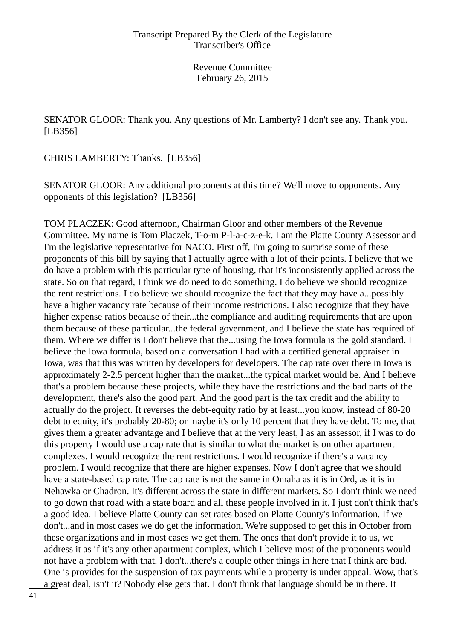SENATOR GLOOR: Thank you. Any questions of Mr. Lamberty? I don't see any. Thank you. [LB356]

CHRIS LAMBERTY: Thanks. [LB356]

SENATOR GLOOR: Any additional proponents at this time? We'll move to opponents. Any opponents of this legislation? [LB356]

TOM PLACZEK: Good afternoon, Chairman Gloor and other members of the Revenue Committee. My name is Tom Placzek, T-o-m P-l-a-c-z-e-k. I am the Platte County Assessor and I'm the legislative representative for NACO. First off, I'm going to surprise some of these proponents of this bill by saying that I actually agree with a lot of their points. I believe that we do have a problem with this particular type of housing, that it's inconsistently applied across the state. So on that regard, I think we do need to do something. I do believe we should recognize the rent restrictions. I do believe we should recognize the fact that they may have a...possibly have a higher vacancy rate because of their income restrictions. I also recognize that they have higher expense ratios because of their...the compliance and auditing requirements that are upon them because of these particular...the federal government, and I believe the state has required of them. Where we differ is I don't believe that the...using the Iowa formula is the gold standard. I believe the Iowa formula, based on a conversation I had with a certified general appraiser in Iowa, was that this was written by developers for developers. The cap rate over there in Iowa is approximately 2-2.5 percent higher than the market...the typical market would be. And I believe that's a problem because these projects, while they have the restrictions and the bad parts of the development, there's also the good part. And the good part is the tax credit and the ability to actually do the project. It reverses the debt-equity ratio by at least...you know, instead of 80-20 debt to equity, it's probably 20-80; or maybe it's only 10 percent that they have debt. To me, that gives them a greater advantage and I believe that at the very least, I as an assessor, if I was to do this property I would use a cap rate that is similar to what the market is on other apartment complexes. I would recognize the rent restrictions. I would recognize if there's a vacancy problem. I would recognize that there are higher expenses. Now I don't agree that we should have a state-based cap rate. The cap rate is not the same in Omaha as it is in Ord, as it is in Nehawka or Chadron. It's different across the state in different markets. So I don't think we need to go down that road with a state board and all these people involved in it. I just don't think that's a good idea. I believe Platte County can set rates based on Platte County's information. If we don't...and in most cases we do get the information. We're supposed to get this in October from these organizations and in most cases we get them. The ones that don't provide it to us, we address it as if it's any other apartment complex, which I believe most of the proponents would not have a problem with that. I don't...there's a couple other things in here that I think are bad. One is provides for the suspension of tax payments while a property is under appeal. Wow, that's a great deal, isn't it? Nobody else gets that. I don't think that language should be in there. It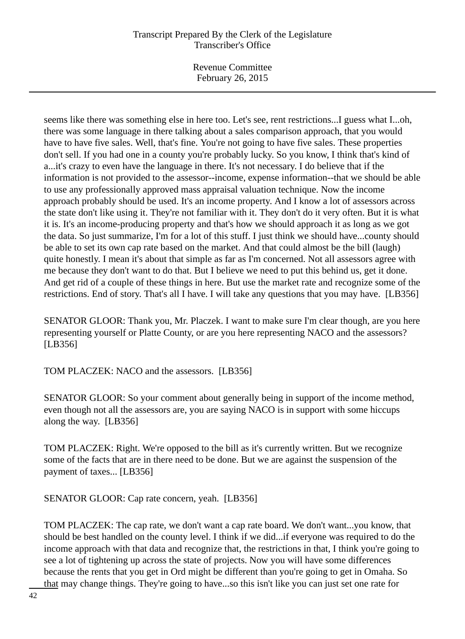Revenue Committee February 26, 2015

seems like there was something else in here too. Let's see, rent restrictions...I guess what I...oh, there was some language in there talking about a sales comparison approach, that you would have to have five sales. Well, that's fine. You're not going to have five sales. These properties don't sell. If you had one in a county you're probably lucky. So you know, I think that's kind of a...it's crazy to even have the language in there. It's not necessary. I do believe that if the information is not provided to the assessor--income, expense information--that we should be able to use any professionally approved mass appraisal valuation technique. Now the income approach probably should be used. It's an income property. And I know a lot of assessors across the state don't like using it. They're not familiar with it. They don't do it very often. But it is what it is. It's an income-producing property and that's how we should approach it as long as we got the data. So just summarize, I'm for a lot of this stuff. I just think we should have...county should be able to set its own cap rate based on the market. And that could almost be the bill (laugh) quite honestly. I mean it's about that simple as far as I'm concerned. Not all assessors agree with me because they don't want to do that. But I believe we need to put this behind us, get it done. And get rid of a couple of these things in here. But use the market rate and recognize some of the restrictions. End of story. That's all I have. I will take any questions that you may have. [LB356]

SENATOR GLOOR: Thank you, Mr. Placzek. I want to make sure I'm clear though, are you here representing yourself or Platte County, or are you here representing NACO and the assessors? [LB356]

TOM PLACZEK: NACO and the assessors. [LB356]

SENATOR GLOOR: So your comment about generally being in support of the income method, even though not all the assessors are, you are saying NACO is in support with some hiccups along the way. [LB356]

TOM PLACZEK: Right. We're opposed to the bill as it's currently written. But we recognize some of the facts that are in there need to be done. But we are against the suspension of the payment of taxes... [LB356]

SENATOR GLOOR: Cap rate concern, yeah. [LB356]

TOM PLACZEK: The cap rate, we don't want a cap rate board. We don't want...you know, that should be best handled on the county level. I think if we did...if everyone was required to do the income approach with that data and recognize that, the restrictions in that, I think you're going to see a lot of tightening up across the state of projects. Now you will have some differences because the rents that you get in Ord might be different than you're going to get in Omaha. So that may change things. They're going to have...so this isn't like you can just set one rate for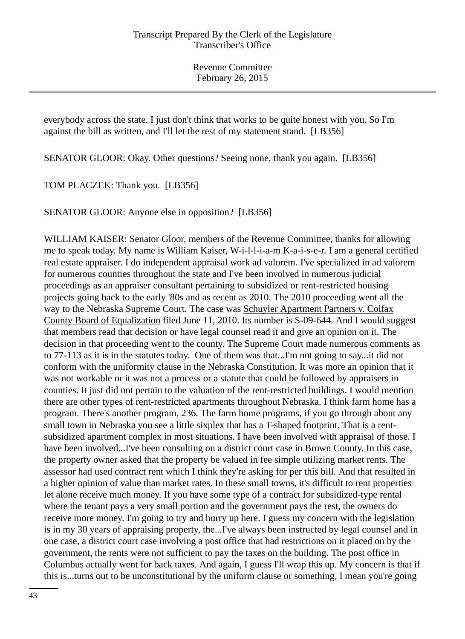everybody across the state. I just don't think that works to be quite honest with you. So I'm against the bill as written, and I'll let the rest of my statement stand. [LB356]

SENATOR GLOOR: Okay. Other questions? Seeing none, thank you again. [LB356]

TOM PLACZEK: Thank you. [LB356]

SENATOR GLOOR: Anyone else in opposition? [LB356]

WILLIAM KAISER: Senator Gloor, members of the Revenue Committee, thanks for allowing me to speak today. My name is William Kaiser, W-i-l-l-i-a-m K-a-i-s-e-r. I am a general certified real estate appraiser. I do independent appraisal work ad valorem. I've specialized in ad valorem for numerous counties throughout the state and I've been involved in numerous judicial proceedings as an appraiser consultant pertaining to subsidized or rent-restricted housing projects going back to the early '80s and as recent as 2010. The 2010 proceeding went all the way to the Nebraska Supreme Court. The case was Schuyler Apartment Partners v. Colfax County Board of Equalization filed June 11, 2010. Its number is S-09-644. And I would suggest that members read that decision or have legal counsel read it and give an opinion on it. The decision in that proceeding went to the county. The Supreme Court made numerous comments as to 77-113 as it is in the statutes today. One of them was that...I'm not going to say...it did not conform with the uniformity clause in the Nebraska Constitution. It was more an opinion that it was not workable or it was not a process or a statute that could be followed by appraisers in counties. It just did not pertain to the valuation of the rent-restricted buildings. I would mention there are other types of rent-restricted apartments throughout Nebraska. I think farm home has a program. There's another program, 236. The farm home programs, if you go through about any small town in Nebraska you see a little sixplex that has a T-shaped footprint. That is a rentsubsidized apartment complex in most situations. I have been involved with appraisal of those. I have been involved...I've been consulting on a district court case in Brown County. In this case, the property owner asked that the property be valued in fee simple utilizing market rents. The assessor had used contract rent which I think they're asking for per this bill. And that resulted in a higher opinion of value than market rates. In these small towns, it's difficult to rent properties let alone receive much money. If you have some type of a contract for subsidized-type rental where the tenant pays a very small portion and the government pays the rest, the owners do receive more money. I'm going to try and hurry up here. I guess my concern with the legislation is in my 30 years of appraising property, the...I've always been instructed by legal counsel and in one case, a district court case involving a post office that had restrictions on it placed on by the government, the rents were not sufficient to pay the taxes on the building. The post office in Columbus actually went for back taxes. And again, I guess I'll wrap this up. My concern is that if this is...turns out to be unconstitutional by the uniform clause or something, I mean you're going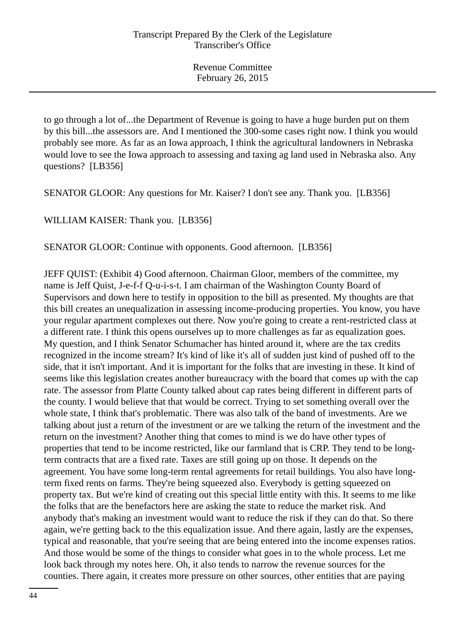to go through a lot of...the Department of Revenue is going to have a huge burden put on them by this bill...the assessors are. And I mentioned the 300-some cases right now. I think you would probably see more. As far as an Iowa approach, I think the agricultural landowners in Nebraska would love to see the Iowa approach to assessing and taxing ag land used in Nebraska also. Any questions? [LB356]

SENATOR GLOOR: Any questions for Mr. Kaiser? I don't see any. Thank you. [LB356]

WILLIAM KAISER: Thank you. [LB356]

SENATOR GLOOR: Continue with opponents. Good afternoon. [LB356]

JEFF QUIST: (Exhibit 4) Good afternoon. Chairman Gloor, members of the committee, my name is Jeff Quist, J-e-f-f Q-u-i-s-t. I am chairman of the Washington County Board of Supervisors and down here to testify in opposition to the bill as presented. My thoughts are that this bill creates an unequalization in assessing income-producing properties. You know, you have your regular apartment complexes out there. Now you're going to create a rent-restricted class at a different rate. I think this opens ourselves up to more challenges as far as equalization goes. My question, and I think Senator Schumacher has hinted around it, where are the tax credits recognized in the income stream? It's kind of like it's all of sudden just kind of pushed off to the side, that it isn't important. And it is important for the folks that are investing in these. It kind of seems like this legislation creates another bureaucracy with the board that comes up with the cap rate. The assessor from Platte County talked about cap rates being different in different parts of the county. I would believe that that would be correct. Trying to set something overall over the whole state, I think that's problematic. There was also talk of the band of investments. Are we talking about just a return of the investment or are we talking the return of the investment and the return on the investment? Another thing that comes to mind is we do have other types of properties that tend to be income restricted, like our farmland that is CRP. They tend to be longterm contracts that are a fixed rate. Taxes are still going up on those. It depends on the agreement. You have some long-term rental agreements for retail buildings. You also have longterm fixed rents on farms. They're being squeezed also. Everybody is getting squeezed on property tax. But we're kind of creating out this special little entity with this. It seems to me like the folks that are the benefactors here are asking the state to reduce the market risk. And anybody that's making an investment would want to reduce the risk if they can do that. So there again, we're getting back to the this equalization issue. And there again, lastly are the expenses, typical and reasonable, that you're seeing that are being entered into the income expenses ratios. And those would be some of the things to consider what goes in to the whole process. Let me look back through my notes here. Oh, it also tends to narrow the revenue sources for the counties. There again, it creates more pressure on other sources, other entities that are paying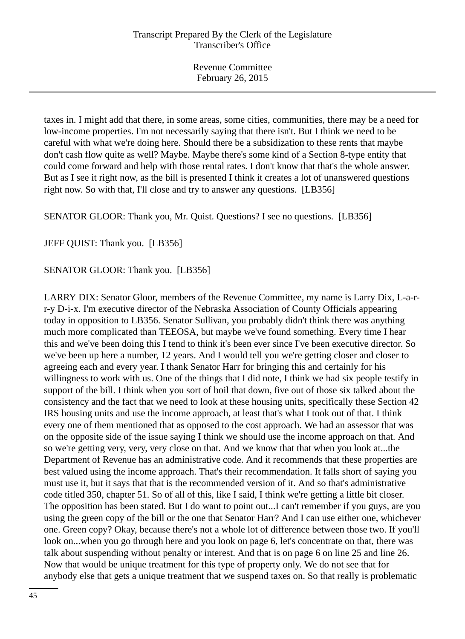taxes in. I might add that there, in some areas, some cities, communities, there may be a need for low-income properties. I'm not necessarily saying that there isn't. But I think we need to be careful with what we're doing here. Should there be a subsidization to these rents that maybe don't cash flow quite as well? Maybe. Maybe there's some kind of a Section 8-type entity that could come forward and help with those rental rates. I don't know that that's the whole answer. But as I see it right now, as the bill is presented I think it creates a lot of unanswered questions right now. So with that, I'll close and try to answer any questions. [LB356]

SENATOR GLOOR: Thank you, Mr. Quist. Questions? I see no questions. [LB356]

JEFF QUIST: Thank you. [LB356]

SENATOR GLOOR: Thank you. [LB356]

LARRY DIX: Senator Gloor, members of the Revenue Committee, my name is Larry Dix, L-a-rr-y D-i-x. I'm executive director of the Nebraska Association of County Officials appearing today in opposition to LB356. Senator Sullivan, you probably didn't think there was anything much more complicated than TEEOSA, but maybe we've found something. Every time I hear this and we've been doing this I tend to think it's been ever since I've been executive director. So we've been up here a number, 12 years. And I would tell you we're getting closer and closer to agreeing each and every year. I thank Senator Harr for bringing this and certainly for his willingness to work with us. One of the things that I did note, I think we had six people testify in support of the bill. I think when you sort of boil that down, five out of those six talked about the consistency and the fact that we need to look at these housing units, specifically these Section 42 IRS housing units and use the income approach, at least that's what I took out of that. I think every one of them mentioned that as opposed to the cost approach. We had an assessor that was on the opposite side of the issue saying I think we should use the income approach on that. And so we're getting very, very, very close on that. And we know that that when you look at...the Department of Revenue has an administrative code. And it recommends that these properties are best valued using the income approach. That's their recommendation. It falls short of saying you must use it, but it says that that is the recommended version of it. And so that's administrative code titled 350, chapter 51. So of all of this, like I said, I think we're getting a little bit closer. The opposition has been stated. But I do want to point out...I can't remember if you guys, are you using the green copy of the bill or the one that Senator Harr? And I can use either one, whichever one. Green copy? Okay, because there's not a whole lot of difference between those two. If you'll look on...when you go through here and you look on page 6, let's concentrate on that, there was talk about suspending without penalty or interest. And that is on page 6 on line 25 and line 26. Now that would be unique treatment for this type of property only. We do not see that for anybody else that gets a unique treatment that we suspend taxes on. So that really is problematic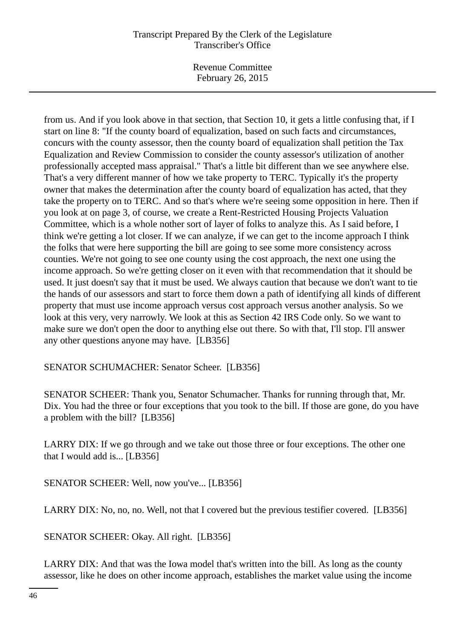Revenue Committee February 26, 2015

from us. And if you look above in that section, that Section 10, it gets a little confusing that, if I start on line 8: "If the county board of equalization, based on such facts and circumstances, concurs with the county assessor, then the county board of equalization shall petition the Tax Equalization and Review Commission to consider the county assessor's utilization of another professionally accepted mass appraisal." That's a little bit different than we see anywhere else. That's a very different manner of how we take property to TERC. Typically it's the property owner that makes the determination after the county board of equalization has acted, that they take the property on to TERC. And so that's where we're seeing some opposition in here. Then if you look at on page 3, of course, we create a Rent-Restricted Housing Projects Valuation Committee, which is a whole nother sort of layer of folks to analyze this. As I said before, I think we're getting a lot closer. If we can analyze, if we can get to the income approach I think the folks that were here supporting the bill are going to see some more consistency across counties. We're not going to see one county using the cost approach, the next one using the income approach. So we're getting closer on it even with that recommendation that it should be used. It just doesn't say that it must be used. We always caution that because we don't want to tie the hands of our assessors and start to force them down a path of identifying all kinds of different property that must use income approach versus cost approach versus another analysis. So we look at this very, very narrowly. We look at this as Section 42 IRS Code only. So we want to make sure we don't open the door to anything else out there. So with that, I'll stop. I'll answer any other questions anyone may have. [LB356]

SENATOR SCHUMACHER: Senator Scheer. [LB356]

SENATOR SCHEER: Thank you, Senator Schumacher. Thanks for running through that, Mr. Dix. You had the three or four exceptions that you took to the bill. If those are gone, do you have a problem with the bill? [LB356]

LARRY DIX: If we go through and we take out those three or four exceptions. The other one that I would add is... [LB356]

SENATOR SCHEER: Well, now you've... [LB356]

LARRY DIX: No, no, no. Well, not that I covered but the previous testifier covered. [LB356]

SENATOR SCHEER: Okay. All right. [LB356]

LARRY DIX: And that was the Iowa model that's written into the bill. As long as the county assessor, like he does on other income approach, establishes the market value using the income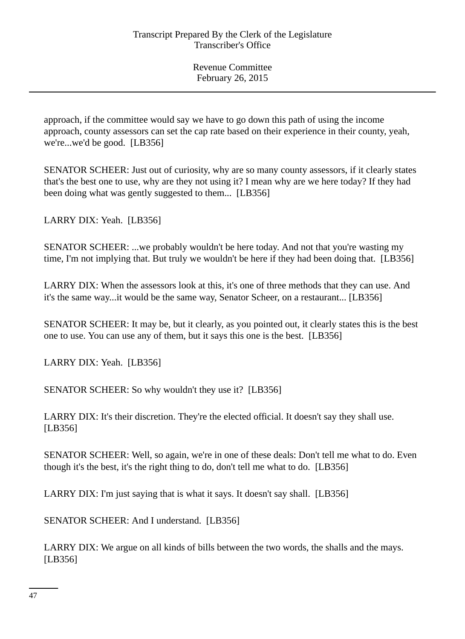approach, if the committee would say we have to go down this path of using the income approach, county assessors can set the cap rate based on their experience in their county, yeah, we're...we'd be good. [LB356]

SENATOR SCHEER: Just out of curiosity, why are so many county assessors, if it clearly states that's the best one to use, why are they not using it? I mean why are we here today? If they had been doing what was gently suggested to them... [LB356]

LARRY DIX: Yeah. [LB356]

SENATOR SCHEER: ...we probably wouldn't be here today. And not that you're wasting my time, I'm not implying that. But truly we wouldn't be here if they had been doing that. [LB356]

LARRY DIX: When the assessors look at this, it's one of three methods that they can use. And it's the same way...it would be the same way, Senator Scheer, on a restaurant... [LB356]

SENATOR SCHEER: It may be, but it clearly, as you pointed out, it clearly states this is the best one to use. You can use any of them, but it says this one is the best. [LB356]

LARRY DIX: Yeah. [LB356]

SENATOR SCHEER: So why wouldn't they use it? [LB356]

LARRY DIX: It's their discretion. They're the elected official. It doesn't say they shall use. [LB356]

SENATOR SCHEER: Well, so again, we're in one of these deals: Don't tell me what to do. Even though it's the best, it's the right thing to do, don't tell me what to do. [LB356]

LARRY DIX: I'm just saying that is what it says. It doesn't say shall. [LB356]

SENATOR SCHEER: And I understand. [LB356]

LARRY DIX: We argue on all kinds of bills between the two words, the shalls and the mays. [LB356]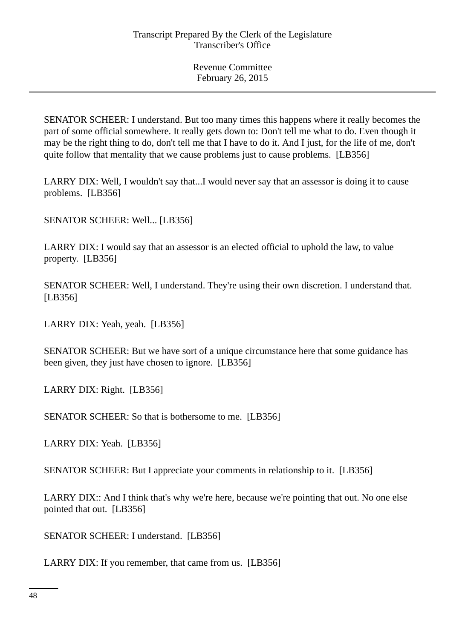SENATOR SCHEER: I understand. But too many times this happens where it really becomes the part of some official somewhere. It really gets down to: Don't tell me what to do. Even though it may be the right thing to do, don't tell me that I have to do it. And I just, for the life of me, don't quite follow that mentality that we cause problems just to cause problems. [LB356]

LARRY DIX: Well, I wouldn't say that...I would never say that an assessor is doing it to cause problems. [LB356]

SENATOR SCHEER: Well... [LB356]

LARRY DIX: I would say that an assessor is an elected official to uphold the law, to value property. [LB356]

SENATOR SCHEER: Well, I understand. They're using their own discretion. I understand that. [LB356]

LARRY DIX: Yeah, yeah. [LB356]

SENATOR SCHEER: But we have sort of a unique circumstance here that some guidance has been given, they just have chosen to ignore. [LB356]

LARRY DIX: Right. [LB356]

SENATOR SCHEER: So that is bothersome to me. [LB356]

LARRY DIX: Yeah. [LB356]

SENATOR SCHEER: But I appreciate your comments in relationship to it. [LB356]

LARRY DIX:: And I think that's why we're here, because we're pointing that out. No one else pointed that out. [LB356]

SENATOR SCHEER: I understand. [LB356]

LARRY DIX: If you remember, that came from us. [LB356]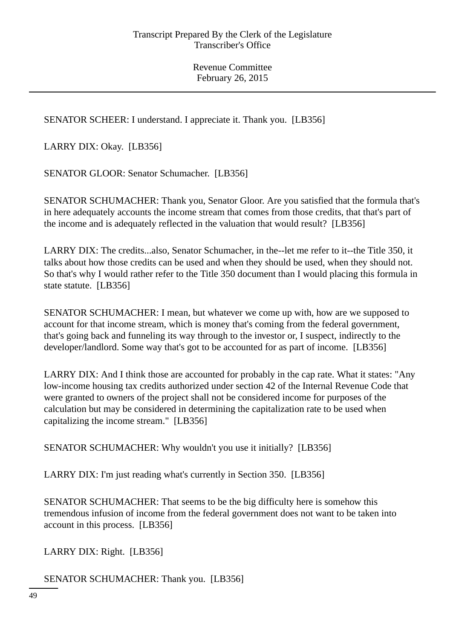SENATOR SCHEER: I understand. I appreciate it. Thank you. [LB356]

LARRY DIX: Okay. [LB356]

SENATOR GLOOR: Senator Schumacher. [LB356]

SENATOR SCHUMACHER: Thank you, Senator Gloor. Are you satisfied that the formula that's in here adequately accounts the income stream that comes from those credits, that that's part of the income and is adequately reflected in the valuation that would result? [LB356]

LARRY DIX: The credits...also, Senator Schumacher, in the--let me refer to it--the Title 350, it talks about how those credits can be used and when they should be used, when they should not. So that's why I would rather refer to the Title 350 document than I would placing this formula in state statute. [LB356]

SENATOR SCHUMACHER: I mean, but whatever we come up with, how are we supposed to account for that income stream, which is money that's coming from the federal government, that's going back and funneling its way through to the investor or, I suspect, indirectly to the developer/landlord. Some way that's got to be accounted for as part of income. [LB356]

LARRY DIX: And I think those are accounted for probably in the cap rate. What it states: "Any low-income housing tax credits authorized under section 42 of the Internal Revenue Code that were granted to owners of the project shall not be considered income for purposes of the calculation but may be considered in determining the capitalization rate to be used when capitalizing the income stream." [LB356]

SENATOR SCHUMACHER: Why wouldn't you use it initially? [LB356]

LARRY DIX: I'm just reading what's currently in Section 350. [LB356]

SENATOR SCHUMACHER: That seems to be the big difficulty here is somehow this tremendous infusion of income from the federal government does not want to be taken into account in this process. [LB356]

LARRY DIX: Right. [LB356]

SENATOR SCHUMACHER: Thank you. [LB356]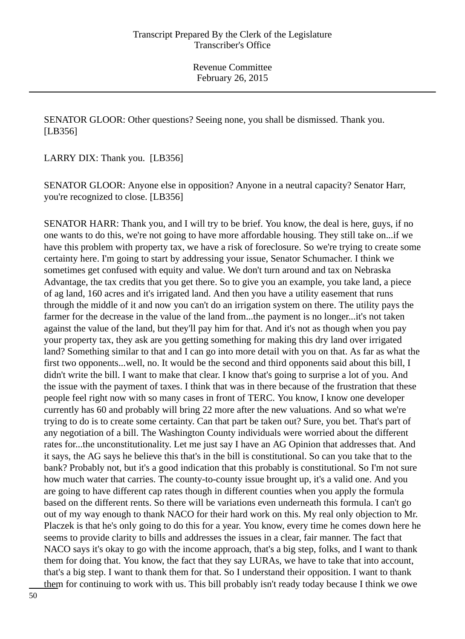SENATOR GLOOR: Other questions? Seeing none, you shall be dismissed. Thank you. [LB356]

LARRY DIX: Thank you. [LB356]

SENATOR GLOOR: Anyone else in opposition? Anyone in a neutral capacity? Senator Harr, you're recognized to close. [LB356]

SENATOR HARR: Thank you, and I will try to be brief. You know, the deal is here, guys, if no one wants to do this, we're not going to have more affordable housing. They still take on...if we have this problem with property tax, we have a risk of foreclosure. So we're trying to create some certainty here. I'm going to start by addressing your issue, Senator Schumacher. I think we sometimes get confused with equity and value. We don't turn around and tax on Nebraska Advantage, the tax credits that you get there. So to give you an example, you take land, a piece of ag land, 160 acres and it's irrigated land. And then you have a utility easement that runs through the middle of it and now you can't do an irrigation system on there. The utility pays the farmer for the decrease in the value of the land from...the payment is no longer...it's not taken against the value of the land, but they'll pay him for that. And it's not as though when you pay your property tax, they ask are you getting something for making this dry land over irrigated land? Something similar to that and I can go into more detail with you on that. As far as what the first two opponents...well, no. It would be the second and third opponents said about this bill, I didn't write the bill. I want to make that clear. I know that's going to surprise a lot of you. And the issue with the payment of taxes. I think that was in there because of the frustration that these people feel right now with so many cases in front of TERC. You know, I know one developer currently has 60 and probably will bring 22 more after the new valuations. And so what we're trying to do is to create some certainty. Can that part be taken out? Sure, you bet. That's part of any negotiation of a bill. The Washington County individuals were worried about the different rates for...the unconstitutionality. Let me just say I have an AG Opinion that addresses that. And it says, the AG says he believe this that's in the bill is constitutional. So can you take that to the bank? Probably not, but it's a good indication that this probably is constitutional. So I'm not sure how much water that carries. The county-to-county issue brought up, it's a valid one. And you are going to have different cap rates though in different counties when you apply the formula based on the different rents. So there will be variations even underneath this formula. I can't go out of my way enough to thank NACO for their hard work on this. My real only objection to Mr. Placzek is that he's only going to do this for a year. You know, every time he comes down here he seems to provide clarity to bills and addresses the issues in a clear, fair manner. The fact that NACO says it's okay to go with the income approach, that's a big step, folks, and I want to thank them for doing that. You know, the fact that they say LURAs, we have to take that into account, that's a big step. I want to thank them for that. So I understand their opposition. I want to thank them for continuing to work with us. This bill probably isn't ready today because I think we owe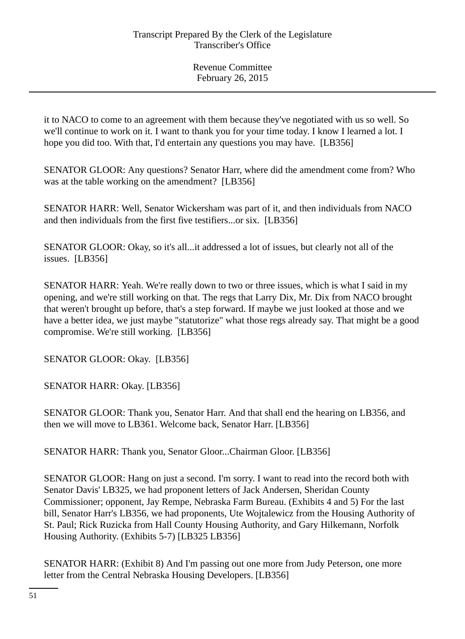it to NACO to come to an agreement with them because they've negotiated with us so well. So we'll continue to work on it. I want to thank you for your time today. I know I learned a lot. I hope you did too. With that, I'd entertain any questions you may have. [LB356]

SENATOR GLOOR: Any questions? Senator Harr, where did the amendment come from? Who was at the table working on the amendment? [LB356]

SENATOR HARR: Well, Senator Wickersham was part of it, and then individuals from NACO and then individuals from the first five testifiers...or six. [LB356]

SENATOR GLOOR: Okay, so it's all...it addressed a lot of issues, but clearly not all of the issues. [LB356]

SENATOR HARR: Yeah. We're really down to two or three issues, which is what I said in my opening, and we're still working on that. The regs that Larry Dix, Mr. Dix from NACO brought that weren't brought up before, that's a step forward. If maybe we just looked at those and we have a better idea, we just maybe "statutorize" what those regs already say. That might be a good compromise. We're still working. [LB356]

SENATOR GLOOR: Okay. [LB356]

SENATOR HARR: Okay. [LB356]

SENATOR GLOOR: Thank you, Senator Harr. And that shall end the hearing on LB356, and then we will move to LB361. Welcome back, Senator Harr. [LB356]

SENATOR HARR: Thank you, Senator Gloor...Chairman Gloor. [LB356]

SENATOR GLOOR: Hang on just a second. I'm sorry. I want to read into the record both with Senator Davis' LB325, we had proponent letters of Jack Andersen, Sheridan County Commissioner; opponent, Jay Rempe, Nebraska Farm Bureau. (Exhibits 4 and 5) For the last bill, Senator Harr's LB356, we had proponents, Ute Wojtalewicz from the Housing Authority of St. Paul; Rick Ruzicka from Hall County Housing Authority, and Gary Hilkemann, Norfolk Housing Authority. (Exhibits 5-7) [LB325 LB356]

SENATOR HARR: (Exhibit 8) And I'm passing out one more from Judy Peterson, one more letter from the Central Nebraska Housing Developers. [LB356]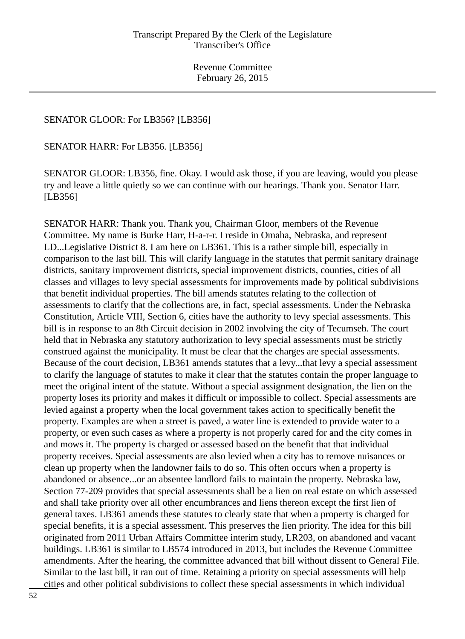## SENATOR GLOOR: For LB356? [LB356]

SENATOR HARR: For LB356. [LB356]

SENATOR GLOOR: LB356, fine. Okay. I would ask those, if you are leaving, would you please try and leave a little quietly so we can continue with our hearings. Thank you. Senator Harr. [LB356]

SENATOR HARR: Thank you. Thank you, Chairman Gloor, members of the Revenue Committee. My name is Burke Harr, H-a-r-r. I reside in Omaha, Nebraska, and represent LD...Legislative District 8. I am here on LB361. This is a rather simple bill, especially in comparison to the last bill. This will clarify language in the statutes that permit sanitary drainage districts, sanitary improvement districts, special improvement districts, counties, cities of all classes and villages to levy special assessments for improvements made by political subdivisions that benefit individual properties. The bill amends statutes relating to the collection of assessments to clarify that the collections are, in fact, special assessments. Under the Nebraska Constitution, Article VIII, Section 6, cities have the authority to levy special assessments. This bill is in response to an 8th Circuit decision in 2002 involving the city of Tecumseh. The court held that in Nebraska any statutory authorization to levy special assessments must be strictly construed against the municipality. It must be clear that the charges are special assessments. Because of the court decision, LB361 amends statutes that a levy...that levy a special assessment to clarify the language of statutes to make it clear that the statutes contain the proper language to meet the original intent of the statute. Without a special assignment designation, the lien on the property loses its priority and makes it difficult or impossible to collect. Special assessments are levied against a property when the local government takes action to specifically benefit the property. Examples are when a street is paved, a water line is extended to provide water to a property, or even such cases as where a property is not properly cared for and the city comes in and mows it. The property is charged or assessed based on the benefit that that individual property receives. Special assessments are also levied when a city has to remove nuisances or clean up property when the landowner fails to do so. This often occurs when a property is abandoned or absence...or an absentee landlord fails to maintain the property. Nebraska law, Section 77-209 provides that special assessments shall be a lien on real estate on which assessed and shall take priority over all other encumbrances and liens thereon except the first lien of general taxes. LB361 amends these statutes to clearly state that when a property is charged for special benefits, it is a special assessment. This preserves the lien priority. The idea for this bill originated from 2011 Urban Affairs Committee interim study, LR203, on abandoned and vacant buildings. LB361 is similar to LB574 introduced in 2013, but includes the Revenue Committee amendments. After the hearing, the committee advanced that bill without dissent to General File. Similar to the last bill, it ran out of time. Retaining a priority on special assessments will help cities and other political subdivisions to collect these special assessments in which individual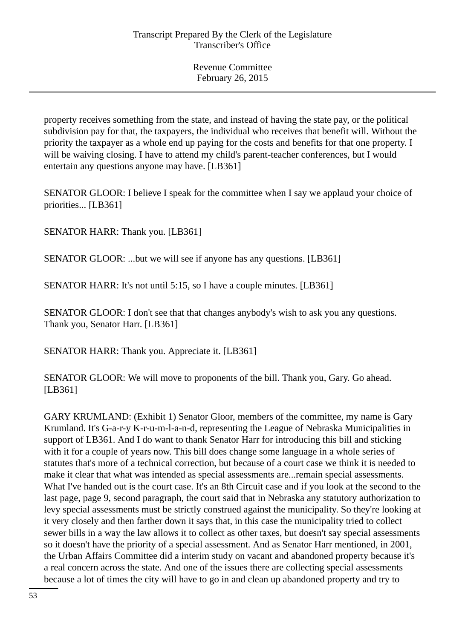property receives something from the state, and instead of having the state pay, or the political subdivision pay for that, the taxpayers, the individual who receives that benefit will. Without the priority the taxpayer as a whole end up paying for the costs and benefits for that one property. I will be waiving closing. I have to attend my child's parent-teacher conferences, but I would entertain any questions anyone may have. [LB361]

SENATOR GLOOR: I believe I speak for the committee when I say we applaud your choice of priorities... [LB361]

SENATOR HARR: Thank you. [LB361]

SENATOR GLOOR: ...but we will see if anyone has any questions. [LB361]

SENATOR HARR: It's not until 5:15, so I have a couple minutes. [LB361]

SENATOR GLOOR: I don't see that that changes anybody's wish to ask you any questions. Thank you, Senator Harr. [LB361]

SENATOR HARR: Thank you. Appreciate it. [LB361]

SENATOR GLOOR: We will move to proponents of the bill. Thank you, Gary. Go ahead. [LB361]

GARY KRUMLAND: (Exhibit 1) Senator Gloor, members of the committee, my name is Gary Krumland. It's G-a-r-y K-r-u-m-l-a-n-d, representing the League of Nebraska Municipalities in support of LB361. And I do want to thank Senator Harr for introducing this bill and sticking with it for a couple of years now. This bill does change some language in a whole series of statutes that's more of a technical correction, but because of a court case we think it is needed to make it clear that what was intended as special assessments are...remain special assessments. What I've handed out is the court case. It's an 8th Circuit case and if you look at the second to the last page, page 9, second paragraph, the court said that in Nebraska any statutory authorization to levy special assessments must be strictly construed against the municipality. So they're looking at it very closely and then farther down it says that, in this case the municipality tried to collect sewer bills in a way the law allows it to collect as other taxes, but doesn't say special assessments so it doesn't have the priority of a special assessment. And as Senator Harr mentioned, in 2001, the Urban Affairs Committee did a interim study on vacant and abandoned property because it's a real concern across the state. And one of the issues there are collecting special assessments because a lot of times the city will have to go in and clean up abandoned property and try to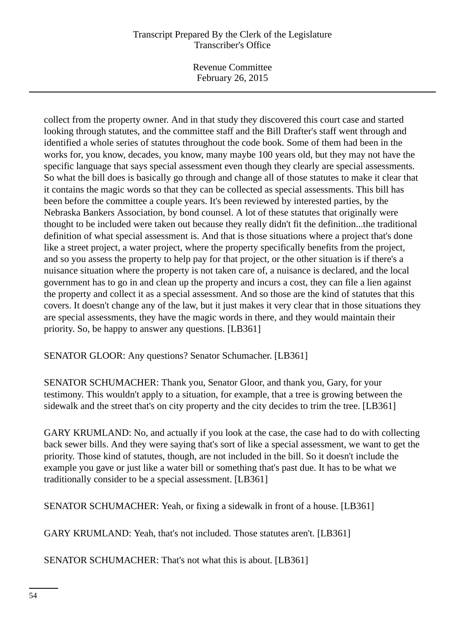Revenue Committee February 26, 2015

collect from the property owner. And in that study they discovered this court case and started looking through statutes, and the committee staff and the Bill Drafter's staff went through and identified a whole series of statutes throughout the code book. Some of them had been in the works for, you know, decades, you know, many maybe 100 years old, but they may not have the specific language that says special assessment even though they clearly are special assessments. So what the bill does is basically go through and change all of those statutes to make it clear that it contains the magic words so that they can be collected as special assessments. This bill has been before the committee a couple years. It's been reviewed by interested parties, by the Nebraska Bankers Association, by bond counsel. A lot of these statutes that originally were thought to be included were taken out because they really didn't fit the definition...the traditional definition of what special assessment is. And that is those situations where a project that's done like a street project, a water project, where the property specifically benefits from the project, and so you assess the property to help pay for that project, or the other situation is if there's a nuisance situation where the property is not taken care of, a nuisance is declared, and the local government has to go in and clean up the property and incurs a cost, they can file a lien against the property and collect it as a special assessment. And so those are the kind of statutes that this covers. It doesn't change any of the law, but it just makes it very clear that in those situations they are special assessments, they have the magic words in there, and they would maintain their priority. So, be happy to answer any questions. [LB361]

SENATOR GLOOR: Any questions? Senator Schumacher. [LB361]

SENATOR SCHUMACHER: Thank you, Senator Gloor, and thank you, Gary, for your testimony. This wouldn't apply to a situation, for example, that a tree is growing between the sidewalk and the street that's on city property and the city decides to trim the tree. [LB361]

GARY KRUMLAND: No, and actually if you look at the case, the case had to do with collecting back sewer bills. And they were saying that's sort of like a special assessment, we want to get the priority. Those kind of statutes, though, are not included in the bill. So it doesn't include the example you gave or just like a water bill or something that's past due. It has to be what we traditionally consider to be a special assessment. [LB361]

SENATOR SCHUMACHER: Yeah, or fixing a sidewalk in front of a house. [LB361]

GARY KRUMLAND: Yeah, that's not included. Those statutes aren't. [LB361]

SENATOR SCHUMACHER: That's not what this is about. [LB361]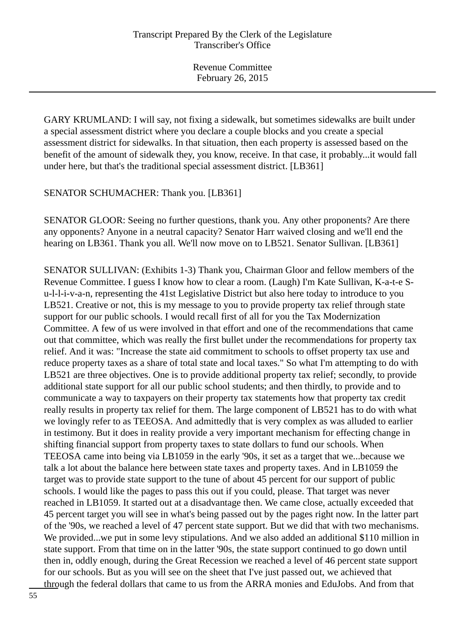GARY KRUMLAND: I will say, not fixing a sidewalk, but sometimes sidewalks are built under a special assessment district where you declare a couple blocks and you create a special assessment district for sidewalks. In that situation, then each property is assessed based on the benefit of the amount of sidewalk they, you know, receive. In that case, it probably...it would fall under here, but that's the traditional special assessment district. [LB361]

SENATOR SCHUMACHER: Thank you. [LB361]

SENATOR GLOOR: Seeing no further questions, thank you. Any other proponents? Are there any opponents? Anyone in a neutral capacity? Senator Harr waived closing and we'll end the hearing on LB361. Thank you all. We'll now move on to LB521. Senator Sullivan. [LB361]

SENATOR SULLIVAN: (Exhibits 1-3) Thank you, Chairman Gloor and fellow members of the Revenue Committee. I guess I know how to clear a room. (Laugh) I'm Kate Sullivan, K-a-t-e Su-l-l-i-v-a-n, representing the 41st Legislative District but also here today to introduce to you LB521. Creative or not, this is my message to you to provide property tax relief through state support for our public schools. I would recall first of all for you the Tax Modernization Committee. A few of us were involved in that effort and one of the recommendations that came out that committee, which was really the first bullet under the recommendations for property tax relief. And it was: "Increase the state aid commitment to schools to offset property tax use and reduce property taxes as a share of total state and local taxes." So what I'm attempting to do with LB521 are three objectives. One is to provide additional property tax relief; secondly, to provide additional state support for all our public school students; and then thirdly, to provide and to communicate a way to taxpayers on their property tax statements how that property tax credit really results in property tax relief for them. The large component of LB521 has to do with what we lovingly refer to as TEEOSA. And admittedly that is very complex as was alluded to earlier in testimony. But it does in reality provide a very important mechanism for effecting change in shifting financial support from property taxes to state dollars to fund our schools. When TEEOSA came into being via LB1059 in the early '90s, it set as a target that we...because we talk a lot about the balance here between state taxes and property taxes. And in LB1059 the target was to provide state support to the tune of about 45 percent for our support of public schools. I would like the pages to pass this out if you could, please. That target was never reached in LB1059. It started out at a disadvantage then. We came close, actually exceeded that 45 percent target you will see in what's being passed out by the pages right now. In the latter part of the '90s, we reached a level of 47 percent state support. But we did that with two mechanisms. We provided...we put in some levy stipulations. And we also added an additional \$110 million in state support. From that time on in the latter '90s, the state support continued to go down until then in, oddly enough, during the Great Recession we reached a level of 46 percent state support for our schools. But as you will see on the sheet that I've just passed out, we achieved that through the federal dollars that came to us from the ARRA monies and EduJobs. And from that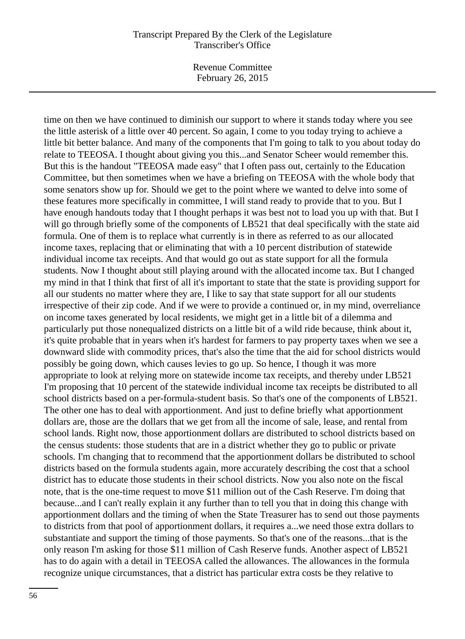Revenue Committee February 26, 2015

time on then we have continued to diminish our support to where it stands today where you see the little asterisk of a little over 40 percent. So again, I come to you today trying to achieve a little bit better balance. And many of the components that I'm going to talk to you about today do relate to TEEOSA. I thought about giving you this...and Senator Scheer would remember this. But this is the handout "TEEOSA made easy" that I often pass out, certainly to the Education Committee, but then sometimes when we have a briefing on TEEOSA with the whole body that some senators show up for. Should we get to the point where we wanted to delve into some of these features more specifically in committee, I will stand ready to provide that to you. But I have enough handouts today that I thought perhaps it was best not to load you up with that. But I will go through briefly some of the components of LB521 that deal specifically with the state aid formula. One of them is to replace what currently is in there as referred to as our allocated income taxes, replacing that or eliminating that with a 10 percent distribution of statewide individual income tax receipts. And that would go out as state support for all the formula students. Now I thought about still playing around with the allocated income tax. But I changed my mind in that I think that first of all it's important to state that the state is providing support for all our students no matter where they are, I like to say that state support for all our students irrespective of their zip code. And if we were to provide a continued or, in my mind, overreliance on income taxes generated by local residents, we might get in a little bit of a dilemma and particularly put those nonequalized districts on a little bit of a wild ride because, think about it, it's quite probable that in years when it's hardest for farmers to pay property taxes when we see a downward slide with commodity prices, that's also the time that the aid for school districts would possibly be going down, which causes levies to go up. So hence, I though it was more appropriate to look at relying more on statewide income tax receipts, and thereby under LB521 I'm proposing that 10 percent of the statewide individual income tax receipts be distributed to all school districts based on a per-formula-student basis. So that's one of the components of LB521. The other one has to deal with apportionment. And just to define briefly what apportionment dollars are, those are the dollars that we get from all the income of sale, lease, and rental from school lands. Right now, those apportionment dollars are distributed to school districts based on the census students: those students that are in a district whether they go to public or private schools. I'm changing that to recommend that the apportionment dollars be distributed to school districts based on the formula students again, more accurately describing the cost that a school district has to educate those students in their school districts. Now you also note on the fiscal note, that is the one-time request to move \$11 million out of the Cash Reserve. I'm doing that because...and I can't really explain it any further than to tell you that in doing this change with apportionment dollars and the timing of when the State Treasurer has to send out those payments to districts from that pool of apportionment dollars, it requires a...we need those extra dollars to substantiate and support the timing of those payments. So that's one of the reasons...that is the only reason I'm asking for those \$11 million of Cash Reserve funds. Another aspect of LB521 has to do again with a detail in TEEOSA called the allowances. The allowances in the formula recognize unique circumstances, that a district has particular extra costs be they relative to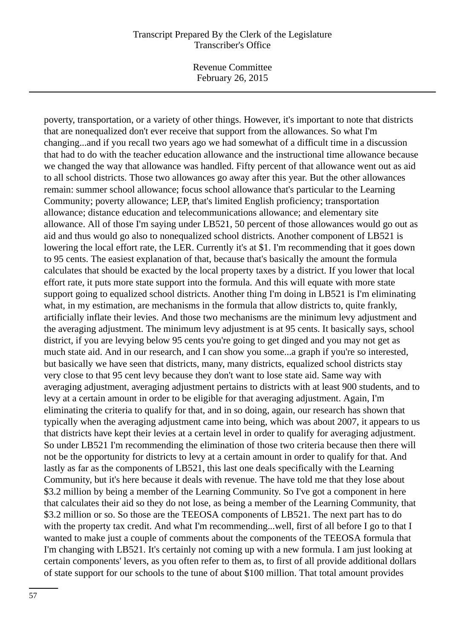Revenue Committee February 26, 2015

poverty, transportation, or a variety of other things. However, it's important to note that districts that are nonequalized don't ever receive that support from the allowances. So what I'm changing...and if you recall two years ago we had somewhat of a difficult time in a discussion that had to do with the teacher education allowance and the instructional time allowance because we changed the way that allowance was handled. Fifty percent of that allowance went out as aid to all school districts. Those two allowances go away after this year. But the other allowances remain: summer school allowance; focus school allowance that's particular to the Learning Community; poverty allowance; LEP, that's limited English proficiency; transportation allowance; distance education and telecommunications allowance; and elementary site allowance. All of those I'm saying under LB521, 50 percent of those allowances would go out as aid and thus would go also to nonequalized school districts. Another component of LB521 is lowering the local effort rate, the LER. Currently it's at \$1. I'm recommending that it goes down to 95 cents. The easiest explanation of that, because that's basically the amount the formula calculates that should be exacted by the local property taxes by a district. If you lower that local effort rate, it puts more state support into the formula. And this will equate with more state support going to equalized school districts. Another thing I'm doing in LB521 is I'm eliminating what, in my estimation, are mechanisms in the formula that allow districts to, quite frankly, artificially inflate their levies. And those two mechanisms are the minimum levy adjustment and the averaging adjustment. The minimum levy adjustment is at 95 cents. It basically says, school district, if you are levying below 95 cents you're going to get dinged and you may not get as much state aid. And in our research, and I can show you some...a graph if you're so interested, but basically we have seen that districts, many, many districts, equalized school districts stay very close to that 95 cent levy because they don't want to lose state aid. Same way with averaging adjustment, averaging adjustment pertains to districts with at least 900 students, and to levy at a certain amount in order to be eligible for that averaging adjustment. Again, I'm eliminating the criteria to qualify for that, and in so doing, again, our research has shown that typically when the averaging adjustment came into being, which was about 2007, it appears to us that districts have kept their levies at a certain level in order to qualify for averaging adjustment. So under LB521 I'm recommending the elimination of those two criteria because then there will not be the opportunity for districts to levy at a certain amount in order to qualify for that. And lastly as far as the components of LB521, this last one deals specifically with the Learning Community, but it's here because it deals with revenue. The have told me that they lose about \$3.2 million by being a member of the Learning Community. So I've got a component in here that calculates their aid so they do not lose, as being a member of the Learning Community, that \$3.2 million or so. So those are the TEEOSA components of LB521. The next part has to do with the property tax credit. And what I'm recommending...well, first of all before I go to that I wanted to make just a couple of comments about the components of the TEEOSA formula that I'm changing with LB521. It's certainly not coming up with a new formula. I am just looking at certain components' levers, as you often refer to them as, to first of all provide additional dollars of state support for our schools to the tune of about \$100 million. That total amount provides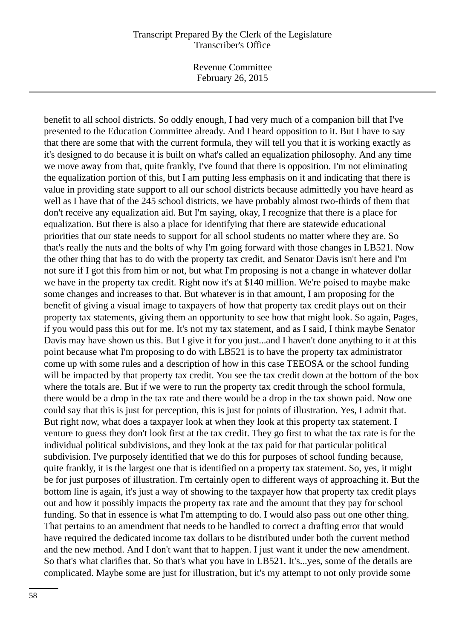Revenue Committee February 26, 2015

benefit to all school districts. So oddly enough, I had very much of a companion bill that I've presented to the Education Committee already. And I heard opposition to it. But I have to say that there are some that with the current formula, they will tell you that it is working exactly as it's designed to do because it is built on what's called an equalization philosophy. And any time we move away from that, quite frankly, I've found that there is opposition. I'm not eliminating the equalization portion of this, but I am putting less emphasis on it and indicating that there is value in providing state support to all our school districts because admittedly you have heard as well as I have that of the 245 school districts, we have probably almost two-thirds of them that don't receive any equalization aid. But I'm saying, okay, I recognize that there is a place for equalization. But there is also a place for identifying that there are statewide educational priorities that our state needs to support for all school students no matter where they are. So that's really the nuts and the bolts of why I'm going forward with those changes in LB521. Now the other thing that has to do with the property tax credit, and Senator Davis isn't here and I'm not sure if I got this from him or not, but what I'm proposing is not a change in whatever dollar we have in the property tax credit. Right now it's at \$140 million. We're poised to maybe make some changes and increases to that. But whatever is in that amount, I am proposing for the benefit of giving a visual image to taxpayers of how that property tax credit plays out on their property tax statements, giving them an opportunity to see how that might look. So again, Pages, if you would pass this out for me. It's not my tax statement, and as I said, I think maybe Senator Davis may have shown us this. But I give it for you just...and I haven't done anything to it at this point because what I'm proposing to do with LB521 is to have the property tax administrator come up with some rules and a description of how in this case TEEOSA or the school funding will be impacted by that property tax credit. You see the tax credit down at the bottom of the box where the totals are. But if we were to run the property tax credit through the school formula, there would be a drop in the tax rate and there would be a drop in the tax shown paid. Now one could say that this is just for perception, this is just for points of illustration. Yes, I admit that. But right now, what does a taxpayer look at when they look at this property tax statement. I venture to guess they don't look first at the tax credit. They go first to what the tax rate is for the individual political subdivisions, and they look at the tax paid for that particular political subdivision. I've purposely identified that we do this for purposes of school funding because, quite frankly, it is the largest one that is identified on a property tax statement. So, yes, it might be for just purposes of illustration. I'm certainly open to different ways of approaching it. But the bottom line is again, it's just a way of showing to the taxpayer how that property tax credit plays out and how it possibly impacts the property tax rate and the amount that they pay for school funding. So that in essence is what I'm attempting to do. I would also pass out one other thing. That pertains to an amendment that needs to be handled to correct a drafting error that would have required the dedicated income tax dollars to be distributed under both the current method and the new method. And I don't want that to happen. I just want it under the new amendment. So that's what clarifies that. So that's what you have in LB521. It's...yes, some of the details are complicated. Maybe some are just for illustration, but it's my attempt to not only provide some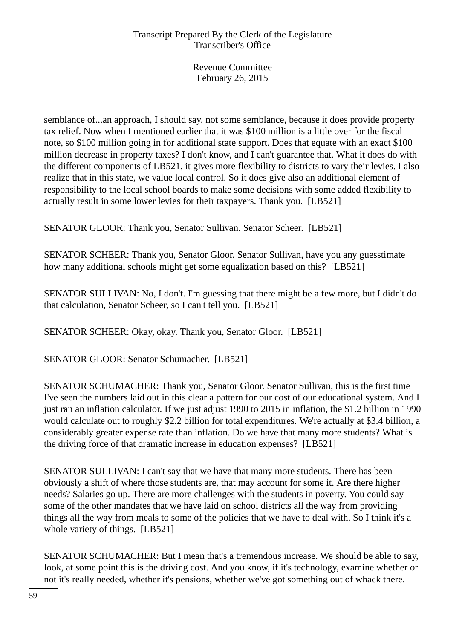semblance of...an approach, I should say, not some semblance, because it does provide property tax relief. Now when I mentioned earlier that it was \$100 million is a little over for the fiscal note, so \$100 million going in for additional state support. Does that equate with an exact \$100 million decrease in property taxes? I don't know, and I can't guarantee that. What it does do with the different components of LB521, it gives more flexibility to districts to vary their levies. I also realize that in this state, we value local control. So it does give also an additional element of responsibility to the local school boards to make some decisions with some added flexibility to actually result in some lower levies for their taxpayers. Thank you. [LB521]

SENATOR GLOOR: Thank you, Senator Sullivan. Senator Scheer. [LB521]

SENATOR SCHEER: Thank you, Senator Gloor. Senator Sullivan, have you any guesstimate how many additional schools might get some equalization based on this? [LB521]

SENATOR SULLIVAN: No, I don't. I'm guessing that there might be a few more, but I didn't do that calculation, Senator Scheer, so I can't tell you. [LB521]

SENATOR SCHEER: Okay, okay. Thank you, Senator Gloor. [LB521]

SENATOR GLOOR: Senator Schumacher. [LB521]

SENATOR SCHUMACHER: Thank you, Senator Gloor. Senator Sullivan, this is the first time I've seen the numbers laid out in this clear a pattern for our cost of our educational system. And I just ran an inflation calculator. If we just adjust 1990 to 2015 in inflation, the \$1.2 billion in 1990 would calculate out to roughly \$2.2 billion for total expenditures. We're actually at \$3.4 billion, a considerably greater expense rate than inflation. Do we have that many more students? What is the driving force of that dramatic increase in education expenses? [LB521]

SENATOR SULLIVAN: I can't say that we have that many more students. There has been obviously a shift of where those students are, that may account for some it. Are there higher needs? Salaries go up. There are more challenges with the students in poverty. You could say some of the other mandates that we have laid on school districts all the way from providing things all the way from meals to some of the policies that we have to deal with. So I think it's a whole variety of things. [LB521]

SENATOR SCHUMACHER: But I mean that's a tremendous increase. We should be able to say, look, at some point this is the driving cost. And you know, if it's technology, examine whether or not it's really needed, whether it's pensions, whether we've got something out of whack there.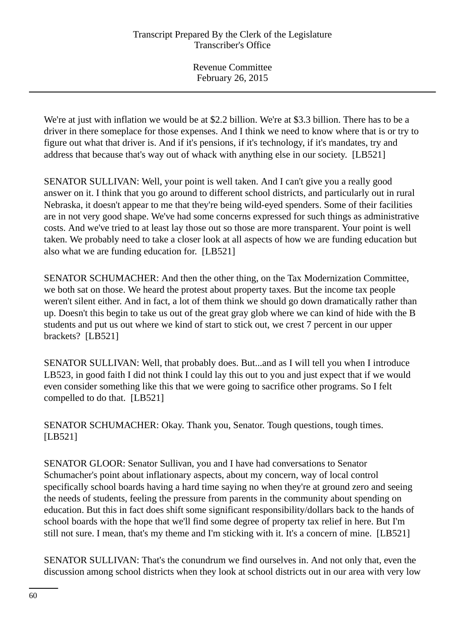We're at just with inflation we would be at \$2.2 billion. We're at \$3.3 billion. There has to be a driver in there someplace for those expenses. And I think we need to know where that is or try to figure out what that driver is. And if it's pensions, if it's technology, if it's mandates, try and address that because that's way out of whack with anything else in our society. [LB521]

SENATOR SULLIVAN: Well, your point is well taken. And I can't give you a really good answer on it. I think that you go around to different school districts, and particularly out in rural Nebraska, it doesn't appear to me that they're being wild-eyed spenders. Some of their facilities are in not very good shape. We've had some concerns expressed for such things as administrative costs. And we've tried to at least lay those out so those are more transparent. Your point is well taken. We probably need to take a closer look at all aspects of how we are funding education but also what we are funding education for. [LB521]

SENATOR SCHUMACHER: And then the other thing, on the Tax Modernization Committee, we both sat on those. We heard the protest about property taxes. But the income tax people weren't silent either. And in fact, a lot of them think we should go down dramatically rather than up. Doesn't this begin to take us out of the great gray glob where we can kind of hide with the B students and put us out where we kind of start to stick out, we crest 7 percent in our upper brackets? [LB521]

SENATOR SULLIVAN: Well, that probably does. But...and as I will tell you when I introduce LB523, in good faith I did not think I could lay this out to you and just expect that if we would even consider something like this that we were going to sacrifice other programs. So I felt compelled to do that. [LB521]

SENATOR SCHUMACHER: Okay. Thank you, Senator. Tough questions, tough times. [LB521]

SENATOR GLOOR: Senator Sullivan, you and I have had conversations to Senator Schumacher's point about inflationary aspects, about my concern, way of local control specifically school boards having a hard time saying no when they're at ground zero and seeing the needs of students, feeling the pressure from parents in the community about spending on education. But this in fact does shift some significant responsibility/dollars back to the hands of school boards with the hope that we'll find some degree of property tax relief in here. But I'm still not sure. I mean, that's my theme and I'm sticking with it. It's a concern of mine. [LB521]

SENATOR SULLIVAN: That's the conundrum we find ourselves in. And not only that, even the discussion among school districts when they look at school districts out in our area with very low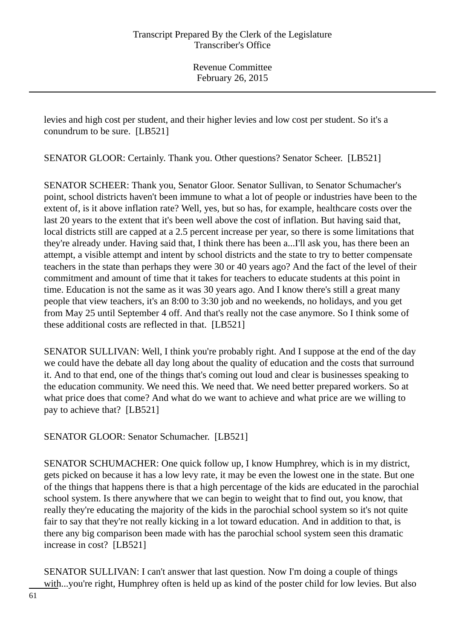levies and high cost per student, and their higher levies and low cost per student. So it's a conundrum to be sure. [LB521]

SENATOR GLOOR: Certainly. Thank you. Other questions? Senator Scheer. [LB521]

SENATOR SCHEER: Thank you, Senator Gloor. Senator Sullivan, to Senator Schumacher's point, school districts haven't been immune to what a lot of people or industries have been to the extent of, is it above inflation rate? Well, yes, but so has, for example, healthcare costs over the last 20 years to the extent that it's been well above the cost of inflation. But having said that, local districts still are capped at a 2.5 percent increase per year, so there is some limitations that they're already under. Having said that, I think there has been a...I'll ask you, has there been an attempt, a visible attempt and intent by school districts and the state to try to better compensate teachers in the state than perhaps they were 30 or 40 years ago? And the fact of the level of their commitment and amount of time that it takes for teachers to educate students at this point in time. Education is not the same as it was 30 years ago. And I know there's still a great many people that view teachers, it's an 8:00 to 3:30 job and no weekends, no holidays, and you get from May 25 until September 4 off. And that's really not the case anymore. So I think some of these additional costs are reflected in that. [LB521]

SENATOR SULLIVAN: Well, I think you're probably right. And I suppose at the end of the day we could have the debate all day long about the quality of education and the costs that surround it. And to that end, one of the things that's coming out loud and clear is businesses speaking to the education community. We need this. We need that. We need better prepared workers. So at what price does that come? And what do we want to achieve and what price are we willing to pay to achieve that? [LB521]

SENATOR GLOOR: Senator Schumacher. [LB521]

SENATOR SCHUMACHER: One quick follow up, I know Humphrey, which is in my district, gets picked on because it has a low levy rate, it may be even the lowest one in the state. But one of the things that happens there is that a high percentage of the kids are educated in the parochial school system. Is there anywhere that we can begin to weight that to find out, you know, that really they're educating the majority of the kids in the parochial school system so it's not quite fair to say that they're not really kicking in a lot toward education. And in addition to that, is there any big comparison been made with has the parochial school system seen this dramatic increase in cost? [LB521]

SENATOR SULLIVAN: I can't answer that last question. Now I'm doing a couple of things with...you're right, Humphrey often is held up as kind of the poster child for low levies. But also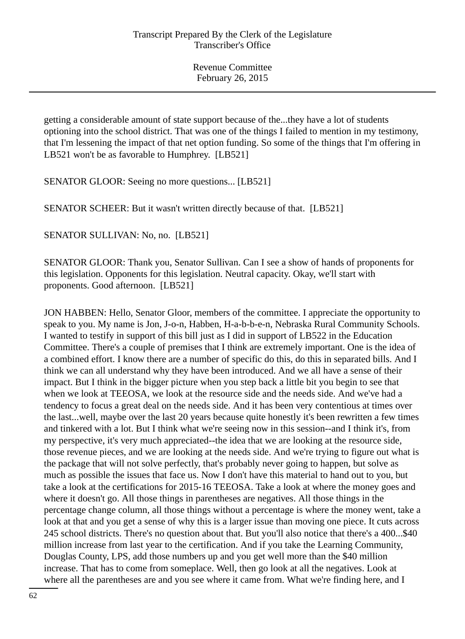getting a considerable amount of state support because of the...they have a lot of students optioning into the school district. That was one of the things I failed to mention in my testimony, that I'm lessening the impact of that net option funding. So some of the things that I'm offering in LB521 won't be as favorable to Humphrey. [LB521]

SENATOR GLOOR: Seeing no more questions... [LB521]

SENATOR SCHEER: But it wasn't written directly because of that. [LB521]

SENATOR SULLIVAN: No, no. [LB521]

SENATOR GLOOR: Thank you, Senator Sullivan. Can I see a show of hands of proponents for this legislation. Opponents for this legislation. Neutral capacity. Okay, we'll start with proponents. Good afternoon. [LB521]

JON HABBEN: Hello, Senator Gloor, members of the committee. I appreciate the opportunity to speak to you. My name is Jon, J-o-n, Habben, H-a-b-b-e-n, Nebraska Rural Community Schools. I wanted to testify in support of this bill just as I did in support of LB522 in the Education Committee. There's a couple of premises that I think are extremely important. One is the idea of a combined effort. I know there are a number of specific do this, do this in separated bills. And I think we can all understand why they have been introduced. And we all have a sense of their impact. But I think in the bigger picture when you step back a little bit you begin to see that when we look at TEEOSA, we look at the resource side and the needs side. And we've had a tendency to focus a great deal on the needs side. And it has been very contentious at times over the last...well, maybe over the last 20 years because quite honestly it's been rewritten a few times and tinkered with a lot. But I think what we're seeing now in this session--and I think it's, from my perspective, it's very much appreciated--the idea that we are looking at the resource side, those revenue pieces, and we are looking at the needs side. And we're trying to figure out what is the package that will not solve perfectly, that's probably never going to happen, but solve as much as possible the issues that face us. Now I don't have this material to hand out to you, but take a look at the certifications for 2015-16 TEEOSA. Take a look at where the money goes and where it doesn't go. All those things in parentheses are negatives. All those things in the percentage change column, all those things without a percentage is where the money went, take a look at that and you get a sense of why this is a larger issue than moving one piece. It cuts across 245 school districts. There's no question about that. But you'll also notice that there's a 400...\$40 million increase from last year to the certification. And if you take the Learning Community, Douglas County, LPS, add those numbers up and you get well more than the \$40 million increase. That has to come from someplace. Well, then go look at all the negatives. Look at where all the parentheses are and you see where it came from. What we're finding here, and I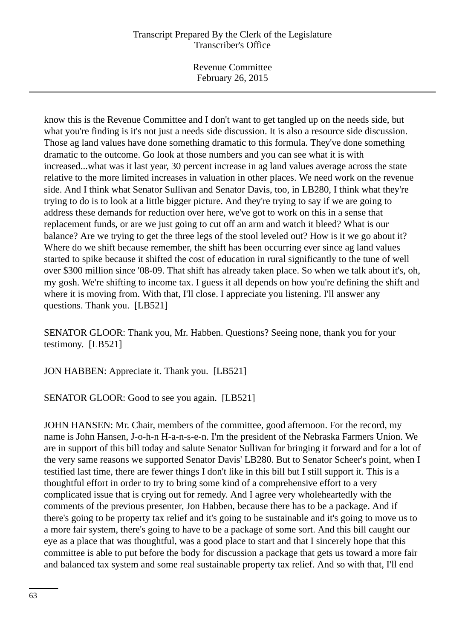Revenue Committee February 26, 2015

know this is the Revenue Committee and I don't want to get tangled up on the needs side, but what you're finding is it's not just a needs side discussion. It is also a resource side discussion. Those ag land values have done something dramatic to this formula. They've done something dramatic to the outcome. Go look at those numbers and you can see what it is with increased...what was it last year, 30 percent increase in ag land values average across the state relative to the more limited increases in valuation in other places. We need work on the revenue side. And I think what Senator Sullivan and Senator Davis, too, in LB280, I think what they're trying to do is to look at a little bigger picture. And they're trying to say if we are going to address these demands for reduction over here, we've got to work on this in a sense that replacement funds, or are we just going to cut off an arm and watch it bleed? What is our balance? Are we trying to get the three legs of the stool leveled out? How is it we go about it? Where do we shift because remember, the shift has been occurring ever since ag land values started to spike because it shifted the cost of education in rural significantly to the tune of well over \$300 million since '08-09. That shift has already taken place. So when we talk about it's, oh, my gosh. We're shifting to income tax. I guess it all depends on how you're defining the shift and where it is moving from. With that, I'll close. I appreciate you listening. I'll answer any questions. Thank you. [LB521]

SENATOR GLOOR: Thank you, Mr. Habben. Questions? Seeing none, thank you for your testimony. [LB521]

JON HABBEN: Appreciate it. Thank you. [LB521]

SENATOR GLOOR: Good to see you again. [LB521]

JOHN HANSEN: Mr. Chair, members of the committee, good afternoon. For the record, my name is John Hansen, J-o-h-n H-a-n-s-e-n. I'm the president of the Nebraska Farmers Union. We are in support of this bill today and salute Senator Sullivan for bringing it forward and for a lot of the very same reasons we supported Senator Davis' LB280. But to Senator Scheer's point, when I testified last time, there are fewer things I don't like in this bill but I still support it. This is a thoughtful effort in order to try to bring some kind of a comprehensive effort to a very complicated issue that is crying out for remedy. And I agree very wholeheartedly with the comments of the previous presenter, Jon Habben, because there has to be a package. And if there's going to be property tax relief and it's going to be sustainable and it's going to move us to a more fair system, there's going to have to be a package of some sort. And this bill caught our eye as a place that was thoughtful, was a good place to start and that I sincerely hope that this committee is able to put before the body for discussion a package that gets us toward a more fair and balanced tax system and some real sustainable property tax relief. And so with that, I'll end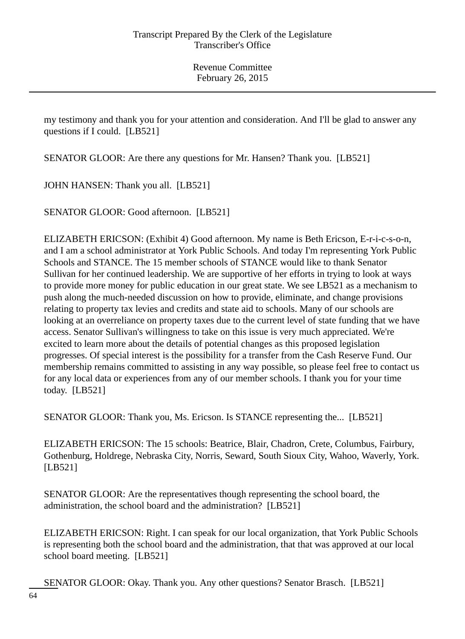my testimony and thank you for your attention and consideration. And I'll be glad to answer any questions if I could. [LB521]

SENATOR GLOOR: Are there any questions for Mr. Hansen? Thank you. [LB521]

JOHN HANSEN: Thank you all. [LB521]

SENATOR GLOOR: Good afternoon. [LB521]

ELIZABETH ERICSON: (Exhibit 4) Good afternoon. My name is Beth Ericson, E-r-i-c-s-o-n, and I am a school administrator at York Public Schools. And today I'm representing York Public Schools and STANCE. The 15 member schools of STANCE would like to thank Senator Sullivan for her continued leadership. We are supportive of her efforts in trying to look at ways to provide more money for public education in our great state. We see LB521 as a mechanism to push along the much-needed discussion on how to provide, eliminate, and change provisions relating to property tax levies and credits and state aid to schools. Many of our schools are looking at an overreliance on property taxes due to the current level of state funding that we have access. Senator Sullivan's willingness to take on this issue is very much appreciated. We're excited to learn more about the details of potential changes as this proposed legislation progresses. Of special interest is the possibility for a transfer from the Cash Reserve Fund. Our membership remains committed to assisting in any way possible, so please feel free to contact us for any local data or experiences from any of our member schools. I thank you for your time today. [LB521]

SENATOR GLOOR: Thank you, Ms. Ericson. Is STANCE representing the... [LB521]

ELIZABETH ERICSON: The 15 schools: Beatrice, Blair, Chadron, Crete, Columbus, Fairbury, Gothenburg, Holdrege, Nebraska City, Norris, Seward, South Sioux City, Wahoo, Waverly, York. [LB521]

SENATOR GLOOR: Are the representatives though representing the school board, the administration, the school board and the administration? [LB521]

ELIZABETH ERICSON: Right. I can speak for our local organization, that York Public Schools is representing both the school board and the administration, that that was approved at our local school board meeting. [LB521]

SENATOR GLOOR: Okay. Thank you. Any other questions? Senator Brasch. [LB521]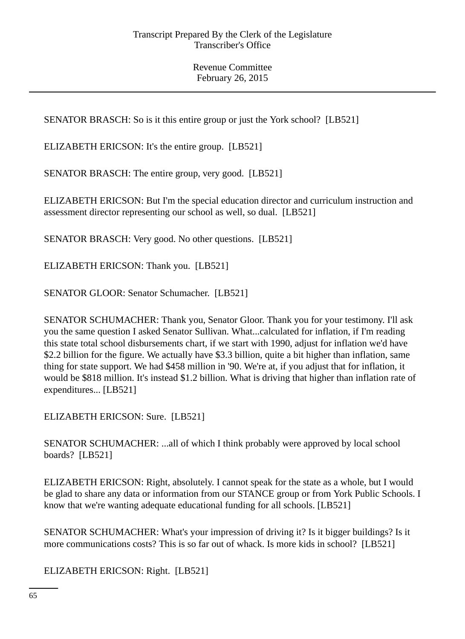SENATOR BRASCH: So is it this entire group or just the York school? [LB521]

ELIZABETH ERICSON: It's the entire group. [LB521]

SENATOR BRASCH: The entire group, very good. [LB521]

ELIZABETH ERICSON: But I'm the special education director and curriculum instruction and assessment director representing our school as well, so dual. [LB521]

SENATOR BRASCH: Very good. No other questions. [LB521]

ELIZABETH ERICSON: Thank you. [LB521]

SENATOR GLOOR: Senator Schumacher. [LB521]

SENATOR SCHUMACHER: Thank you, Senator Gloor. Thank you for your testimony. I'll ask you the same question I asked Senator Sullivan. What...calculated for inflation, if I'm reading this state total school disbursements chart, if we start with 1990, adjust for inflation we'd have \$2.2 billion for the figure. We actually have \$3.3 billion, quite a bit higher than inflation, same thing for state support. We had \$458 million in '90. We're at, if you adjust that for inflation, it would be \$818 million. It's instead \$1.2 billion. What is driving that higher than inflation rate of expenditures... [LB521]

ELIZABETH ERICSON: Sure. [LB521]

SENATOR SCHUMACHER: ...all of which I think probably were approved by local school boards? [LB521]

ELIZABETH ERICSON: Right, absolutely. I cannot speak for the state as a whole, but I would be glad to share any data or information from our STANCE group or from York Public Schools. I know that we're wanting adequate educational funding for all schools. [LB521]

SENATOR SCHUMACHER: What's your impression of driving it? Is it bigger buildings? Is it more communications costs? This is so far out of whack. Is more kids in school? [LB521]

ELIZABETH ERICSON: Right. [LB521]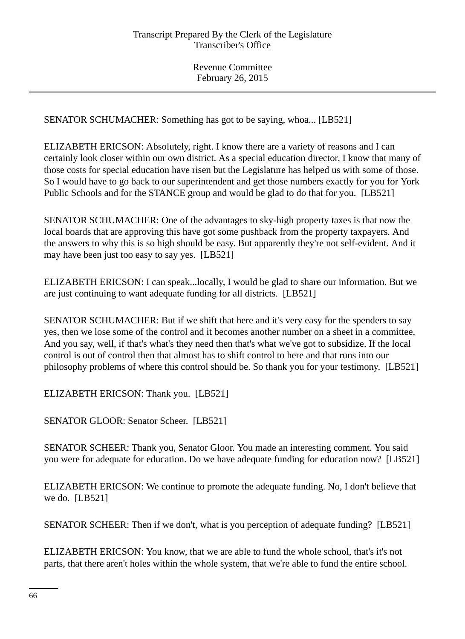SENATOR SCHUMACHER: Something has got to be saying, whoa... [LB521]

ELIZABETH ERICSON: Absolutely, right. I know there are a variety of reasons and I can certainly look closer within our own district. As a special education director, I know that many of those costs for special education have risen but the Legislature has helped us with some of those. So I would have to go back to our superintendent and get those numbers exactly for you for York Public Schools and for the STANCE group and would be glad to do that for you. [LB521]

SENATOR SCHUMACHER: One of the advantages to sky-high property taxes is that now the local boards that are approving this have got some pushback from the property taxpayers. And the answers to why this is so high should be easy. But apparently they're not self-evident. And it may have been just too easy to say yes. [LB521]

ELIZABETH ERICSON: I can speak...locally, I would be glad to share our information. But we are just continuing to want adequate funding for all districts. [LB521]

SENATOR SCHUMACHER: But if we shift that here and it's very easy for the spenders to say yes, then we lose some of the control and it becomes another number on a sheet in a committee. And you say, well, if that's what's they need then that's what we've got to subsidize. If the local control is out of control then that almost has to shift control to here and that runs into our philosophy problems of where this control should be. So thank you for your testimony. [LB521]

ELIZABETH ERICSON: Thank you. [LB521]

SENATOR GLOOR: Senator Scheer. [LB521]

SENATOR SCHEER: Thank you, Senator Gloor. You made an interesting comment. You said you were for adequate for education. Do we have adequate funding for education now? [LB521]

ELIZABETH ERICSON: We continue to promote the adequate funding. No, I don't believe that we do. [LB521]

SENATOR SCHEER: Then if we don't, what is you perception of adequate funding? [LB521]

ELIZABETH ERICSON: You know, that we are able to fund the whole school, that's it's not parts, that there aren't holes within the whole system, that we're able to fund the entire school.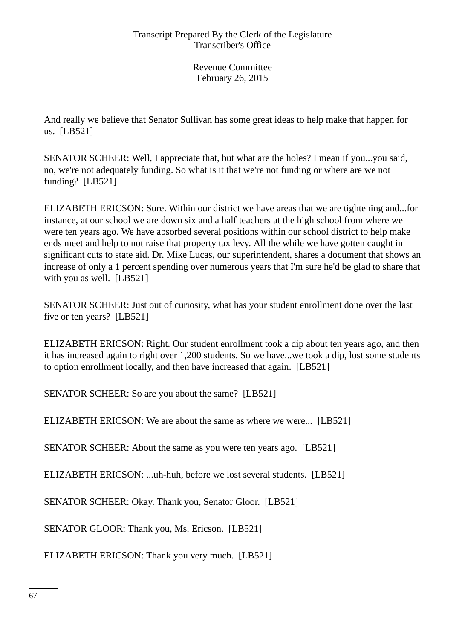And really we believe that Senator Sullivan has some great ideas to help make that happen for us. [LB521]

SENATOR SCHEER: Well, I appreciate that, but what are the holes? I mean if you...you said, no, we're not adequately funding. So what is it that we're not funding or where are we not funding? [LB521]

ELIZABETH ERICSON: Sure. Within our district we have areas that we are tightening and...for instance, at our school we are down six and a half teachers at the high school from where we were ten years ago. We have absorbed several positions within our school district to help make ends meet and help to not raise that property tax levy. All the while we have gotten caught in significant cuts to state aid. Dr. Mike Lucas, our superintendent, shares a document that shows an increase of only a 1 percent spending over numerous years that I'm sure he'd be glad to share that with you as well. [LB521]

SENATOR SCHEER: Just out of curiosity, what has your student enrollment done over the last five or ten years? [LB521]

ELIZABETH ERICSON: Right. Our student enrollment took a dip about ten years ago, and then it has increased again to right over 1,200 students. So we have...we took a dip, lost some students to option enrollment locally, and then have increased that again. [LB521]

SENATOR SCHEER: So are you about the same? [LB521]

ELIZABETH ERICSON: We are about the same as where we were... [LB521]

SENATOR SCHEER: About the same as you were ten years ago. [LB521]

ELIZABETH ERICSON: ...uh-huh, before we lost several students. [LB521]

SENATOR SCHEER: Okay. Thank you, Senator Gloor. [LB521]

SENATOR GLOOR: Thank you, Ms. Ericson. [LB521]

ELIZABETH ERICSON: Thank you very much. [LB521]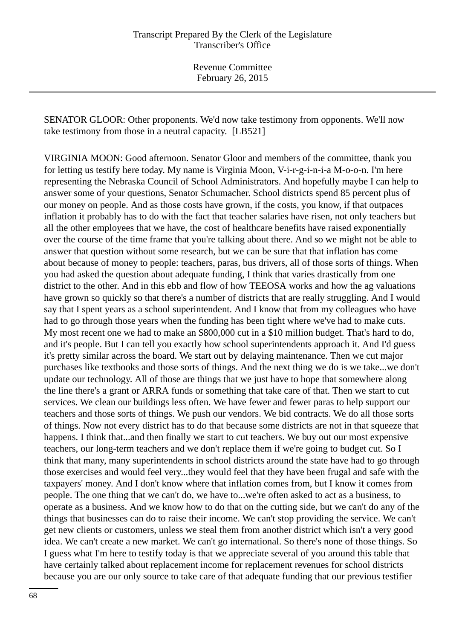SENATOR GLOOR: Other proponents. We'd now take testimony from opponents. We'll now take testimony from those in a neutral capacity. [LB521]

VIRGINIA MOON: Good afternoon. Senator Gloor and members of the committee, thank you for letting us testify here today. My name is Virginia Moon, V-i-r-g-i-n-i-a M-o-o-n. I'm here representing the Nebraska Council of School Administrators. And hopefully maybe I can help to answer some of your questions, Senator Schumacher. School districts spend 85 percent plus of our money on people. And as those costs have grown, if the costs, you know, if that outpaces inflation it probably has to do with the fact that teacher salaries have risen, not only teachers but all the other employees that we have, the cost of healthcare benefits have raised exponentially over the course of the time frame that you're talking about there. And so we might not be able to answer that question without some research, but we can be sure that that inflation has come about because of money to people: teachers, paras, bus drivers, all of those sorts of things. When you had asked the question about adequate funding, I think that varies drastically from one district to the other. And in this ebb and flow of how TEEOSA works and how the ag valuations have grown so quickly so that there's a number of districts that are really struggling. And I would say that I spent years as a school superintendent. And I know that from my colleagues who have had to go through those years when the funding has been tight where we've had to make cuts. My most recent one we had to make an \$800,000 cut in a \$10 million budget. That's hard to do, and it's people. But I can tell you exactly how school superintendents approach it. And I'd guess it's pretty similar across the board. We start out by delaying maintenance. Then we cut major purchases like textbooks and those sorts of things. And the next thing we do is we take...we don't update our technology. All of those are things that we just have to hope that somewhere along the line there's a grant or ARRA funds or something that take care of that. Then we start to cut services. We clean our buildings less often. We have fewer and fewer paras to help support our teachers and those sorts of things. We push our vendors. We bid contracts. We do all those sorts of things. Now not every district has to do that because some districts are not in that squeeze that happens. I think that...and then finally we start to cut teachers. We buy out our most expensive teachers, our long-term teachers and we don't replace them if we're going to budget cut. So I think that many, many superintendents in school districts around the state have had to go through those exercises and would feel very...they would feel that they have been frugal and safe with the taxpayers' money. And I don't know where that inflation comes from, but I know it comes from people. The one thing that we can't do, we have to...we're often asked to act as a business, to operate as a business. And we know how to do that on the cutting side, but we can't do any of the things that businesses can do to raise their income. We can't stop providing the service. We can't get new clients or customers, unless we steal them from another district which isn't a very good idea. We can't create a new market. We can't go international. So there's none of those things. So I guess what I'm here to testify today is that we appreciate several of you around this table that have certainly talked about replacement income for replacement revenues for school districts because you are our only source to take care of that adequate funding that our previous testifier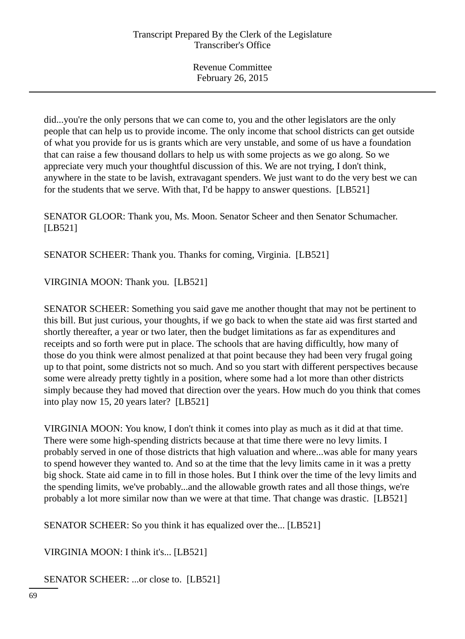did...you're the only persons that we can come to, you and the other legislators are the only people that can help us to provide income. The only income that school districts can get outside of what you provide for us is grants which are very unstable, and some of us have a foundation that can raise a few thousand dollars to help us with some projects as we go along. So we appreciate very much your thoughtful discussion of this. We are not trying, I don't think, anywhere in the state to be lavish, extravagant spenders. We just want to do the very best we can for the students that we serve. With that, I'd be happy to answer questions. [LB521]

SENATOR GLOOR: Thank you, Ms. Moon. Senator Scheer and then Senator Schumacher. [LB521]

SENATOR SCHEER: Thank you. Thanks for coming, Virginia. [LB521]

VIRGINIA MOON: Thank you. [LB521]

SENATOR SCHEER: Something you said gave me another thought that may not be pertinent to this bill. But just curious, your thoughts, if we go back to when the state aid was first started and shortly thereafter, a year or two later, then the budget limitations as far as expenditures and receipts and so forth were put in place. The schools that are having difficultly, how many of those do you think were almost penalized at that point because they had been very frugal going up to that point, some districts not so much. And so you start with different perspectives because some were already pretty tightly in a position, where some had a lot more than other districts simply because they had moved that direction over the years. How much do you think that comes into play now 15, 20 years later? [LB521]

VIRGINIA MOON: You know, I don't think it comes into play as much as it did at that time. There were some high-spending districts because at that time there were no levy limits. I probably served in one of those districts that high valuation and where...was able for many years to spend however they wanted to. And so at the time that the levy limits came in it was a pretty big shock. State aid came in to fill in those holes. But I think over the time of the levy limits and the spending limits, we've probably...and the allowable growth rates and all those things, we're probably a lot more similar now than we were at that time. That change was drastic. [LB521]

SENATOR SCHEER: So you think it has equalized over the... [LB521]

VIRGINIA MOON: I think it's... [LB521]

SENATOR SCHEER: ...or close to. [LB521]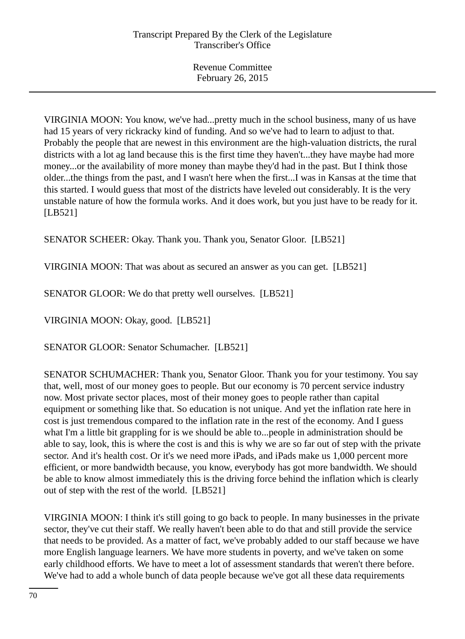VIRGINIA MOON: You know, we've had...pretty much in the school business, many of us have had 15 years of very rickracky kind of funding. And so we've had to learn to adjust to that. Probably the people that are newest in this environment are the high-valuation districts, the rural districts with a lot ag land because this is the first time they haven't...they have maybe had more money...or the availability of more money than maybe they'd had in the past. But I think those older...the things from the past, and I wasn't here when the first...I was in Kansas at the time that this started. I would guess that most of the districts have leveled out considerably. It is the very unstable nature of how the formula works. And it does work, but you just have to be ready for it. [LB521]

SENATOR SCHEER: Okay. Thank you. Thank you, Senator Gloor. [LB521]

VIRGINIA MOON: That was about as secured an answer as you can get. [LB521]

SENATOR GLOOR: We do that pretty well ourselves. [LB521]

VIRGINIA MOON: Okay, good. [LB521]

SENATOR GLOOR: Senator Schumacher. [LB521]

SENATOR SCHUMACHER: Thank you, Senator Gloor. Thank you for your testimony. You say that, well, most of our money goes to people. But our economy is 70 percent service industry now. Most private sector places, most of their money goes to people rather than capital equipment or something like that. So education is not unique. And yet the inflation rate here in cost is just tremendous compared to the inflation rate in the rest of the economy. And I guess what I'm a little bit grappling for is we should be able to...people in administration should be able to say, look, this is where the cost is and this is why we are so far out of step with the private sector. And it's health cost. Or it's we need more iPads, and iPads make us 1,000 percent more efficient, or more bandwidth because, you know, everybody has got more bandwidth. We should be able to know almost immediately this is the driving force behind the inflation which is clearly out of step with the rest of the world. [LB521]

VIRGINIA MOON: I think it's still going to go back to people. In many businesses in the private sector, they've cut their staff. We really haven't been able to do that and still provide the service that needs to be provided. As a matter of fact, we've probably added to our staff because we have more English language learners. We have more students in poverty, and we've taken on some early childhood efforts. We have to meet a lot of assessment standards that weren't there before. We've had to add a whole bunch of data people because we've got all these data requirements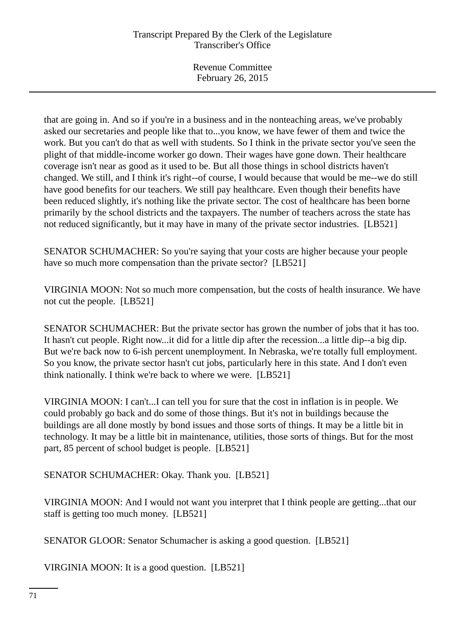that are going in. And so if you're in a business and in the nonteaching areas, we've probably asked our secretaries and people like that to...you know, we have fewer of them and twice the work. But you can't do that as well with students. So I think in the private sector you've seen the plight of that middle-income worker go down. Their wages have gone down. Their healthcare coverage isn't near as good as it used to be. But all those things in school districts haven't changed. We still, and I think it's right--of course, I would because that would be me--we do still have good benefits for our teachers. We still pay healthcare. Even though their benefits have been reduced slightly, it's nothing like the private sector. The cost of healthcare has been borne primarily by the school districts and the taxpayers. The number of teachers across the state has not reduced significantly, but it may have in many of the private sector industries. [LB521]

SENATOR SCHUMACHER: So you're saying that your costs are higher because your people have so much more compensation than the private sector? [LB521]

VIRGINIA MOON: Not so much more compensation, but the costs of health insurance. We have not cut the people. [LB521]

SENATOR SCHUMACHER: But the private sector has grown the number of jobs that it has too. It hasn't cut people. Right now...it did for a little dip after the recession...a little dip--a big dip. But we're back now to 6-ish percent unemployment. In Nebraska, we're totally full employment. So you know, the private sector hasn't cut jobs, particularly here in this state. And I don't even think nationally. I think we're back to where we were. [LB521]

VIRGINIA MOON: I can't...I can tell you for sure that the cost in inflation is in people. We could probably go back and do some of those things. But it's not in buildings because the buildings are all done mostly by bond issues and those sorts of things. It may be a little bit in technology. It may be a little bit in maintenance, utilities, those sorts of things. But for the most part, 85 percent of school budget is people. [LB521]

SENATOR SCHUMACHER: Okay. Thank you. [LB521]

VIRGINIA MOON: And I would not want you interpret that I think people are getting...that our staff is getting too much money. [LB521]

SENATOR GLOOR: Senator Schumacher is asking a good question. [LB521]

VIRGINIA MOON: It is a good question. [LB521]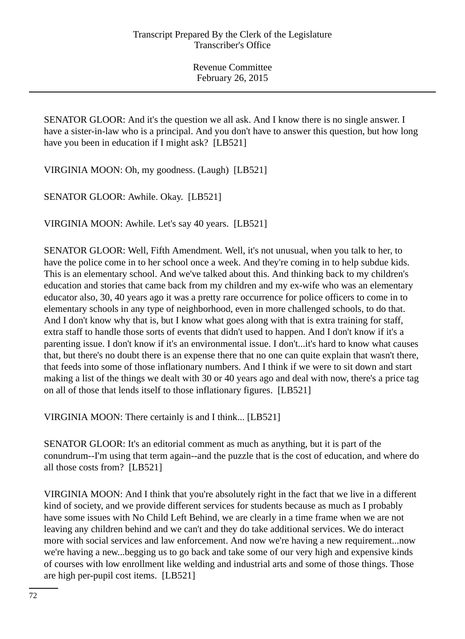SENATOR GLOOR: And it's the question we all ask. And I know there is no single answer. I have a sister-in-law who is a principal. And you don't have to answer this question, but how long have you been in education if I might ask? [LB521]

VIRGINIA MOON: Oh, my goodness. (Laugh) [LB521]

SENATOR GLOOR: Awhile. Okay. [LB521]

VIRGINIA MOON: Awhile. Let's say 40 years. [LB521]

SENATOR GLOOR: Well, Fifth Amendment. Well, it's not unusual, when you talk to her, to have the police come in to her school once a week. And they're coming in to help subdue kids. This is an elementary school. And we've talked about this. And thinking back to my children's education and stories that came back from my children and my ex-wife who was an elementary educator also, 30, 40 years ago it was a pretty rare occurrence for police officers to come in to elementary schools in any type of neighborhood, even in more challenged schools, to do that. And I don't know why that is, but I know what goes along with that is extra training for staff, extra staff to handle those sorts of events that didn't used to happen. And I don't know if it's a parenting issue. I don't know if it's an environmental issue. I don't...it's hard to know what causes that, but there's no doubt there is an expense there that no one can quite explain that wasn't there, that feeds into some of those inflationary numbers. And I think if we were to sit down and start making a list of the things we dealt with 30 or 40 years ago and deal with now, there's a price tag on all of those that lends itself to those inflationary figures. [LB521]

VIRGINIA MOON: There certainly is and I think... [LB521]

SENATOR GLOOR: It's an editorial comment as much as anything, but it is part of the conundrum--I'm using that term again--and the puzzle that is the cost of education, and where do all those costs from? [LB521]

VIRGINIA MOON: And I think that you're absolutely right in the fact that we live in a different kind of society, and we provide different services for students because as much as I probably have some issues with No Child Left Behind, we are clearly in a time frame when we are not leaving any children behind and we can't and they do take additional services. We do interact more with social services and law enforcement. And now we're having a new requirement...now we're having a new...begging us to go back and take some of our very high and expensive kinds of courses with low enrollment like welding and industrial arts and some of those things. Those are high per-pupil cost items. [LB521]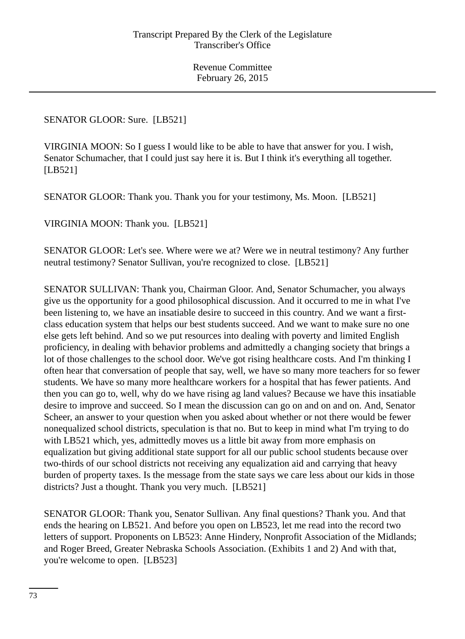SENATOR GLOOR: Sure. [LB521]

VIRGINIA MOON: So I guess I would like to be able to have that answer for you. I wish, Senator Schumacher, that I could just say here it is. But I think it's everything all together. [LB521]

SENATOR GLOOR: Thank you. Thank you for your testimony, Ms. Moon. [LB521]

VIRGINIA MOON: Thank you. [LB521]

SENATOR GLOOR: Let's see. Where were we at? Were we in neutral testimony? Any further neutral testimony? Senator Sullivan, you're recognized to close. [LB521]

SENATOR SULLIVAN: Thank you, Chairman Gloor. And, Senator Schumacher, you always give us the opportunity for a good philosophical discussion. And it occurred to me in what I've been listening to, we have an insatiable desire to succeed in this country. And we want a firstclass education system that helps our best students succeed. And we want to make sure no one else gets left behind. And so we put resources into dealing with poverty and limited English proficiency, in dealing with behavior problems and admittedly a changing society that brings a lot of those challenges to the school door. We've got rising healthcare costs. And I'm thinking I often hear that conversation of people that say, well, we have so many more teachers for so fewer students. We have so many more healthcare workers for a hospital that has fewer patients. And then you can go to, well, why do we have rising ag land values? Because we have this insatiable desire to improve and succeed. So I mean the discussion can go on and on and on. And, Senator Scheer, an answer to your question when you asked about whether or not there would be fewer nonequalized school districts, speculation is that no. But to keep in mind what I'm trying to do with LB521 which, yes, admittedly moves us a little bit away from more emphasis on equalization but giving additional state support for all our public school students because over two-thirds of our school districts not receiving any equalization aid and carrying that heavy burden of property taxes. Is the message from the state says we care less about our kids in those districts? Just a thought. Thank you very much. [LB521]

SENATOR GLOOR: Thank you, Senator Sullivan. Any final questions? Thank you. And that ends the hearing on LB521. And before you open on LB523, let me read into the record two letters of support. Proponents on LB523: Anne Hindery, Nonprofit Association of the Midlands; and Roger Breed, Greater Nebraska Schools Association. (Exhibits 1 and 2) And with that, you're welcome to open. [LB523]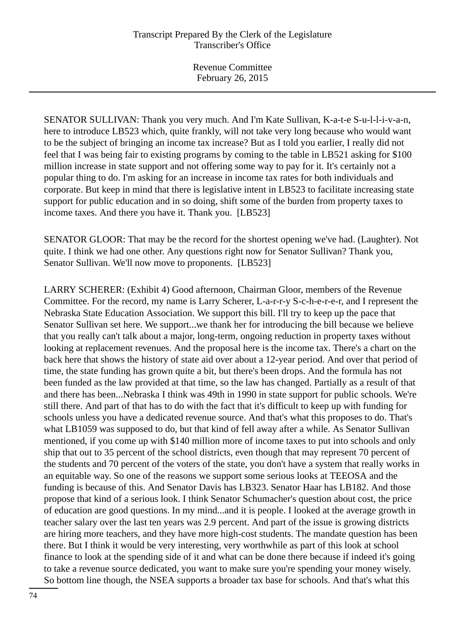SENATOR SULLIVAN: Thank you very much. And I'm Kate Sullivan, K-a-t-e S-u-l-l-i-v-a-n, here to introduce LB523 which, quite frankly, will not take very long because who would want to be the subject of bringing an income tax increase? But as I told you earlier, I really did not feel that I was being fair to existing programs by coming to the table in LB521 asking for \$100 million increase in state support and not offering some way to pay for it. It's certainly not a popular thing to do. I'm asking for an increase in income tax rates for both individuals and corporate. But keep in mind that there is legislative intent in LB523 to facilitate increasing state support for public education and in so doing, shift some of the burden from property taxes to income taxes. And there you have it. Thank you. [LB523]

SENATOR GLOOR: That may be the record for the shortest opening we've had. (Laughter). Not quite. I think we had one other. Any questions right now for Senator Sullivan? Thank you, Senator Sullivan. We'll now move to proponents. [LB523]

LARRY SCHERER: (Exhibit 4) Good afternoon, Chairman Gloor, members of the Revenue Committee. For the record, my name is Larry Scherer, L-a-r-r-y S-c-h-e-r-e-r, and I represent the Nebraska State Education Association. We support this bill. I'll try to keep up the pace that Senator Sullivan set here. We support...we thank her for introducing the bill because we believe that you really can't talk about a major, long-term, ongoing reduction in property taxes without looking at replacement revenues. And the proposal here is the income tax. There's a chart on the back here that shows the history of state aid over about a 12-year period. And over that period of time, the state funding has grown quite a bit, but there's been drops. And the formula has not been funded as the law provided at that time, so the law has changed. Partially as a result of that and there has been...Nebraska I think was 49th in 1990 in state support for public schools. We're still there. And part of that has to do with the fact that it's difficult to keep up with funding for schools unless you have a dedicated revenue source. And that's what this proposes to do. That's what LB1059 was supposed to do, but that kind of fell away after a while. As Senator Sullivan mentioned, if you come up with \$140 million more of income taxes to put into schools and only ship that out to 35 percent of the school districts, even though that may represent 70 percent of the students and 70 percent of the voters of the state, you don't have a system that really works in an equitable way. So one of the reasons we support some serious looks at TEEOSA and the funding is because of this. And Senator Davis has LB323. Senator Haar has LB182. And those propose that kind of a serious look. I think Senator Schumacher's question about cost, the price of education are good questions. In my mind...and it is people. I looked at the average growth in teacher salary over the last ten years was 2.9 percent. And part of the issue is growing districts are hiring more teachers, and they have more high-cost students. The mandate question has been there. But I think it would be very interesting, very worthwhile as part of this look at school finance to look at the spending side of it and what can be done there because if indeed it's going to take a revenue source dedicated, you want to make sure you're spending your money wisely. So bottom line though, the NSEA supports a broader tax base for schools. And that's what this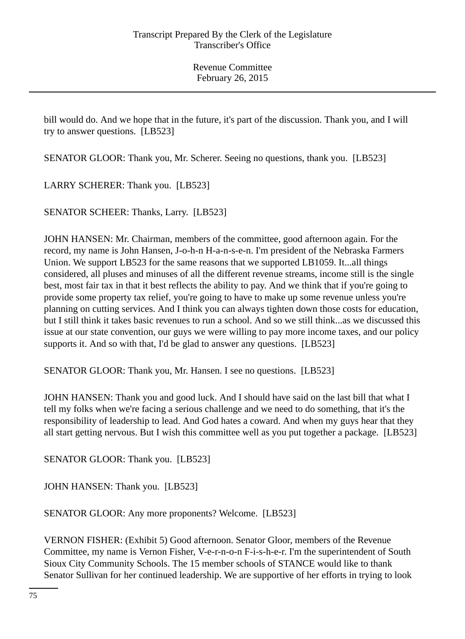bill would do. And we hope that in the future, it's part of the discussion. Thank you, and I will try to answer questions. [LB523]

SENATOR GLOOR: Thank you, Mr. Scherer. Seeing no questions, thank you. [LB523]

LARRY SCHERER: Thank you. [LB523]

SENATOR SCHEER: Thanks, Larry. [LB523]

JOHN HANSEN: Mr. Chairman, members of the committee, good afternoon again. For the record, my name is John Hansen, J-o-h-n H-a-n-s-e-n. I'm president of the Nebraska Farmers Union. We support LB523 for the same reasons that we supported LB1059. It...all things considered, all pluses and minuses of all the different revenue streams, income still is the single best, most fair tax in that it best reflects the ability to pay. And we think that if you're going to provide some property tax relief, you're going to have to make up some revenue unless you're planning on cutting services. And I think you can always tighten down those costs for education, but I still think it takes basic revenues to run a school. And so we still think...as we discussed this issue at our state convention, our guys we were willing to pay more income taxes, and our policy supports it. And so with that, I'd be glad to answer any questions. [LB523]

SENATOR GLOOR: Thank you, Mr. Hansen. I see no questions. [LB523]

JOHN HANSEN: Thank you and good luck. And I should have said on the last bill that what I tell my folks when we're facing a serious challenge and we need to do something, that it's the responsibility of leadership to lead. And God hates a coward. And when my guys hear that they all start getting nervous. But I wish this committee well as you put together a package. [LB523]

SENATOR GLOOR: Thank you. [LB523]

JOHN HANSEN: Thank you. [LB523]

SENATOR GLOOR: Any more proponents? Welcome. [LB523]

VERNON FISHER: (Exhibit 5) Good afternoon. Senator Gloor, members of the Revenue Committee, my name is Vernon Fisher, V-e-r-n-o-n F-i-s-h-e-r. I'm the superintendent of South Sioux City Community Schools. The 15 member schools of STANCE would like to thank Senator Sullivan for her continued leadership. We are supportive of her efforts in trying to look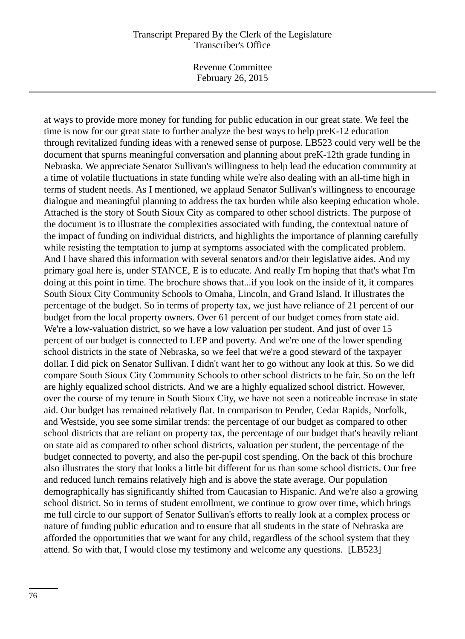## Transcript Prepared By the Clerk of the Legislature Transcriber's Office

Revenue Committee February 26, 2015

at ways to provide more money for funding for public education in our great state. We feel the time is now for our great state to further analyze the best ways to help preK-12 education through revitalized funding ideas with a renewed sense of purpose. LB523 could very well be the document that spurns meaningful conversation and planning about preK-12th grade funding in Nebraska. We appreciate Senator Sullivan's willingness to help lead the education community at a time of volatile fluctuations in state funding while we're also dealing with an all-time high in terms of student needs. As I mentioned, we applaud Senator Sullivan's willingness to encourage dialogue and meaningful planning to address the tax burden while also keeping education whole. Attached is the story of South Sioux City as compared to other school districts. The purpose of the document is to illustrate the complexities associated with funding, the contextual nature of the impact of funding on individual districts, and highlights the importance of planning carefully while resisting the temptation to jump at symptoms associated with the complicated problem. And I have shared this information with several senators and/or their legislative aides. And my primary goal here is, under STANCE, E is to educate. And really I'm hoping that that's what I'm doing at this point in time. The brochure shows that...if you look on the inside of it, it compares South Sioux City Community Schools to Omaha, Lincoln, and Grand Island. It illustrates the percentage of the budget. So in terms of property tax, we just have reliance of 21 percent of our budget from the local property owners. Over 61 percent of our budget comes from state aid. We're a low-valuation district, so we have a low valuation per student. And just of over 15 percent of our budget is connected to LEP and poverty. And we're one of the lower spending school districts in the state of Nebraska, so we feel that we're a good steward of the taxpayer dollar. I did pick on Senator Sullivan. I didn't want her to go without any look at this. So we did compare South Sioux City Community Schools to other school districts to be fair. So on the left are highly equalized school districts. And we are a highly equalized school district. However, over the course of my tenure in South Sioux City, we have not seen a noticeable increase in state aid. Our budget has remained relatively flat. In comparison to Pender, Cedar Rapids, Norfolk, and Westside, you see some similar trends: the percentage of our budget as compared to other school districts that are reliant on property tax, the percentage of our budget that's heavily reliant on state aid as compared to other school districts, valuation per student, the percentage of the budget connected to poverty, and also the per-pupil cost spending. On the back of this brochure also illustrates the story that looks a little bit different for us than some school districts. Our free and reduced lunch remains relatively high and is above the state average. Our population demographically has significantly shifted from Caucasian to Hispanic. And we're also a growing school district. So in terms of student enrollment, we continue to grow over time, which brings me full circle to our support of Senator Sullivan's efforts to really look at a complex process or nature of funding public education and to ensure that all students in the state of Nebraska are afforded the opportunities that we want for any child, regardless of the school system that they attend. So with that, I would close my testimony and welcome any questions. [LB523]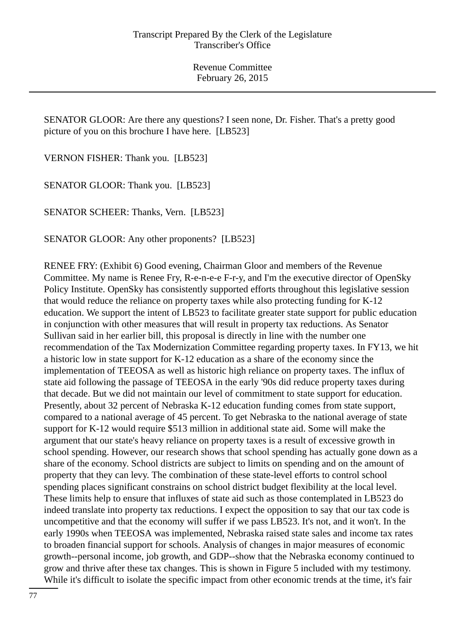SENATOR GLOOR: Are there any questions? I seen none, Dr. Fisher. That's a pretty good picture of you on this brochure I have here. [LB523]

VERNON FISHER: Thank you. [LB523]

SENATOR GLOOR: Thank you. [LB523]

SENATOR SCHEER: Thanks, Vern. [LB523]

SENATOR GLOOR: Any other proponents? [LB523]

RENEE FRY: (Exhibit 6) Good evening, Chairman Gloor and members of the Revenue Committee. My name is Renee Fry, R-e-n-e-e F-r-y, and I'm the executive director of OpenSky Policy Institute. OpenSky has consistently supported efforts throughout this legislative session that would reduce the reliance on property taxes while also protecting funding for K-12 education. We support the intent of LB523 to facilitate greater state support for public education in conjunction with other measures that will result in property tax reductions. As Senator Sullivan said in her earlier bill, this proposal is directly in line with the number one recommendation of the Tax Modernization Committee regarding property taxes. In FY13, we hit a historic low in state support for K-12 education as a share of the economy since the implementation of TEEOSA as well as historic high reliance on property taxes. The influx of state aid following the passage of TEEOSA in the early '90s did reduce property taxes during that decade. But we did not maintain our level of commitment to state support for education. Presently, about 32 percent of Nebraska K-12 education funding comes from state support, compared to a national average of 45 percent. To get Nebraska to the national average of state support for K-12 would require \$513 million in additional state aid. Some will make the argument that our state's heavy reliance on property taxes is a result of excessive growth in school spending. However, our research shows that school spending has actually gone down as a share of the economy. School districts are subject to limits on spending and on the amount of property that they can levy. The combination of these state-level efforts to control school spending places significant constrains on school district budget flexibility at the local level. These limits help to ensure that influxes of state aid such as those contemplated in LB523 do indeed translate into property tax reductions. I expect the opposition to say that our tax code is uncompetitive and that the economy will suffer if we pass LB523. It's not, and it won't. In the early 1990s when TEEOSA was implemented, Nebraska raised state sales and income tax rates to broaden financial support for schools. Analysis of changes in major measures of economic growth--personal income, job growth, and GDP--show that the Nebraska economy continued to grow and thrive after these tax changes. This is shown in Figure 5 included with my testimony. While it's difficult to isolate the specific impact from other economic trends at the time, it's fair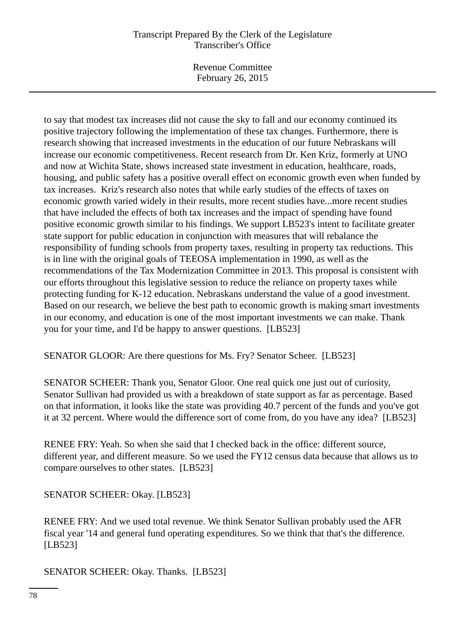## Transcript Prepared By the Clerk of the Legislature Transcriber's Office

Revenue Committee February 26, 2015

to say that modest tax increases did not cause the sky to fall and our economy continued its positive trajectory following the implementation of these tax changes. Furthermore, there is research showing that increased investments in the education of our future Nebraskans will increase our economic competitiveness. Recent research from Dr. Ken Kriz, formerly at UNO and now at Wichita State, shows increased state investment in education, healthcare, roads, housing, and public safety has a positive overall effect on economic growth even when funded by tax increases. Kriz's research also notes that while early studies of the effects of taxes on economic growth varied widely in their results, more recent studies have...more recent studies that have included the effects of both tax increases and the impact of spending have found positive economic growth similar to his findings. We support LB523's intent to facilitate greater state support for public education in conjunction with measures that will rebalance the responsibility of funding schools from property taxes, resulting in property tax reductions. This is in line with the original goals of TEEOSA implementation in 1990, as well as the recommendations of the Tax Modernization Committee in 2013. This proposal is consistent with our efforts throughout this legislative session to reduce the reliance on property taxes while protecting funding for K-12 education. Nebraskans understand the value of a good investment. Based on our research, we believe the best path to economic growth is making smart investments in our economy, and education is one of the most important investments we can make. Thank you for your time, and I'd be happy to answer questions. [LB523]

SENATOR GLOOR: Are there questions for Ms. Fry? Senator Scheer. [LB523]

SENATOR SCHEER: Thank you, Senator Gloor. One real quick one just out of curiosity, Senator Sullivan had provided us with a breakdown of state support as far as percentage. Based on that information, it looks like the state was providing 40.7 percent of the funds and you've got it at 32 percent. Where would the difference sort of come from, do you have any idea? [LB523]

RENEE FRY: Yeah. So when she said that I checked back in the office: different source, different year, and different measure. So we used the FY12 census data because that allows us to compare ourselves to other states. [LB523]

SENATOR SCHEER: Okay. [LB523]

RENEE FRY: And we used total revenue. We think Senator Sullivan probably used the AFR fiscal year '14 and general fund operating expenditures. So we think that that's the difference. [LB523]

SENATOR SCHEER: Okay. Thanks. [LB523]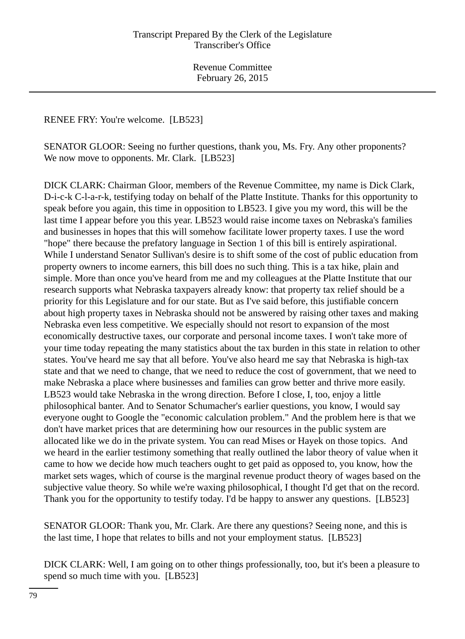RENEE FRY: You're welcome. [LB523]

SENATOR GLOOR: Seeing no further questions, thank you, Ms. Fry. Any other proponents? We now move to opponents. Mr. Clark. [LB523]

DICK CLARK: Chairman Gloor, members of the Revenue Committee, my name is Dick Clark, D-i-c-k C-l-a-r-k, testifying today on behalf of the Platte Institute. Thanks for this opportunity to speak before you again, this time in opposition to LB523. I give you my word, this will be the last time I appear before you this year. LB523 would raise income taxes on Nebraska's families and businesses in hopes that this will somehow facilitate lower property taxes. I use the word "hope" there because the prefatory language in Section 1 of this bill is entirely aspirational. While I understand Senator Sullivan's desire is to shift some of the cost of public education from property owners to income earners, this bill does no such thing. This is a tax hike, plain and simple. More than once you've heard from me and my colleagues at the Platte Institute that our research supports what Nebraska taxpayers already know: that property tax relief should be a priority for this Legislature and for our state. But as I've said before, this justifiable concern about high property taxes in Nebraska should not be answered by raising other taxes and making Nebraska even less competitive. We especially should not resort to expansion of the most economically destructive taxes, our corporate and personal income taxes. I won't take more of your time today repeating the many statistics about the tax burden in this state in relation to other states. You've heard me say that all before. You've also heard me say that Nebraska is high-tax state and that we need to change, that we need to reduce the cost of government, that we need to make Nebraska a place where businesses and families can grow better and thrive more easily. LB523 would take Nebraska in the wrong direction. Before I close, I, too, enjoy a little philosophical banter. And to Senator Schumacher's earlier questions, you know, I would say everyone ought to Google the "economic calculation problem." And the problem here is that we don't have market prices that are determining how our resources in the public system are allocated like we do in the private system. You can read Mises or Hayek on those topics. And we heard in the earlier testimony something that really outlined the labor theory of value when it came to how we decide how much teachers ought to get paid as opposed to, you know, how the market sets wages, which of course is the marginal revenue product theory of wages based on the subjective value theory. So while we're waxing philosophical, I thought I'd get that on the record. Thank you for the opportunity to testify today. I'd be happy to answer any questions. [LB523]

SENATOR GLOOR: Thank you, Mr. Clark. Are there any questions? Seeing none, and this is the last time, I hope that relates to bills and not your employment status. [LB523]

DICK CLARK: Well, I am going on to other things professionally, too, but it's been a pleasure to spend so much time with you. [LB523]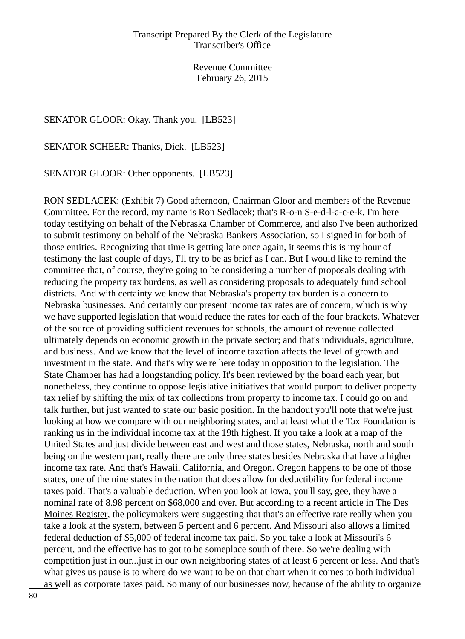## SENATOR GLOOR: Okay. Thank you. [LB523]

SENATOR SCHEER: Thanks, Dick. [LB523]

SENATOR GLOOR: Other opponents. [LB523]

RON SEDLACEK: (Exhibit 7) Good afternoon, Chairman Gloor and members of the Revenue Committee. For the record, my name is Ron Sedlacek; that's R-o-n S-e-d-l-a-c-e-k. I'm here today testifying on behalf of the Nebraska Chamber of Commerce, and also I've been authorized to submit testimony on behalf of the Nebraska Bankers Association, so I signed in for both of those entities. Recognizing that time is getting late once again, it seems this is my hour of testimony the last couple of days, I'll try to be as brief as I can. But I would like to remind the committee that, of course, they're going to be considering a number of proposals dealing with reducing the property tax burdens, as well as considering proposals to adequately fund school districts. And with certainty we know that Nebraska's property tax burden is a concern to Nebraska businesses. And certainly our present income tax rates are of concern, which is why we have supported legislation that would reduce the rates for each of the four brackets. Whatever of the source of providing sufficient revenues for schools, the amount of revenue collected ultimately depends on economic growth in the private sector; and that's individuals, agriculture, and business. And we know that the level of income taxation affects the level of growth and investment in the state. And that's why we're here today in opposition to the legislation. The State Chamber has had a longstanding policy. It's been reviewed by the board each year, but nonetheless, they continue to oppose legislative initiatives that would purport to deliver property tax relief by shifting the mix of tax collections from property to income tax. I could go on and talk further, but just wanted to state our basic position. In the handout you'll note that we're just looking at how we compare with our neighboring states, and at least what the Tax Foundation is ranking us in the individual income tax at the 19th highest. If you take a look at a map of the United States and just divide between east and west and those states, Nebraska, north and south being on the western part, really there are only three states besides Nebraska that have a higher income tax rate. And that's Hawaii, California, and Oregon. Oregon happens to be one of those states, one of the nine states in the nation that does allow for deductibility for federal income taxes paid. That's a valuable deduction. When you look at Iowa, you'll say, gee, they have a nominal rate of 8.98 percent on \$68,000 and over. But according to a recent article in The Des Moines Register, the policymakers were suggesting that that's an effective rate really when you take a look at the system, between 5 percent and 6 percent. And Missouri also allows a limited federal deduction of \$5,000 of federal income tax paid. So you take a look at Missouri's 6 percent, and the effective has to got to be someplace south of there. So we're dealing with competition just in our...just in our own neighboring states of at least 6 percent or less. And that's what gives us pause is to where do we want to be on that chart when it comes to both individual as well as corporate taxes paid. So many of our businesses now, because of the ability to organize